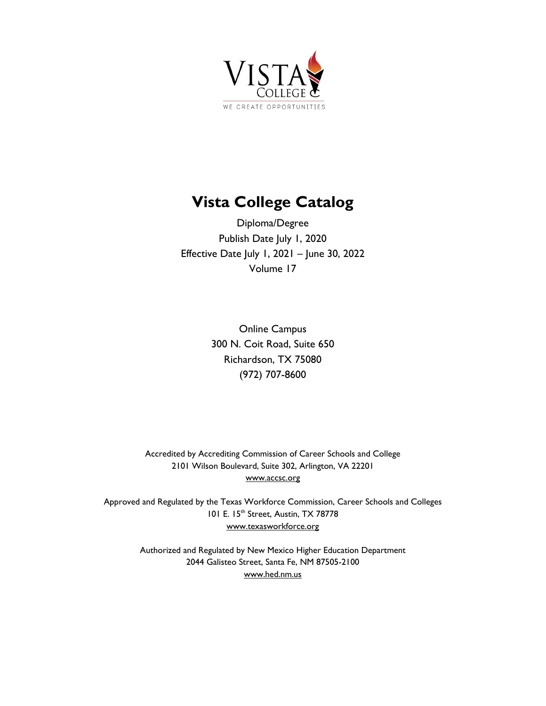

# **Vista College Catalog**

Diploma/Degree Publish Date July 1, 2020 Effective Date July 1, 2021 – June 30, 2022 Volume 17

> Online Campus 300 N. Coit Road, Suite 650 Richardson, TX 75080 (972) 707-8600

Accredited by Accrediting Commission of Career Schools and College 2101 Wilson Boulevard, Suite 302, Arlington, VA 22201 [www.accsc.org](http://www.accsc.org/)

Approved and Regulated by the Texas Workforce Commission, Career Schools and Colleges 101 E. 15<sup>th</sup> Street, Austin, TX 78778 [www.texasworkforce.org](http://www.texasworkforce.org/)

> Authorized and Regulated by New Mexico Higher Education Department 2044 Galisteo Street, Santa Fe, NM 87505-2100 [www.hed.nm.us](http://www.hed.nm.us/)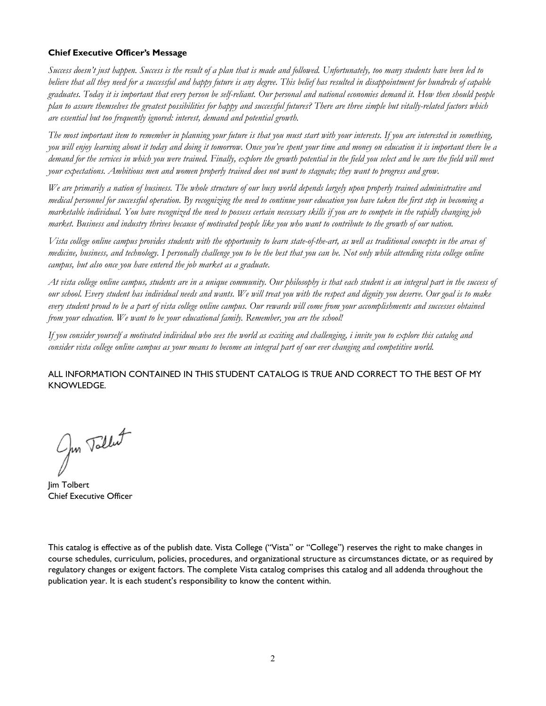## <span id="page-1-0"></span>**Chief Executive Officer's Message**

*Success doesn't just happen. Success is the result of a plan that is made and followed. Unfortunately, too many students have been led to believe that all they need for a successful and happy future is any degree. This belief has resulted in disappointment for hundreds of capable graduates. Today it is important that every person be self-reliant. Our personal and national economies demand it. How then should people plan to assure themselves the greatest possibilities for happy and successful futures? There are three simple but vitally-related factors which are essential but too frequently ignored: interest, demand and potential growth.*

*The most important item to remember in planning your future is that you must start with your interests. If you are interested in something, you will enjoy learning about it today and doing it tomorrow. Once you've spent your time and money on education it is important there be a*  demand for the services in which you were trained. Finally, explore the growth potential in the field you select and be sure the field will meet *your expectations. Ambitious men and women properly trained does not want to stagnate; they want to progress and grow.*

*We are primarily a nation of business. The whole structure of our busy world depends largely upon properly trained administrative and medical personnel for successful operation. By recognizing the need to continue your education you have taken the first step in becoming a marketable individual. You have recognized the need to possess certain necessary skills if you are to compete in the rapidly changing job market. Business and industry thrives because of motivated people like you who want to contribute to the growth of our nation.* 

*Vista college online campus provides students with the opportunity to learn state-of-the-art, as well as traditional concepts in the areas of medicine, business, and technology. I personally challenge you to be the best that you can be. Not only while attending vista college online campus, but also once you have entered the job market as a graduate.* 

*At vista college online campus, students are in a unique community. Our philosophy is that each student is an integral part in the success of our school. Every student has individual needs and wants. We will treat you with the respect and dignity you deserve. Our goal is to make every student proud to be a part of vista college online campus. Our rewards will come from your accomplishments and successes obtained from your education. We want to be your educational family. Remember, you are the school!*

*If you consider yourself a motivated individual who sees the world as exciting and challenging, i invite you to explore this catalog and consider vista college online campus as your means to become an integral part of our ever changing and competitive world.*

## ALL INFORMATION CONTAINED IN THIS STUDENT CATALOG IS TRUE AND CORRECT TO THE BEST OF MY KNOWLEDGE.

Jun Tollet

Jim Tolbert Chief Executive Officer

This catalog is effective as of the publish date. Vista College ("Vista" or "College") reserves the right to make changes in course schedules, curriculum, policies, procedures, and organizational structure as circumstances dictate, or as required by regulatory changes or exigent factors. The complete Vista catalog comprises this catalog and all addenda throughout the publication year. It is each student's responsibility to know the content within.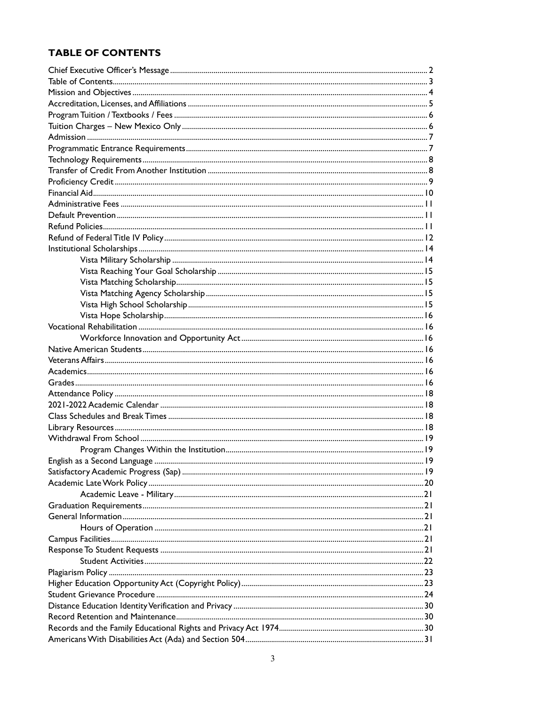## <span id="page-2-0"></span>**TABLE OF CONTENTS**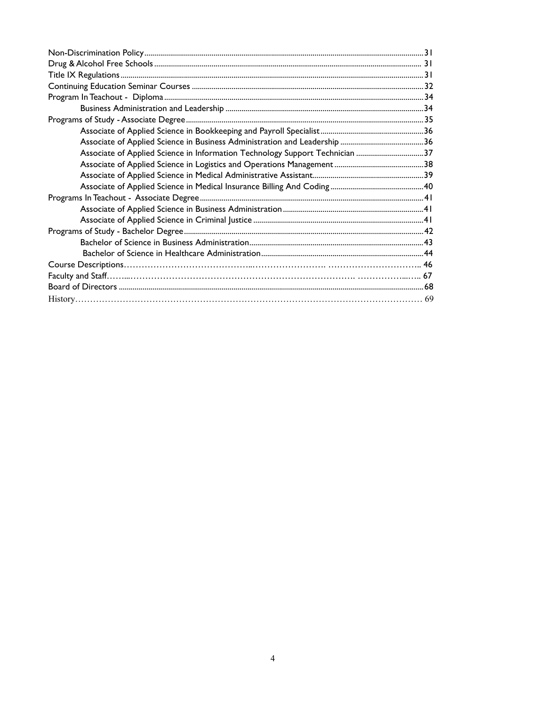<span id="page-3-0"></span>

| Associate of Applied Science in Information Technology Support Technician 37 |  |
|------------------------------------------------------------------------------|--|
|                                                                              |  |
|                                                                              |  |
|                                                                              |  |
|                                                                              |  |
|                                                                              |  |
|                                                                              |  |
|                                                                              |  |
|                                                                              |  |
|                                                                              |  |
|                                                                              |  |
|                                                                              |  |
|                                                                              |  |
|                                                                              |  |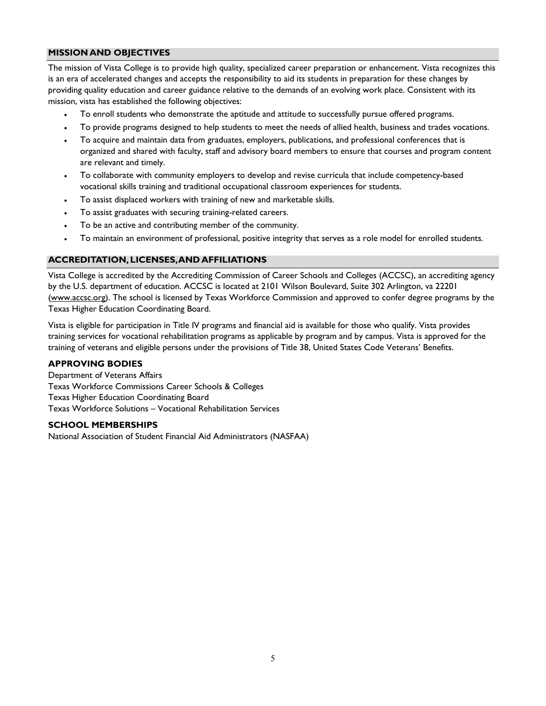#### <span id="page-4-0"></span>**MISSION AND OBJECTIVES**

The mission of Vista College is to provide high quality, specialized career preparation or enhancement. Vista recognizes this is an era of accelerated changes and accepts the responsibility to aid its students in preparation for these changes by providing quality education and career guidance relative to the demands of an evolving work place. Consistent with its mission, vista has established the following objectives:

- To enroll students who demonstrate the aptitude and attitude to successfully pursue offered programs.
- To provide programs designed to help students to meet the needs of allied health, business and trades vocations.
- To acquire and maintain data from graduates, employers, publications, and professional conferences that is organized and shared with faculty, staff and advisory board members to ensure that courses and program content are relevant and timely.
- To collaborate with community employers to develop and revise curricula that include competency-based vocational skills training and traditional occupational classroom experiences for students.
- To assist displaced workers with training of new and marketable skills.
- To assist graduates with securing training-related careers.
- To be an active and contributing member of the community.
- To maintain an environment of professional, positive integrity that serves as a role model for enrolled students.

#### **ACCREDITATION, LICENSES, AND AFFILIATIONS**

Vista College is accredited by the Accrediting Commission of Career Schools and Colleges (ACCSC), an accrediting agency by the U.S. department of education. ACCSC is located at 2101 Wilson Boulevard, Suite 302 Arlington, va 22201 [\(www.accsc.org\)](http://www.accsc.org/). The school is licensed by Texas Workforce Commission and approved to confer degree programs by the Texas Higher Education Coordinating Board.

Vista is eligible for participation in Title IV programs and financial aid is available for those who qualify. Vista provides training services for vocational rehabilitation programs as applicable by program and by campus. Vista is approved for the training of veterans and eligible persons under the provisions of Title 38, United States Code Veterans' Benefits.

#### **APPROVING BODIES**

Department of Veterans Affairs Texas Workforce Commissions Career Schools & Colleges Texas Higher Education Coordinating Board Texas Workforce Solutions – Vocational Rehabilitation Services

#### **SCHOOL MEMBERSHIPS**

National Association of Student Financial Aid Administrators (NASFAA)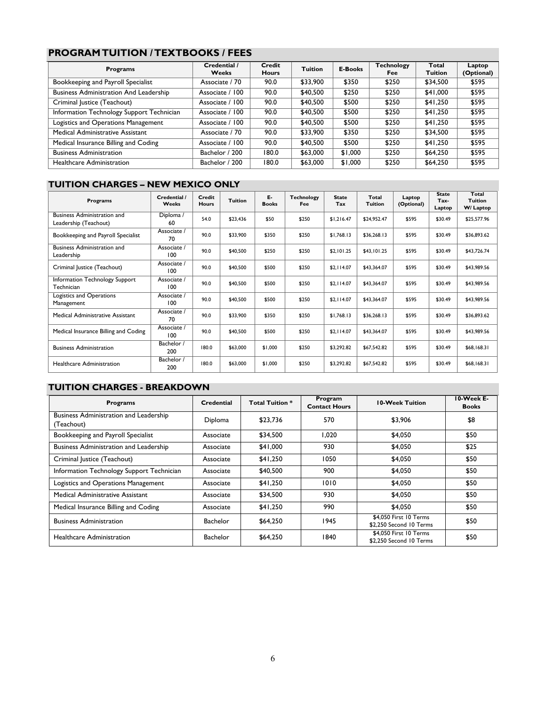## <span id="page-5-0"></span>**PROGRAMTUITION / TEXTBOOKS / FEES**

| <b>Programs</b>                               | Credential /<br><b>Weeks</b> | Credit<br><b>Hours</b> | <b>Tuition</b> | <b>E-Books</b> | Technology<br>Fee | Total<br><b>Tuition</b> | Laptop<br>(Optional) |
|-----------------------------------------------|------------------------------|------------------------|----------------|----------------|-------------------|-------------------------|----------------------|
| Bookkeeping and Payroll Specialist            | Associate / 70               | 90.0                   | \$33,900       | \$350          | \$250             | \$34,500                | \$595                |
| <b>Business Administration And Leadership</b> | Associate / 100              | 90.0                   | \$40,500       | \$250          | \$250             | \$41,000                | \$595                |
| Criminal Justice (Teachout)                   | Associate / 100              | 90.0                   | \$40,500       | \$500          | \$250             | \$41,250                | \$595                |
| Information Technology Support Technician     | Associate / 100              | 90.0                   | \$40,500       | \$500          | \$250             | \$41,250                | \$595                |
| Logistics and Operations Management           | Associate / 100              | 90.0                   | \$40,500       | \$500          | \$250             | \$41,250                | \$595                |
| Medical Administrative Assistant              | Associate / 70               | 90.0                   | \$33,900       | \$350          | \$250             | \$34,500                | \$595                |
| Medical Insurance Billing and Coding          | Associate / 100              | 90.0                   | \$40,500       | \$500          | \$250             | \$41,250                | \$595                |
| <b>Business Administration</b>                | Bachelor / 200               | 180.0                  | \$63,000       | \$1,000        | \$250             | \$64,250                | \$595                |
| <b>Healthcare Administration</b>              | Bachelor / 200               | 180.0                  | \$63,000       | \$1,000        | \$250             | \$64,250                | \$595                |

## <span id="page-5-1"></span>**TUITION CHARGES – NEW MEXICO ONLY**

| <b>Programs</b>                                             | Credential /<br>Weeks | Credit<br><b>Hours</b> | Tuition  | Е.<br><b>Books</b> | <b>Technology</b><br>Fee | <b>State</b><br>Tax | Total<br><b>Tuition</b> | Laptop<br>(Optional) | <b>State</b><br>Tax-<br>Laptop | Total<br><b>Tuition</b><br>W/ Laptop |
|-------------------------------------------------------------|-----------------------|------------------------|----------|--------------------|--------------------------|---------------------|-------------------------|----------------------|--------------------------------|--------------------------------------|
| <b>Business Administration and</b><br>Leadership (Teachout) | Diploma /<br>60       | 54.0                   | \$23,436 | \$50               | \$250                    | \$1,216.47          | \$24,952.47             | \$595                | \$30.49                        | \$25,577.96                          |
| Bookkeeping and Payroll Specialist                          | Associate /<br>70     | 90.0                   | \$33,900 | \$350              | \$250                    | \$1,768.13          | \$36,268.13             | \$595                | \$30.49                        | \$36,893.62                          |
| <b>Business Administration and</b><br>Leadership            | Associate /<br>100    | 90.0                   | \$40,500 | \$250              | \$250                    | \$2,101.25          | \$43,101.25             | \$595                | \$30.49                        | \$43,726.74                          |
| Criminal Justice (Teachout)                                 | Associate /<br>100    | 90.0                   | \$40,500 | \$500              | \$250                    | \$2.114.07          | \$43,364.07             | \$595                | \$30.49                        | \$43,989.56                          |
| Information Technology Support<br>Technician                | Associate /<br>100    | 90.0                   | \$40,500 | \$500              | \$250                    | \$2,114.07          | \$43.364.07             | \$595                | \$30.49                        | \$43.989.56                          |
| Logistics and Operations<br>Management                      | Associate /<br>100    | 90.0                   | \$40,500 | \$500              | \$250                    | \$2.114.07          | \$43,364.07             | \$595                | \$30.49                        | \$43,989.56                          |
| Medical Administrative Assistant                            | Associate /<br>70     | 90.0                   | \$33,900 | \$350              | \$250                    | \$1,768.13          | \$36,268,13             | \$595                | \$30.49                        | \$36,893.62                          |
| Medical Insurance Billing and Coding                        | Associate /<br>100    | 90.0                   | \$40,500 | \$500              | \$250                    | \$2.114.07          | \$43,364.07             | \$595                | \$30.49                        | \$43,989.56                          |
| <b>Business Administration</b>                              | Bachelor /<br>200     | 180.0                  | \$63,000 | \$1,000            | \$250                    | \$3,292.82          | \$67.542.82             | \$595                | \$30.49                        | \$68,168.31                          |
| <b>Healthcare Administration</b>                            | Bachelor /<br>200     | 180.0                  | \$63,000 | \$1,000            | \$250                    | \$3,292.82          | \$67,542.82             | \$595                | \$30.49                        | \$68,168.31                          |

## **TUITION CHARGES - BREAKDOWN**

<span id="page-5-2"></span>

| <b>Programs</b>                                      | Credential      | <b>Total Tuition *</b> | Program<br><b>Contact Hours</b> | <b>10-Week Tuition</b>                            | 10-Week E-<br><b>Books</b> |
|------------------------------------------------------|-----------------|------------------------|---------------------------------|---------------------------------------------------|----------------------------|
| Business Administration and Leadership<br>(Teachout) | Diploma         | \$23,736               | 570                             | \$3,906                                           | \$8                        |
| Bookkeeping and Payroll Specialist                   | Associate       | \$34,500               | 1.020                           | \$4,050                                           | \$50                       |
| Business Administration and Leadership               | Associate       | \$41,000               | 930                             | \$4,050                                           | \$25                       |
| Criminal Justice (Teachout)                          | Associate       | \$41,250               | 1050                            | \$4,050                                           | \$50                       |
| Information Technology Support Technician            | Associate       | \$40,500               | 900                             | \$4,050                                           | \$50                       |
| Logistics and Operations Management                  | Associate       | \$41,250               | 1010                            | \$4.050                                           | \$50                       |
| Medical Administrative Assistant                     | Associate       | \$34,500               | 930                             | \$4.050                                           | \$50                       |
| Medical Insurance Billing and Coding                 | Associate       | \$41,250               | 990                             | \$4,050                                           | \$50                       |
| <b>Business Administration</b>                       | <b>Bachelor</b> | \$64,250               | 1945                            | \$4,050 First 10 Terms<br>\$2,250 Second 10 Terms | \$50                       |
| <b>Healthcare Administration</b>                     | <b>Bachelor</b> | \$64,250               | 1840                            | \$4,050 First 10 Terms<br>\$2.250 Second 10 Terms | \$50                       |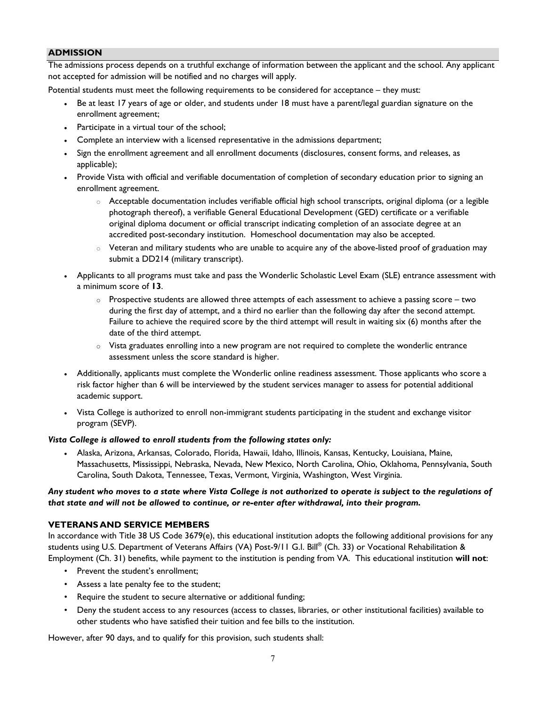#### **ADMISSION**

The admissions process depends on a truthful exchange of information between the applicant and the school. Any applicant not accepted for admission will be notified and no charges will apply.

Potential students must meet the following requirements to be considered for acceptance – they must:

- Be at least 17 years of age or older, and students under 18 must have a parent/legal guardian signature on the enrollment agreement;
- Participate in a virtual tour of the school;
- Complete an interview with a licensed representative in the admissions department;
- Sign the enrollment agreement and all enrollment documents (disclosures, consent forms, and releases, as applicable);
- Provide Vista with official and verifiable documentation of completion of secondary education prior to signing an enrollment agreement.
	- o Acceptable documentation includes verifiable official high school transcripts, original diploma (or a legible photograph thereof), a verifiable General Educational Development (GED) certificate or a verifiable original diploma document or official transcript indicating completion of an associate degree at an accredited post-secondary institution. Homeschool documentation may also be accepted.
	- $\circ$  Veteran and military students who are unable to acquire any of the above-listed proof of graduation may submit a DD214 (military transcript).
- Applicants to all programs must take and pass the Wonderlic Scholastic Level Exam (SLE) entrance assessment with a minimum score of **13**.
	- $\circ$  Prospective students are allowed three attempts of each assessment to achieve a passing score two during the first day of attempt, and a third no earlier than the following day after the second attempt. Failure to achieve the required score by the third attempt will result in waiting six (6) months after the date of the third attempt.
	- $\circ$  Vista graduates enrolling into a new program are not required to complete the wonderlic entrance assessment unless the score standard is higher.
- Additionally, applicants must complete the Wonderlic online readiness assessment. Those applicants who score a risk factor higher than 6 will be interviewed by the student services manager to assess for potential additional academic support.
- Vista College is authorized to enroll non-immigrant students participating in the student and exchange visitor program (SEVP).

#### *Vista College is allowed to enroll students from the following states only:*

• Alaska, Arizona, Arkansas, Colorado, Florida, Hawaii, Idaho, Illinois, Kansas, Kentucky, Louisiana, Maine, Massachusetts, Mississippi, Nebraska, Nevada, New Mexico, North Carolina, Ohio, Oklahoma, Pennsylvania, South Carolina, South Dakota, Tennessee, Texas, Vermont, Virginia, Washington, West Virginia.

#### <span id="page-6-0"></span>*Any student who moves to a state where Vista College is not authorized to operate is subject to the regulations of that state and will not be allowed to continue, or re-enter after withdrawal, into their program.*

## **VETERANS AND SERVICE MEMBERS**

In accordance with Title 38 US Code 3679(e), this educational institution adopts the following additional provisions for any students using U.S. Department of Veterans Affairs (VA) Post-9/11 G.I. Bill® (Ch. 33) or Vocational Rehabilitation & Employment (Ch. 31) benefits, while payment to the institution is pending from VA. This educational institution **will not**:

- Prevent the student's enrollment;
- Assess a late penalty fee to the student;
- Require the student to secure alternative or additional funding;
- Deny the student access to any resources (access to classes, libraries, or other institutional facilities) available to other students who have satisfied their tuition and fee bills to the institution.

However, after 90 days, and to qualify for this provision, such students shall: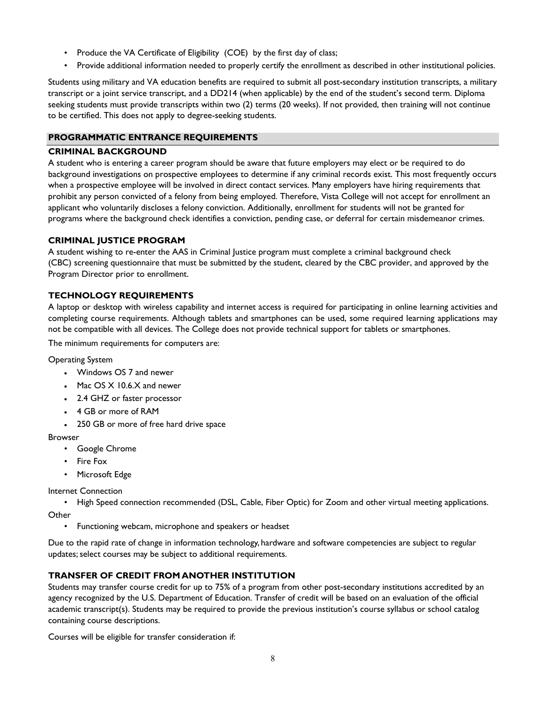- Produce the VA Certificate of Eligibility (COE) by the first day of class;
- Provide additional information needed to properly certify the enrollment as described in other institutional policies.

Students using military and VA education benefits are required to submit all post-secondary institution transcripts, a military transcript or a joint service transcript, and a DD214 (when applicable) by the end of the student's second term. Diploma seeking students must provide transcripts within two (2) terms (20 weeks). If not provided, then training will not continue to be certified. This does not apply to degree-seeking students.

## **PROGRAMMATIC ENTRANCE REQUIREMENTS**

#### **CRIMINAL BACKGROUND**

A student who is entering a career program should be aware that future employers may elect or be required to do background investigations on prospective employees to determine if any criminal records exist. This most frequently occurs when a prospective employee will be involved in direct contact services. Many employers have hiring requirements that prohibit any person convicted of a felony from being employed. Therefore, Vista College will not accept for enrollment an applicant who voluntarily discloses a felony conviction. Additionally, enrollment for students will not be granted for programs where the background check identifies a conviction, pending case, or deferral for certain misdemeanor crimes.

#### **CRIMINAL JUSTICE PROGRAM**

A student wishing to re-enter the AAS in Criminal Justice program must complete a criminal background check (CBC) screening questionnaire that must be submitted by the student, cleared by the CBC provider, and approved by the Program Director prior to enrollment.

## <span id="page-7-0"></span>**TECHNOLOGY REQUIREMENTS**

A laptop or desktop with wireless capability and internet access is required for participating in online learning activities and completing course requirements. Although tablets and smartphones can be used, some required learning applications may not be compatible with all devices. The College does not provide technical support for tablets or smartphones.

The minimum requirements for computers are:

#### Operating System

- Windows OS 7 and newer
- Mac OS X 10.6.X and newer
- 2.4 GHZ or faster processor
- 4 GB or more of RAM
- 250 GB or more of free hard drive space

#### Browser

- Google Chrome
- Fire Fox
- Microsoft Edge

Internet Connection

- High Speed connection recommended (DSL, Cable, Fiber Optic) for Zoom and other virtual meeting applications. **Other** 
	- Functioning webcam, microphone and speakers or headset

Due to the rapid rate of change in information technology, hardware and software competencies are subject to regular updates; select courses may be subject to additional requirements.

## <span id="page-7-1"></span>**TRANSFER OF CREDIT FROM ANOTHER INSTITUTION**

Students may transfer course credit for up to 75% of a program from other post-secondary institutions accredited by an agency recognized by the U.S. Department of Education. Transfer of credit will be based on an evaluation of the official academic transcript(s). Students may be required to provide the previous institution's course syllabus or school catalog containing course descriptions.

Courses will be eligible for transfer consideration if: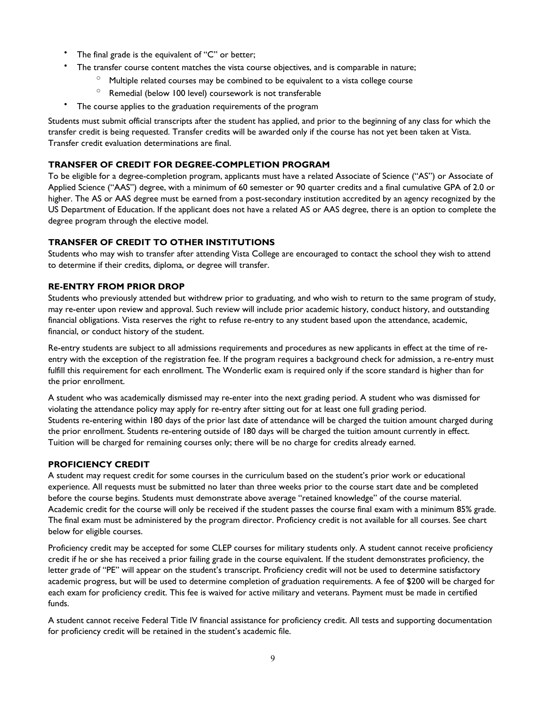- The final grade is the equivalent of "C" or better;
- The transfer course content matches the vista course objectives, and is comparable in nature;
	- $\degree$  Multiple related courses may be combined to be equivalent to a vista college course
	- $\degree$  Remedial (below 100 level) coursework is not transferable
- The course applies to the graduation requirements of the program

Students must submit official transcripts after the student has applied, and prior to the beginning of any class for which the transfer credit is being requested. Transfer credits will be awarded only if the course has not yet been taken at Vista. Transfer credit evaluation determinations are final.

## **TRANSFER OF CREDIT FOR DEGREE-COMPLETION PROGRAM**

To be eligible for a degree-completion program, applicants must have a related Associate of Science ("AS") or Associate of Applied Science ("AAS") degree, with a minimum of 60 semester or 90 quarter credits and a final cumulative GPA of 2.0 or higher. The AS or AAS degree must be earned from a post-secondary institution accredited by an agency recognized by the US Department of Education. If the applicant does not have a related AS or AAS degree, there is an option to complete the degree program through the elective model.

## **TRANSFER OF CREDIT TO OTHER INSTITUTIONS**

Students who may wish to transfer after attending Vista College are encouraged to contact the school they wish to attend to determine if their credits, diploma, or degree will transfer.

#### <span id="page-8-0"></span>**RE-ENTRY FROM PRIOR DROP**

Students who previously attended but withdrew prior to graduating, and who wish to return to the same program of study, may re-enter upon review and approval. Such review will include prior academic history, conduct history, and outstanding financial obligations. Vista reserves the right to refuse re-entry to any student based upon the attendance, academic, financial, or conduct history of the student.

Re-entry students are subject to all admissions requirements and procedures as new applicants in effect at the time of reentry with the exception of the registration fee. If the program requires a background check for admission, a re-entry must fulfill this requirement for each enrollment. The Wonderlic exam is required only if the score standard is higher than for the prior enrollment.

A student who was academically dismissed may re-enter into the next grading period. A student who was dismissed for violating the attendance policy may apply for re-entry after sitting out for at least one full grading period. Students re-entering within 180 days of the prior last date of attendance will be charged the tuition amount charged during the prior enrollment. Students re-entering outside of 180 days will be charged the tuition amount currently in effect. Tuition will be charged for remaining courses only; there will be no charge for credits already earned.

#### **PROFICIENCY CREDIT**

A student may request credit for some courses in the curriculum based on the student's prior work or educational experience. All requests must be submitted no later than three weeks prior to the course start date and be completed before the course begins. Students must demonstrate above average "retained knowledge" of the course material. Academic credit for the course will only be received if the student passes the course final exam with a minimum 85% grade. The final exam must be administered by the program director. Proficiency credit is not available for all courses. See chart below for eligible courses.

Proficiency credit may be accepted for some CLEP courses for military students only. A student cannot receive proficiency credit if he or she has received a prior failing grade in the course equivalent. If the student demonstrates proficiency, the letter grade of "PE" will appear on the student's transcript. Proficiency credit will not be used to determine satisfactory academic progress, but will be used to determine completion of graduation requirements. A fee of \$200 will be charged for each exam for proficiency credit. This fee is waived for active military and veterans. Payment must be made in certified funds.

A student cannot receive Federal Title IV financial assistance for proficiency credit. All tests and supporting documentation for proficiency credit will be retained in the student's academic file.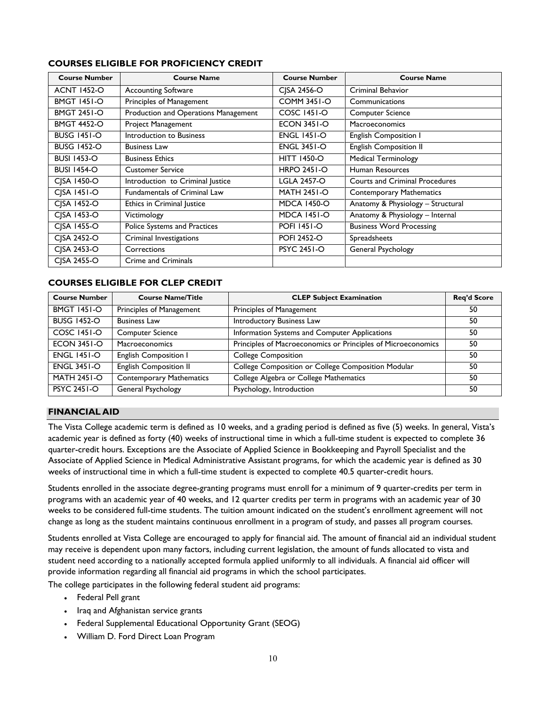## **COURSES ELIGIBLE FOR PROFICIENCY CREDIT**

| <b>Course Number</b> | <b>Course Name</b>                   | <b>Course Number</b> | <b>Course Name</b>                    |
|----------------------|--------------------------------------|----------------------|---------------------------------------|
| <b>ACNT 1452-O</b>   | <b>Accounting Software</b>           | CISA 2456-O          | Criminal Behavior                     |
| <b>BMGT 1451-O</b>   | Principles of Management             | <b>COMM 3451-O</b>   | Communications                        |
| <b>BMGT 2451-O</b>   | Production and Operations Management | <b>COSC 1451-O</b>   | <b>Computer Science</b>               |
| <b>BMGT 4452-O</b>   | Project Management                   | <b>ECON 3451-O</b>   | <b>Macroeconomics</b>                 |
| <b>BUSG 1451-O</b>   | Introduction to Business             | <b>ENGL 1451-O</b>   | <b>English Composition I</b>          |
| <b>BUSG 1452-O</b>   | <b>Business Law</b>                  | <b>ENGL 3451-O</b>   | <b>English Composition II</b>         |
| <b>BUSI 1453-O</b>   | <b>Business Ethics</b>               | <b>HITT 1450-O</b>   | <b>Medical Terminology</b>            |
| <b>BUSI 1454-O</b>   | <b>Customer Service</b>              | <b>HRPO 2451-O</b>   | Human Resources                       |
| CJSA 1450-O          | Introduction to Criminal Justice     | <b>LGLA 2457-O</b>   | <b>Courts and Criminal Procedures</b> |
| CJSA 1451-O          | <b>Fundamentals of Criminal Law</b>  | <b>MATH 2451-O</b>   | <b>Contemporary Mathematics</b>       |
| CJSA 1452-O          | Ethics in Criminal Justice           | <b>MDCA 1450-O</b>   | Anatomy & Physiology - Structural     |
| CISA 1453-O          | Victimology                          | <b>MDCA 1451-O</b>   | Anatomy & Physiology - Internal       |
| CJSA 1455-O          | Police Systems and Practices         | <b>POFI 1451-O</b>   | <b>Business Word Processing</b>       |
| CISA 2452-O          | Criminal Investigations              | <b>POFI 2452-O</b>   | Spreadsheets                          |
| CISA 2453-O          | Corrections                          | <b>PSYC 2451-O</b>   | General Psychology                    |
| CISA 2455-O          | <b>Crime and Criminals</b>           |                      |                                       |

## **COURSES ELIGIBLE FOR CLEP CREDIT**

| <b>Course Number</b> | <b>Course Name/Title</b>        | <b>CLEP Subject Examination</b>                              | <b>Req'd Score</b> |
|----------------------|---------------------------------|--------------------------------------------------------------|--------------------|
| <b>BMGT 1451-O</b>   | Principles of Management        | Principles of Management                                     | 50                 |
| <b>BUSG 1452-O</b>   | <b>Business Law</b>             | Introductory Business Law                                    | 50                 |
| <b>COSC 1451-O</b>   | <b>Computer Science</b>         | Information Systems and Computer Applications                | 50                 |
| <b>ECON 3451-O</b>   | Macroeconomics                  | Principles of Macroeconomics or Principles of Microeconomics | 50                 |
| <b>ENGL 1451-O</b>   | <b>English Composition I</b>    | <b>College Composition</b>                                   | 50                 |
| <b>ENGL 3451-O</b>   | <b>English Composition II</b>   | College Composition or College Composition Modular           | 50                 |
| <b>MATH 2451-O</b>   | <b>Contemporary Mathematics</b> | College Algebra or College Mathematics                       | 50                 |
| <b>PSYC 2451-O</b>   | General Psychology              | Psychology, Introduction                                     | 50                 |

#### <span id="page-9-0"></span>**FINANCIAL AID**

The Vista College academic term is defined as 10 weeks, and a grading period is defined as five (5) weeks. In general, Vista's academic year is defined as forty (40) weeks of instructional time in which a full-time student is expected to complete 36 quarter-credit hours. Exceptions are the Associate of Applied Science in Bookkeeping and Payroll Specialist and the Associate of Applied Science in Medical Administrative Assistant programs, for which the academic year is defined as 30 weeks of instructional time in which a full-time student is expected to complete 40.5 quarter-credit hours.

Students enrolled in the associate degree-granting programs must enroll for a minimum of 9 quarter-credits per term in programs with an academic year of 40 weeks, and 12 quarter credits per term in programs with an academic year of 30 weeks to be considered full-time students. The tuition amount indicated on the student's enrollment agreement will not change as long as the student maintains continuous enrollment in a program of study, and passes all program courses.

Students enrolled at Vista College are encouraged to apply for financial aid. The amount of financial aid an individual student may receive is dependent upon many factors, including current legislation, the amount of funds allocated to vista and student need according to a nationally accepted formula applied uniformly to all individuals. A financial aid officer will provide information regarding all financial aid programs in which the school participates.

The college participates in the following federal student aid programs:

- Federal Pell grant
- Iraq and Afghanistan service grants
- Federal Supplemental Educational Opportunity Grant (SEOG)
- William D. Ford Direct Loan Program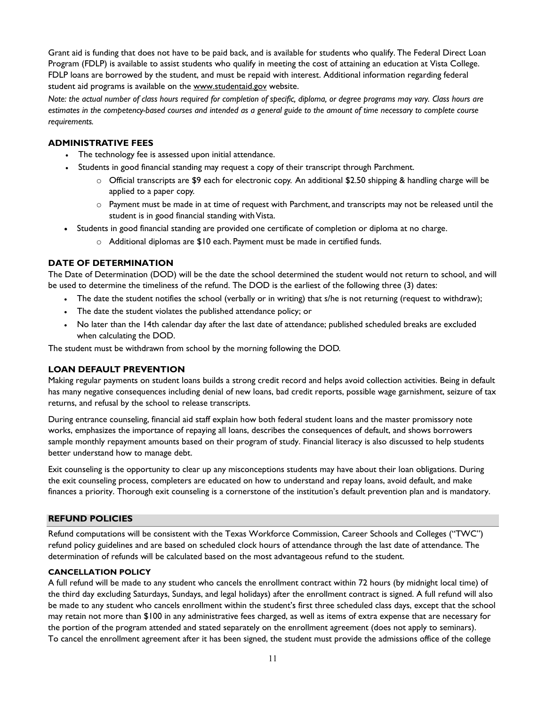Grant aid is funding that does not have to be paid back, and is available for students who qualify. The Federal Direct Loan Program (FDLP) is available to assist students who qualify in meeting the cost of attaining an education at Vista College. FDLP loans are borrowed by the student, and must be repaid with interest. Additional information regarding federal student aid programs is available on the [www.studentaid.gov](http://www.studentaid.gov/) website.

*Note: the actual number of class hours required for completion of specific, diploma, or degree programs may vary. Class hours are estimates in the competency-based courses and intended as a general guide to the amount of time necessary to complete course requirements.* 

#### <span id="page-10-0"></span>**ADMINISTRATIVE FEES**

- The technology fee is assessed upon initial attendance.
	- Students in good financial standing may request a copy of their transcript through Parchment.
		- o Official transcripts are \$9 each for electronic copy. An additional \$2.50 shipping & handling charge will be applied to a paper copy.
		- $\circ$  Payment must be made in at time of request with Parchment, and transcripts may not be released until the student is in good financial standing with Vista.
- Students in good financial standing are provided one certificate of completion or diploma at no charge.
	- o Additional diplomas are \$10 each. Payment must be made in certified funds.

#### **DATE OF DETERMINATION**

The Date of Determination (DOD) will be the date the school determined the student would not return to school, and will be used to determine the timeliness of the refund. The DOD is the earliest of the following three (3) dates:

- The date the student notifies the school (verbally or in writing) that s/he is not returning (request to withdraw);
- The date the student violates the published attendance policy; or
- No later than the 14th calendar day after the last date of attendance; published scheduled breaks are excluded when calculating the DOD.

The student must be withdrawn from school by the morning following the DOD.

#### <span id="page-10-1"></span>**LOAN DEFAULT PREVENTION**

Making regular payments on student loans builds a strong credit record and helps avoid collection activities. Being in default has many negative consequences including denial of new loans, bad credit reports, possible wage garnishment, seizure of tax returns, and refusal by the school to release transcripts.

During entrance counseling, financial aid staff explain how both federal student loans and the master promissory note works, emphasizes the importance of repaying all loans, describes the consequences of default, and shows borrowers sample monthly repayment amounts based on their program of study. Financial literacy is also discussed to help students better understand how to manage debt.

Exit counseling is the opportunity to clear up any misconceptions students may have about their loan obligations. During the exit counseling process, completers are educated on how to understand and repay loans, avoid default, and make finances a priority. Thorough exit counseling is a cornerstone of the institution's default prevention plan and is mandatory.

#### <span id="page-10-2"></span>**REFUND POLICIES**

Refund computations will be consistent with the Texas Workforce Commission, Career Schools and Colleges ("TWC") refund policy guidelines and are based on scheduled clock hours of attendance through the last date of attendance. The determination of refunds will be calculated based on the most advantageous refund to the student.

#### **CANCELLATION POLICY**

A full refund will be made to any student who cancels the enrollment contract within 72 hours (by midnight local time) of the third day excluding Saturdays, Sundays, and legal holidays) after the enrollment contract is signed. A full refund will also be made to any student who cancels enrollment within the student's first three scheduled class days, except that the school may retain not more than \$100 in any administrative fees charged, as well as items of extra expense that are necessary for the portion of the program attended and stated separately on the enrollment agreement (does not apply to seminars). To cancel the enrollment agreement after it has been signed, the student must provide the admissions office of the college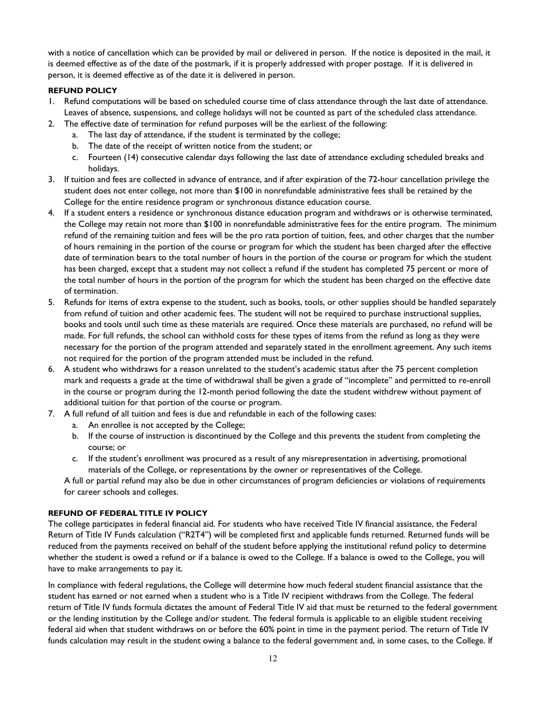with a notice of cancellation which can be provided by mail or delivered in person. If the notice is deposited in the mail, it is deemed effective as of the date of the postmark, if it is properly addressed with proper postage. If it is delivered in person, it is deemed effective as of the date it is delivered in person.

#### **REFUND POLICY**

- 1. Refund computations will be based on scheduled course time of class attendance through the last date of attendance. Leaves of absence, suspensions, and college holidays will not be counted as part of the scheduled class attendance.
- 2. The effective date of termination for refund purposes will be the earliest of the following:
	- a. The last day of attendance, if the student is terminated by the college;
	- b. The date of the receipt of written notice from the student; or
	- c. Fourteen (14) consecutive calendar days following the last date of attendance excluding scheduled breaks and holidays.
- 3. If tuition and fees are collected in advance of entrance, and if after expiration of the 72-hour cancellation privilege the student does not enter college, not more than \$100 in nonrefundable administrative fees shall be retained by the College for the entire residence program or synchronous distance education course.
- 4. If a student enters a residence or synchronous distance education program and withdraws or is otherwise terminated, the College may retain not more than \$100 in nonrefundable administrative fees for the entire program. The minimum refund of the remaining tuition and fees will be the pro rata portion of tuition, fees, and other charges that the number of hours remaining in the portion of the course or program for which the student has been charged after the effective date of termination bears to the total number of hours in the portion of the course or program for which the student has been charged, except that a student may not collect a refund if the student has completed 75 percent or more of the total number of hours in the portion of the program for which the student has been charged on the effective date of termination.
- 5. Refunds for items of extra expense to the student, such as books, tools, or other supplies should be handled separately from refund of tuition and other academic fees. The student will not be required to purchase instructional supplies, books and tools until such time as these materials are required. Once these materials are purchased, no refund will be made. For full refunds, the school can withhold costs for these types of items from the refund as long as they were necessary for the portion of the program attended and separately stated in the enrollment agreement. Any such items not required for the portion of the program attended must be included in the refund.
- 6. A student who withdraws for a reason unrelated to the student's academic status after the 75 percent completion mark and requests a grade at the time of withdrawal shall be given a grade of "incomplete" and permitted to re-enroll in the course or program during the 12-month period following the date the student withdrew without payment of additional tuition for that portion of the course or program.
- 7. A full refund of all tuition and fees is due and refundable in each of the following cases:
	- a. An enrollee is not accepted by the College;
	- b. If the course of instruction is discontinued by the College and this prevents the student from completing the course; or
	- c. If the student's enrollment was procured as a result of any misrepresentation in advertising, promotional materials of the College, or representations by the owner or representatives of the College.

A full or partial refund may also be due in other circumstances of program deficiencies or violations of requirements for career schools and colleges.

#### <span id="page-11-0"></span>**REFUND OF FEDERAL TITLE IV POLICY**

The college participates in federal financial aid. For students who have received Title IV financial assistance, the Federal Return of Title IV Funds calculation ("R2T4") will be completed first and applicable funds returned. Returned funds will be reduced from the payments received on behalf of the student before applying the institutional refund policy to determine whether the student is owed a refund or if a balance is owed to the College. If a balance is owed to the College, you will have to make arrangements to pay it.

In compliance with federal regulations, the College will determine how much federal student financial assistance that the student has earned or not earned when a student who is a Title IV recipient withdraws from the College. The federal return of Title IV funds formula dictates the amount of Federal Title IV aid that must be returned to the federal government or the lending institution by the College and/or student. The federal formula is applicable to an eligible student receiving federal aid when that student withdraws on or before the 60% point in time in the payment period. The return of Title IV funds calculation may result in the student owing a balance to the federal government and, in some cases, to the College. If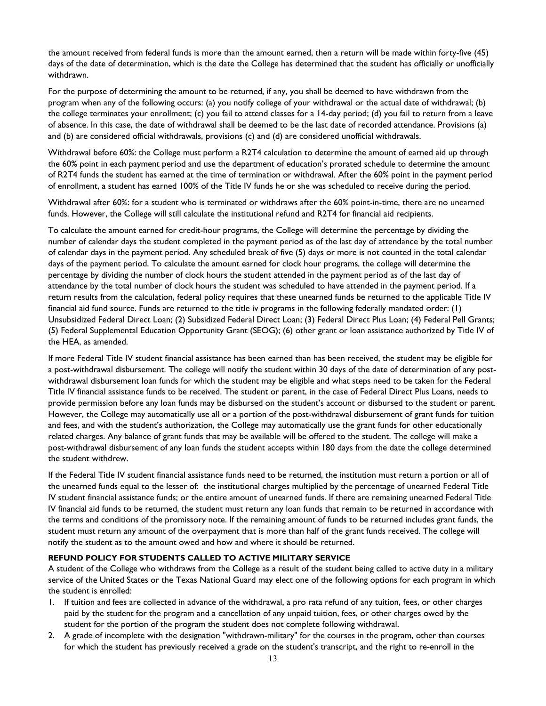the amount received from federal funds is more than the amount earned, then a return will be made within forty-five (45) days of the date of determination, which is the date the College has determined that the student has officially or unofficially withdrawn.

For the purpose of determining the amount to be returned, if any, you shall be deemed to have withdrawn from the program when any of the following occurs: (a) you notify college of your withdrawal or the actual date of withdrawal; (b) the college terminates your enrollment; (c) you fail to attend classes for a 14-day period; (d) you fail to return from a leave of absence. In this case, the date of withdrawal shall be deemed to be the last date of recorded attendance. Provisions (a) and (b) are considered official withdrawals, provisions (c) and (d) are considered unofficial withdrawals.

Withdrawal before 60%: the College must perform a R2T4 calculation to determine the amount of earned aid up through the 60% point in each payment period and use the department of education's prorated schedule to determine the amount of R2T4 funds the student has earned at the time of termination or withdrawal. After the 60% point in the payment period of enrollment, a student has earned 100% of the Title IV funds he or she was scheduled to receive during the period.

Withdrawal after 60%: for a student who is terminated or withdraws after the 60% point-in-time, there are no unearned funds. However, the College will still calculate the institutional refund and R2T4 for financial aid recipients.

To calculate the amount earned for credit-hour programs, the College will determine the percentage by dividing the number of calendar days the student completed in the payment period as of the last day of attendance by the total number of calendar days in the payment period. Any scheduled break of five (5) days or more is not counted in the total calendar days of the payment period. To calculate the amount earned for clock hour programs, the college will determine the percentage by dividing the number of clock hours the student attended in the payment period as of the last day of attendance by the total number of clock hours the student was scheduled to have attended in the payment period. If a return results from the calculation, federal policy requires that these unearned funds be returned to the applicable Title IV financial aid fund source. Funds are returned to the title iv programs in the following federally mandated order: (1) Unsubsidized Federal Direct Loan; (2) Subsidized Federal Direct Loan; (3) Federal Direct Plus Loan; (4) Federal Pell Grants; (5) Federal Supplemental Education Opportunity Grant (SEOG); (6) other grant or loan assistance authorized by Title IV of the HEA, as amended.

If more Federal Title IV student financial assistance has been earned than has been received, the student may be eligible for a post-withdrawal disbursement. The college will notify the student within 30 days of the date of determination of any postwithdrawal disbursement loan funds for which the student may be eligible and what steps need to be taken for the Federal Title IV financial assistance funds to be received. The student or parent, in the case of Federal Direct Plus Loans, needs to provide permission before any loan funds may be disbursed on the student's account or disbursed to the student or parent. However, the College may automatically use all or a portion of the post-withdrawal disbursement of grant funds for tuition and fees, and with the student's authorization, the College may automatically use the grant funds for other educationally related charges. Any balance of grant funds that may be available will be offered to the student. The college will make a post-withdrawal disbursement of any loan funds the student accepts within 180 days from the date the college determined the student withdrew.

If the Federal Title IV student financial assistance funds need to be returned, the institution must return a portion or all of the unearned funds equal to the lesser of: the institutional charges multiplied by the percentage of unearned Federal Title IV student financial assistance funds; or the entire amount of unearned funds. If there are remaining unearned Federal Title IV financial aid funds to be returned, the student must return any loan funds that remain to be returned in accordance with the terms and conditions of the promissory note. If the remaining amount of funds to be returned includes grant funds, the student must return any amount of the overpayment that is more than half of the grant funds received. The college will notify the student as to the amount owed and how and where it should be returned.

#### **REFUND POLICY FOR STUDENTS CALLED TO ACTIVE MILITARY SERVICE**

A student of the College who withdraws from the College as a result of the student being called to active duty in a military service of the United States or the Texas National Guard may elect one of the following options for each program in which the student is enrolled:

- 1. If tuition and fees are collected in advance of the withdrawal, a pro rata refund of any tuition, fees, or other charges paid by the student for the program and a cancellation of any unpaid tuition, fees, or other charges owed by the student for the portion of the program the student does not complete following withdrawal.
- 2. A grade of incomplete with the designation "withdrawn-military" for the courses in the program, other than courses for which the student has previously received a grade on the student's transcript, and the right to re-enroll in the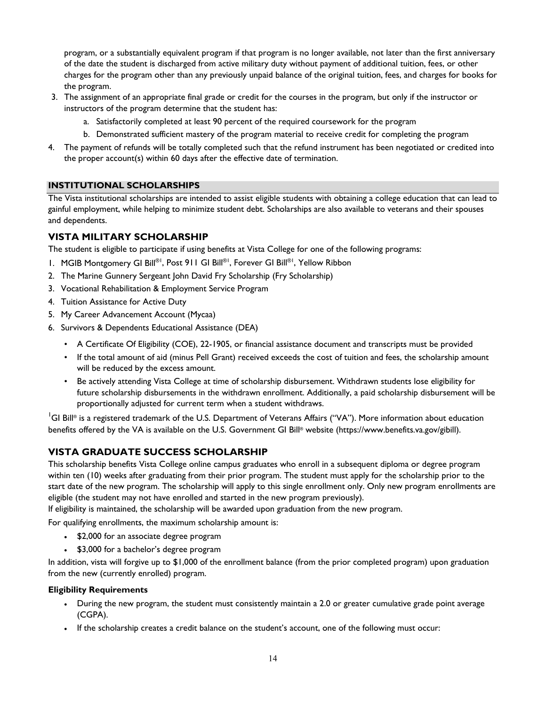program, or a substantially equivalent program if that program is no longer available, not later than the first anniversary of the date the student is discharged from active military duty without payment of additional tuition, fees, or other charges for the program other than any previously unpaid balance of the original tuition, fees, and charges for books for the program.

- 3. The assignment of an appropriate final grade or credit for the courses in the program, but only if the instructor or instructors of the program determine that the student has:
	- a. Satisfactorily completed at least 90 percent of the required coursework for the program
	- b. Demonstrated sufficient mastery of the program material to receive credit for completing the program
- 4. The payment of refunds will be totally completed such that the refund instrument has been negotiated or credited into the proper account(s) within 60 days after the effective date of termination.

#### <span id="page-13-0"></span>**INSTITUTIONAL SCHOLARSHIPS**

The Vista institutional scholarships are intended to assist eligible students with obtaining a college education that can lead to gainful employment, while helping to minimize student debt. Scholarships are also available to veterans and their spouses and dependents.

## <span id="page-13-1"></span>**VISTA MILITARY SCHOLARSHIP**

The student is eligible to participate if using benefits at Vista College for one of the following programs:

- 1. MGIB Montgomery GI Bill®1, Post 911 GI Bill®1, Forever GI Bill®1, Yellow Ribbon
- 2. The Marine Gunnery Sergeant John David Fry Scholarship (Fry Scholarship)
- 3. Vocational Rehabilitation & Employment Service Program
- 4. Tuition Assistance for Active Duty
- 5. My Career Advancement Account (Mycaa)
- 6. Survivors & Dependents Educational Assistance (DEA)
	- A Certificate Of Eligibility (COE), 22-1905, or financial assistance document and transcripts must be provided
	- If the total amount of aid (minus Pell Grant) received exceeds the cost of tuition and fees, the scholarship amount will be reduced by the excess amount.
	- Be actively attending Vista College at time of scholarship disbursement. Withdrawn students lose eligibility for future scholarship disbursements in the withdrawn enrollment. Additionally, a paid scholarship disbursement will be proportionally adjusted for current term when a student withdraws.

 $^1$ GI Bill® is a registered trademark of the U.S. Department of Veterans Affairs ("VA"). More information about education benefits offered by the VA is available on the U.S. Government GI Bill® website (https://www.benefits.va.gov/gibill).

## **VISTA GRADUATE SUCCESS SCHOLARSHIP**

This scholarship benefits Vista College online campus graduates who enroll in a subsequent diploma or degree program within ten (10) weeks after graduating from their prior program. The student must apply for the scholarship prior to the start date of the new program. The scholarship will apply to this single enrollment only. Only new program enrollments are eligible (the student may not have enrolled and started in the new program previously).

If eligibility is maintained, the scholarship will be awarded upon graduation from the new program.

For qualifying enrollments, the maximum scholarship amount is:

- \$2,000 for an associate degree program
- \$3,000 for a bachelor's degree program

In addition, vista will forgive up to \$1,000 of the enrollment balance (from the prior completed program) upon graduation from the new (currently enrolled) program.

#### **Eligibility Requirements**

- During the new program, the student must consistently maintain a 2.0 or greater cumulative grade point average (CGPA).
- If the scholarship creates a credit balance on the student's account, one of the following must occur: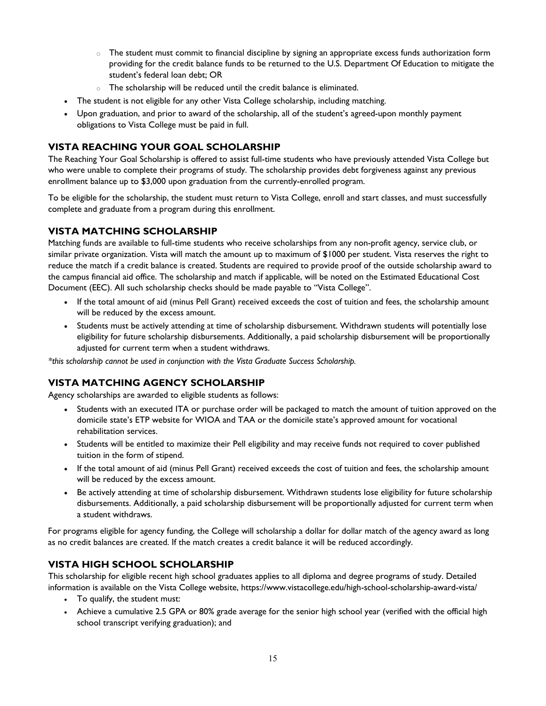- $\circ$  The student must commit to financial discipline by signing an appropriate excess funds authorization form providing for the credit balance funds to be returned to the U.S. Department Of Education to mitigate the student's federal loan debt; OR
- o The scholarship will be reduced until the credit balance is eliminated.
- The student is not eligible for any other Vista College scholarship, including matching.
- Upon graduation, and prior to award of the scholarship, all of the student's agreed-upon monthly payment obligations to Vista College must be paid in full.

## <span id="page-14-0"></span>**VISTA REACHING YOUR GOAL SCHOLARSHIP**

<span id="page-14-1"></span>The Reaching Your Goal Scholarship is offered to assist full-time students who have previously attended Vista College but who were unable to complete their programs of study. The scholarship provides debt forgiveness against any previous enrollment balance up to \$3,000 upon graduation from the currently-enrolled program.

To be eligible for the scholarship, the student must return to Vista College, enroll and start classes, and must successfully complete and graduate from a program during this enrollment.

## **VISTA MATCHING SCHOLARSHIP**

Matching funds are available to full-time students who receive scholarships from any non-profit agency, service club, or similar private organization. Vista will match the amount up to maximum of \$1000 per student. Vista reserves the right to reduce the match if a credit balance is created. Students are required to provide proof of the outside scholarship award to the campus financial aid office. The scholarship and match if applicable, will be noted on the Estimated Educational Cost Document (EEC). All such scholarship checks should be made payable to "Vista College".

- If the total amount of aid (minus Pell Grant) received exceeds the cost of tuition and fees, the scholarship amount will be reduced by the excess amount.
- Students must be actively attending at time of scholarship disbursement. Withdrawn students will potentially lose eligibility for future scholarship disbursements. Additionally, a paid scholarship disbursement will be proportionally adjusted for current term when a student withdraws.

*\*this scholarship cannot be used in conjunction with the Vista Graduate Success Scholarship.*

## <span id="page-14-2"></span>**VISTA MATCHING AGENCY SCHOLARSHIP**

Agency scholarships are awarded to eligible students as follows:

- Students with an executed ITA or purchase order will be packaged to match the amount of tuition approved on the domicile state's ETP website for WIOA and TAA or the domicile state's approved amount for vocational rehabilitation services.
- Students will be entitled to maximize their Pell eligibility and may receive funds not required to cover published tuition in the form of stipend.
- If the total amount of aid (minus Pell Grant) received exceeds the cost of tuition and fees, the scholarship amount will be reduced by the excess amount.
- Be actively attending at time of scholarship disbursement. Withdrawn students lose eligibility for future scholarship disbursements. Additionally, a paid scholarship disbursement will be proportionally adjusted for current term when a student withdraws.

For programs eligible for agency funding, the College will scholarship a dollar for dollar match of the agency award as long as no credit balances are created. If the match creates a credit balance it will be reduced accordingly.

## <span id="page-14-3"></span>**VISTA HIGH SCHOOL SCHOLARSHIP**

This scholarship for eligible recent high school graduates applies to all diploma and degree programs of study. Detailed information is available on the Vista College website,<https://www.vistacollege.edu/high-school-scholarship-award-vista/>

- To qualify, the student must:
- Achieve a cumulative 2.5 GPA or 80% grade average for the senior high school year (verified with the official high school transcript verifying graduation); and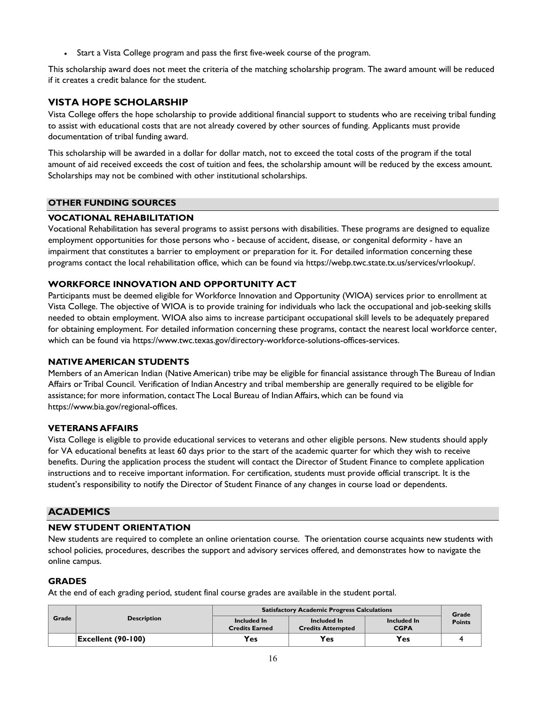• Start a Vista College program and pass the first five-week course of the program.

This scholarship award does not meet the criteria of the matching scholarship program. The award amount will be reduced if it creates a credit balance for the student.

## <span id="page-15-0"></span>**VISTA HOPE SCHOLARSHIP**

Vista College offers the hope scholarship to provide additional financial support to students who are receiving tribal funding to assist with educational costs that are not already covered by other sources of funding. Applicants must provide documentation of tribal funding award.

This scholarship will be awarded in a dollar for dollar match, not to exceed the total costs of the program if the total amount of aid received exceeds the cost of tuition and fees, the scholarship amount will be reduced by the excess amount. Scholarships may not be combined with other institutional scholarships.

## **OTHER FUNDING SOURCES**

## <span id="page-15-1"></span>**VOCATIONAL REHABILITATION**

Vocational Rehabilitation has several programs to assist persons with disabilities. These programs are designed to equalize employment opportunities for those persons who - because of accident, disease, or congenital deformity - have an impairment that constitutes a barrier to employment or preparation for it. For detailed information concerning these programs contact the local rehabilitation office, which can be found via https://webp.twc.state.tx.us/services/vrlookup/.

## <span id="page-15-2"></span>**WORKFORCE INNOVATION AND OPPORTUNITY ACT**

Participants must be deemed eligible for Workforce Innovation and Opportunity (WIOA) services prior to enrollment at Vista College. The objective of WIOA is to provide training for individuals who lack the occupational and job-seeking skills needed to obtain employment. WIOA also aims to increase participant occupational skill levels to be adequately prepared for obtaining employment. For detailed information concerning these programs, contact the nearest local workforce center, which can be found via https://www.twc.texas.gov/directory-workforce-solutions-offices-services.

#### <span id="page-15-3"></span>**NATIVE AMERICAN STUDENTS**

Members of an American Indian (Native American) tribe may be eligible for financial assistance through The Bureau of Indian Affairs or Tribal Council. Verification of Indian Ancestry and tribal membership are generally required to be eligible for assistance; for more information, contact The Local Bureau of Indian Affairs, which can be found via [https://www.bia.gov/regional-offices.](https://www.bia.gov/regional-offices)

## <span id="page-15-4"></span>**VETERANS AFFAIRS**

Vista College is eligible to provide educational services to veterans and other eligible persons. New students should apply for VA educational benefits at least 60 days prior to the start of the academic quarter for which they wish to receive benefits. During the application process the student will contact the Director of Student Finance to complete application instructions and to receive important information. For certification, students must provide official transcript. It is the student's responsibility to notify the Director of Student Finance of any changes in course load or dependents.

## <span id="page-15-5"></span>**ACADEMICS**

## **NEW STUDENT ORIENTATION**

New students are required to complete an online orientation course. The orientation course acquaints new students with school policies, procedures, describes the support and advisory services offered, and demonstrates how to navigate the online campus.

## <span id="page-15-6"></span>**GRADES**

At the end of each grading period, student final course grades are available in the student portal.

|       |                                          | <b>Satisfactory Academic Progress Calculations</b> |                                         |                            |                        |  |
|-------|------------------------------------------|----------------------------------------------------|-----------------------------------------|----------------------------|------------------------|--|
| Grade | <b>Description</b>                       | Included In<br><b>Credits Earned</b>               | Included In<br><b>Credits Attempted</b> | Included In<br><b>CGPA</b> | Grade<br><b>Points</b> |  |
|       | $\left \text{Excellent (90-100)}\right $ | <b>Yes</b>                                         | <b>Yes</b>                              | <b>Yes</b>                 |                        |  |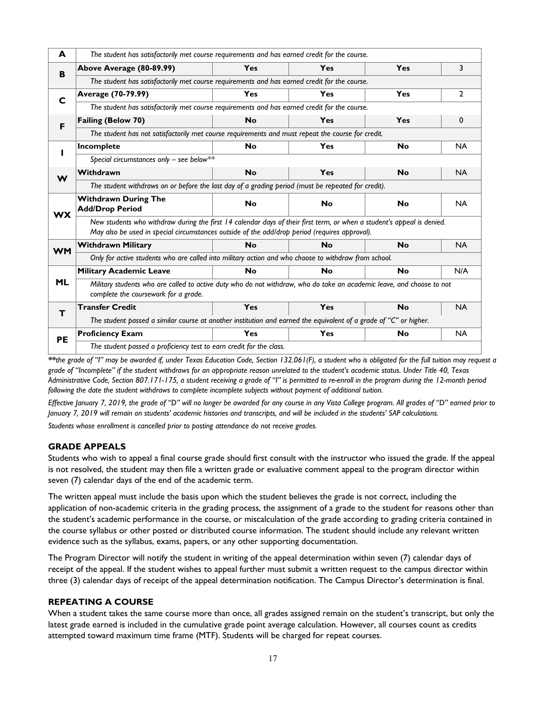| A         | The student has satisfactorily met course requirements and has earned credit for the course.                                                                                                                            |           |            |           |           |
|-----------|-------------------------------------------------------------------------------------------------------------------------------------------------------------------------------------------------------------------------|-----------|------------|-----------|-----------|
| B         | Above Average (80-89.99)                                                                                                                                                                                                | Yes       | Yes        | Yes       | 3         |
|           | The student has satisfactorily met course requirements and has earned credit for the course.                                                                                                                            |           |            |           |           |
| C         | Average (70-79.99)                                                                                                                                                                                                      | Yes       | Yes        | Yes       | 2         |
|           | The student has satisfactorily met course requirements and has earned credit for the course.                                                                                                                            |           |            |           |           |
| F         | <b>Failing (Below 70)</b>                                                                                                                                                                                               | <b>No</b> | <b>Yes</b> | Yes       | 0         |
|           | The student has not satisfactorily met course requirements and must repeat the course for credit.                                                                                                                       |           |            |           |           |
| ı         | Incomplete                                                                                                                                                                                                              | <b>No</b> | Yes        | <b>No</b> | <b>NA</b> |
|           | Special circumstances only - see below**                                                                                                                                                                                |           |            |           |           |
| W         | Withdrawn                                                                                                                                                                                                               | <b>No</b> | <b>Yes</b> | <b>No</b> | <b>NA</b> |
|           | The student withdraws on or before the last day of a grading period (must be repeated for credit).                                                                                                                      |           |            |           |           |
| <b>WX</b> | <b>Withdrawn During The</b><br><b>Add/Drop Period</b>                                                                                                                                                                   | <b>No</b> | <b>No</b>  | <b>No</b> | <b>NA</b> |
|           | New students who withdraw during the first 14 calendar days of their first term, or when a student's appeal is denied.<br>May also be used in special circumstances outside of the add/drop period (requires approval). |           |            |           |           |
| <b>WM</b> | <b>Withdrawn Military</b>                                                                                                                                                                                               | <b>No</b> | <b>No</b>  | <b>No</b> | <b>NA</b> |
|           | Only for active students who are called into military action and who choose to withdraw from school.                                                                                                                    |           |            |           |           |
|           | <b>Military Academic Leave</b>                                                                                                                                                                                          | <b>No</b> | <b>No</b>  | <b>No</b> | N/A       |
| <b>ML</b> | Military students who are called to active duty who do not withdraw, who do take an academic leave, and choose to not<br>complete the coursework for a grade.                                                           |           |            |           |           |
| т         | <b>Transfer Credit</b>                                                                                                                                                                                                  | Yes       | Yes        | <b>No</b> | <b>NA</b> |
|           | The student passed a similar course at another institution and earned the equivalent of a grade of "C" or higher.                                                                                                       |           |            |           |           |
| <b>PE</b> | <b>Proficiency Exam</b>                                                                                                                                                                                                 | Yes       | Yes        | <b>No</b> | <b>NA</b> |
|           |                                                                                                                                                                                                                         |           |            |           |           |

*\*\*the grade of "I" may be awarded if, under Texas Education Code, Section 132.061(F), a student who is obligated for the full tuition may request a grade of "Incomplete" if the student withdraws for an appropriate reason unrelated to the student's academic status. Under Title 40, Texas Administrative Code, Section 807.171-175, a student receiving a grade of "I" is permitted to re-enroll in the program during the 12-month period following the date the student withdraws to complete incomplete subjects without payment of additional tuition.*

*Effective January 7, 2019, the grade of "D" will no longer be awarded for any course in any Vista College program. All grades of "D" earned prior to January 7, 2019 will remain on students' academic histories and transcripts, and will be included in the students' SAP calculations.*

*Students whose enrollment is cancelled prior to posting attendance do not receive grades.*

#### **GRADE APPEALS**

Students who wish to appeal a final course grade should first consult with the instructor who issued the grade. If the appeal is not resolved, the student may then file a written grade or evaluative comment appeal to the program director within seven (7) calendar days of the end of the academic term.

The written appeal must include the basis upon which the student believes the grade is not correct, including the application of non-academic criteria in the grading process, the assignment of a grade to the student for reasons other than the student's academic performance in the course, or miscalculation of the grade according to grading criteria contained in the course syllabus or other posted or distributed course information. The student should include any relevant written evidence such as the syllabus, exams, papers, or any other supporting documentation.

The Program Director will notify the student in writing of the appeal determination within seven (7) calendar days of receipt of the appeal. If the student wishes to appeal further must submit a written request to the campus director within three (3) calendar days of receipt of the appeal determination notification. The Campus Director's determination is final.

#### **REPEATING A COURSE**

When a student takes the same course more than once, all grades assigned remain on the student's transcript, but only the latest grade earned is included in the cumulative grade point average calculation. However, all courses count as credits attempted toward maximum time frame (MTF). Students will be charged for repeat courses.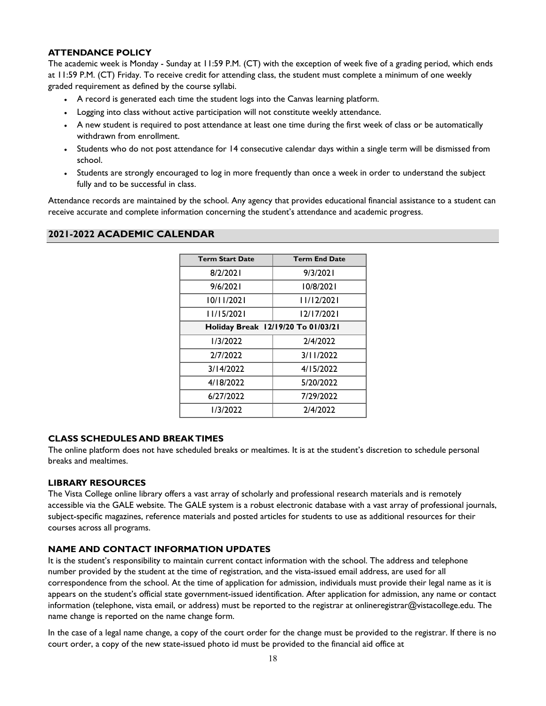#### <span id="page-17-0"></span>**ATTENDANCE POLICY**

The academic week is Monday - Sunday at 11:59 P.M. (CT) with the exception of week five of a grading period, which ends at 11:59 P.M. (CT) Friday. To receive credit for attending class, the student must complete a minimum of one weekly graded requirement as defined by the course syllabi.

- A record is generated each time the student logs into the Canvas learning platform.
- Logging into class without active participation will not constitute weekly attendance.
- A new student is required to post attendance at least one time during the first week of class or be automatically withdrawn from enrollment.
- Students who do not post attendance for 14 consecutive calendar days within a single term will be dismissed from school.
- Students are strongly encouraged to log in more frequently than once a week in order to understand the subject fully and to be successful in class.

Attendance records are maintained by the school. Any agency that provides educational financial assistance to a student can receive accurate and complete information concerning the student's attendance and academic progress.

#### <span id="page-17-1"></span>**2021-2022 ACADEMIC CALENDAR**

| <b>Term Start Date</b>             | <b>Term End Date</b> |
|------------------------------------|----------------------|
| 8/2/2021                           | 9/3/2021             |
| 9/6/2021                           | 10/8/2021            |
| 10/11/2021                         | 11/12/2021           |
| 11/15/2021                         | 12/17/2021           |
| Holiday Break 12/19/20 To 01/03/21 |                      |
| 1/3/2022                           | 2/4/2022             |
| 2/7/2022                           | 3/11/2022            |
| 3/14/2022                          | 4/15/2022            |
| 4/18/2022                          | 5/20/2022            |
| 6/27/2022                          | 7/29/2022            |
| 1/3/2022                           | 2/4/2022             |

#### <span id="page-17-2"></span>**CLASS SCHEDULES AND BREAK TIMES**

The online platform does not have scheduled breaks or mealtimes. It is at the student's discretion to schedule personal breaks and mealtimes.

#### <span id="page-17-3"></span>**LIBRARY RESOURCES**

The Vista College online library offers a vast array of scholarly and professional research materials and is remotely accessible via the GALE website. The GALE system is a robust electronic database with a vast array of professional journals, subject-specific magazines, reference materials and posted articles for students to use as additional resources for their courses across all programs.

## **NAME AND CONTACT INFORMATION UPDATES**

It is the student's responsibility to maintain current contact information with the school. The address and telephone number provided by the student at the time of registration, and the vista-issued email address, are used for all correspondence from the school. At the time of application for admission, individuals must provide their legal name as it is appears on the student's official state government-issued identification. After application for admission, any name or contact information (telephone, vista email, or address) must be reported to the registrar at [onlineregistrar@vistacollege.edu.](mailto:onlineregistrar@vistacollege.edu) The name change is reported on the name change form.

In the case of a legal name change, a copy of the court order for the change must be provided to the registrar. If there is no court order, a copy of the new state-issued photo id must be provided to the financial aid office at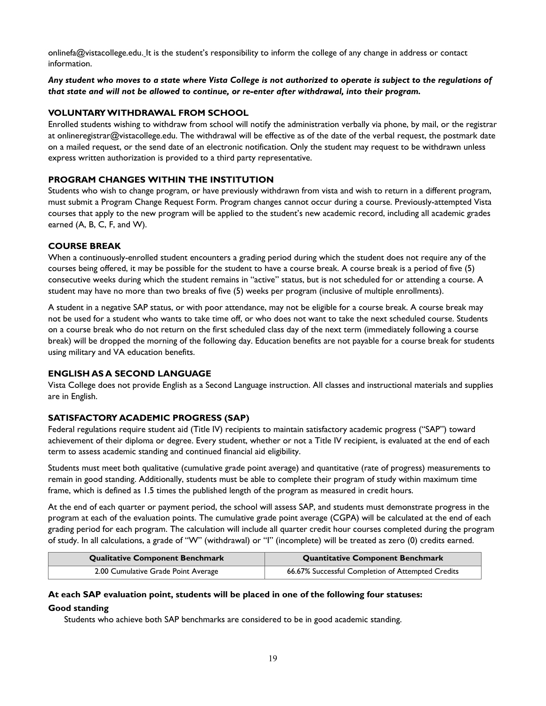[onlinefa@vistacollege.edu.](mailto:onlinefa@vistacollege.edu) It is the student's responsibility to inform the college of any change in address or contact information.

#### *Any student who moves to a state where Vista College is not authorized to operate is subject to the regulations of that state and will not be allowed to continue, or re-enter after withdrawal, into their program.*

## <span id="page-18-0"></span>**VOLUNTARY WITHDRAWAL FROM SCHOOL**

Enrolled students wishing to withdraw from school will notify the administration verbally via phone, by mail, or the registrar at [onlineregistrar@vistacollege.edu.](mailto:onlineregistrar@vistacollege.edu) The withdrawal will be effective as of the date of the verbal request, the postmark date on a mailed request, or the send date of an electronic notification. Only the student may request to be withdrawn unless express written authorization is provided to a third party representative.

#### <span id="page-18-1"></span>**PROGRAM CHANGES WITHIN THE INSTITUTION**

Students who wish to change program, or have previously withdrawn from vista and wish to return in a different program, must submit a Program Change Request Form. Program changes cannot occur during a course. Previously-attempted Vista courses that apply to the new program will be applied to the student's new academic record, including all academic grades earned (A, B, C, F, and W).

#### **COURSE BREAK**

When a continuously-enrolled student encounters a grading period during which the student does not require any of the courses being offered, it may be possible for the student to have a course break. A course break is a period of five (5) consecutive weeks during which the student remains in "active" status, but is not scheduled for or attending a course. A student may have no more than two breaks of five (5) weeks per program (inclusive of multiple enrollments).

A student in a negative SAP status, or with poor attendance, may not be eligible for a course break. A course break may not be used for a student who wants to take time off, or who does not want to take the next scheduled course. Students on a course break who do not return on the first scheduled class day of the next term (immediately following a course break) will be dropped the morning of the following day. Education benefits are not payable for a course break for students using military and VA education benefits.

#### <span id="page-18-2"></span>**ENGLISH AS A SECOND LANGUAGE**

Vista College does not provide English as a Second Language instruction. All classes and instructional materials and supplies are in English.

#### <span id="page-18-3"></span>**SATISFACTORY ACADEMIC PROGRESS (SAP)**

Federal regulations require student aid (Title IV) recipients to maintain satisfactory academic progress ("SAP") toward achievement of their diploma or degree. Every student, whether or not a Title IV recipient, is evaluated at the end of each term to assess academic standing and continued financial aid eligibility.

Students must meet both qualitative (cumulative grade point average) and quantitative (rate of progress) measurements to remain in good standing. Additionally, students must be able to complete their program of study within maximum time frame, which is defined as 1.5 times the published length of the program as measured in credit hours.

At the end of each quarter or payment period, the school will assess SAP, and students must demonstrate progress in the program at each of the evaluation points. The cumulative grade point average (CGPA) will be calculated at the end of each grading period for each program. The calculation will include all quarter credit hour courses completed during the program of study. In all calculations, a grade of "W" (withdrawal) or "I" (incomplete) will be treated as zero (0) credits earned.

| <b>Qualitative Component Benchmark</b> | <b>Quantitative Component Benchmark</b>           |
|----------------------------------------|---------------------------------------------------|
| 2.00 Cumulative Grade Point Average    | 66.67% Successful Completion of Attempted Credits |

## **At each SAP evaluation point, students will be placed in one of the following four statuses: Good standing**

Students who achieve both SAP benchmarks are considered to be in good academic standing.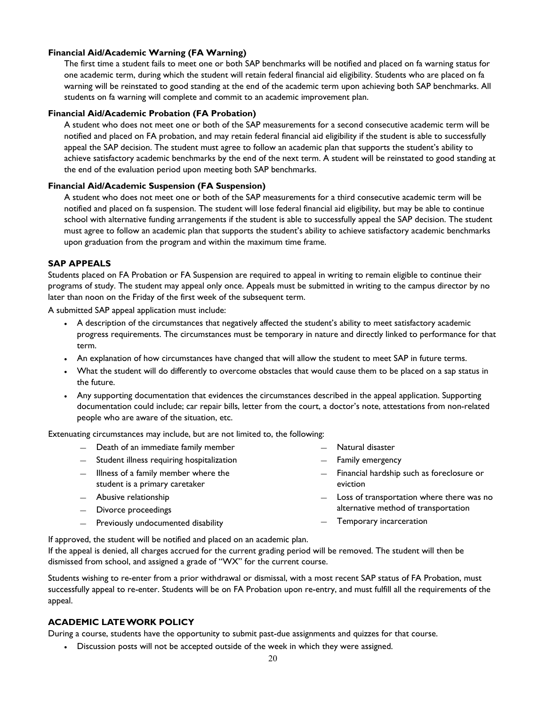#### **Financial Aid/Academic Warning (FA Warning)**

The first time a student fails to meet one or both SAP benchmarks will be notified and placed on fa warning status for one academic term, during which the student will retain federal financial aid eligibility. Students who are placed on fa warning will be reinstated to good standing at the end of the academic term upon achieving both SAP benchmarks. All students on fa warning will complete and commit to an academic improvement plan.

#### **Financial Aid/Academic Probation (FA Probation)**

A student who does not meet one or both of the SAP measurements for a second consecutive academic term will be notified and placed on FA probation, and may retain federal financial aid eligibility if the student is able to successfully appeal the SAP decision. The student must agree to follow an academic plan that supports the student's ability to achieve satisfactory academic benchmarks by the end of the next term. A student will be reinstated to good standing at the end of the evaluation period upon meeting both SAP benchmarks.

#### **Financial Aid/Academic Suspension (FA Suspension)**

A student who does not meet one or both of the SAP measurements for a third consecutive academic term will be notified and placed on fa suspension. The student will lose federal financial aid eligibility, but may be able to continue school with alternative funding arrangements if the student is able to successfully appeal the SAP decision. The student must agree to follow an academic plan that supports the student's ability to achieve satisfactory academic benchmarks upon graduation from the program and within the maximum time frame.

#### **SAP APPEALS**

Students placed on FA Probation or FA Suspension are required to appeal in writing to remain eligible to continue their programs of study. The student may appeal only once. Appeals must be submitted in writing to the campus director by no later than noon on the Friday of the first week of the subsequent term.

A submitted SAP appeal application must include:

- A description of the circumstances that negatively affected the student's ability to meet satisfactory academic progress requirements. The circumstances must be temporary in nature and directly linked to performance for that term.
- An explanation of how circumstances have changed that will allow the student to meet SAP in future terms.
- What the student will do differently to overcome obstacles that would cause them to be placed on a sap status in the future.
- Any supporting documentation that evidences the circumstances described in the appeal application. Supporting documentation could include; car repair bills, letter from the court, a doctor's note, attestations from non-related people who are aware of the situation, etc.

Extenuating circumstances may include, but are not limited to, the following:

- ― Death of an immediate family member
- ― Student illness requiring hospitalization
- ― Illness of a family member where the student is a primary caretaker
- ― Abusive relationship
- ― Divorce proceedings
- ― Previously undocumented disability
- Natural disaster
- ― Family emergency
- ― Financial hardship such as foreclosure or eviction
- ― Loss of transportation where there was no alternative method of transportation
- ― Temporary incarceration

If approved, the student will be notified and placed on an academic plan.

If the appeal is denied, all charges accrued for the current grading period will be removed. The student will then be dismissed from school, and assigned a grade of "WX" for the current course.

Students wishing to re-enter from a prior withdrawal or dismissal, with a most recent SAP status of FA Probation, must successfully appeal to re-enter. Students will be on FA Probation upon re-entry, and must fulfill all the requirements of the appeal.

## <span id="page-19-0"></span>**ACADEMIC LATE WORK POLICY**

During a course, students have the opportunity to submit past-due assignments and quizzes for that course.

• Discussion posts will not be accepted outside of the week in which they were assigned.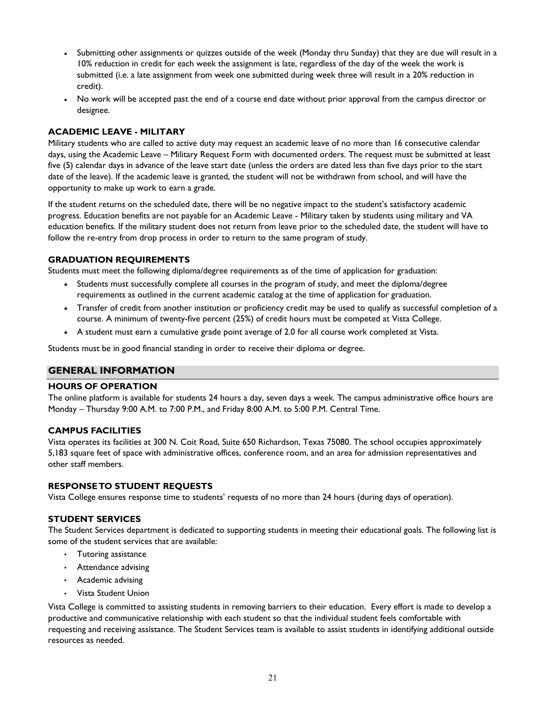- Submitting other assignments or quizzes outside of the week (Monday thru Sunday) that they are due will result in a 10% reduction in credit for each week the assignment is late, regardless of the day of the week the work is submitted (i.e. a late assignment from week one submitted during week three will result in a 20% reduction in credit).
- No work will be accepted past the end of a course end date without prior approval from the campus director or designee.

## <span id="page-20-0"></span>**ACADEMIC LEAVE - MILITARY**

Military students who are called to active duty may request an academic leave of no more than 16 consecutive calendar days, using the Academic Leave – Military Request Form with documented orders. The request must be submitted at least five (5) calendar days in advance of the leave start date (unless the orders are dated less than five days prior to the start date of the leave). If the academic leave is granted, the student will not be withdrawn from school, and will have the opportunity to make up work to earn a grade.

If the student returns on the scheduled date, there will be no negative impact to the student's satisfactory academic progress. Education benefits are not payable for an Academic Leave - Military taken by students using military and VA education benefits. If the military student does not return from leave prior to the scheduled date, the student will have to follow the re-entry from drop process in order to return to the same program of study.

## <span id="page-20-1"></span>**GRADUATION REQUIREMENTS**

Students must meet the following diploma/degree requirements as of the time of application for graduation:

- Students must successfully complete all courses in the program of study, and meet the diploma/degree requirements as outlined in the current academic catalog at the time of application for graduation.
- Transfer of credit from another institution or proficiency credit may be used to qualify as successful completion of a course. A minimum of twenty-five percent (25%) of credit hours must be competed at Vista College.
- A student must earn a cumulative grade point average of 2.0 for all course work completed at Vista.

Students must be in good financial standing in order to receive their diploma or degree.

## <span id="page-20-2"></span>**GENERAL INFORMATION**

#### <span id="page-20-3"></span>**HOURS OF OPERATION**

The online platform is available for students 24 hours a day, seven days a week. The campus administrative office hours are Monday – Thursday 9:00 A.M. to 7:00 P.M., and Friday 8:00 A.M. to 5:00 P.M. Central Time.

#### <span id="page-20-4"></span>**CAMPUS FACILITIES**

Vista operates its facilities at 300 N. Coit Road, Suite 650 Richardson, Texas 75080. The school occupies approximately 5,183 square feet of space with administrative offices, conference room, and an area for admission representatives and other staff members.

#### <span id="page-20-5"></span>**RESPONSE TO STUDENT REQUESTS**

Vista College ensures response time to students' requests of no more than 24 hours (during days of operation).

#### **STUDENT SERVICES**

The Student Services department is dedicated to supporting students in meeting their educational goals. The following list is some of the student services that are available:

- Tutoring assistance
- Attendance advising
- Academic advising
- Vista Student Union

Vista College is committed to assisting students in removing barriers to their education. Every effort is made to develop a productive and communicative relationship with each student so that the individual student feels comfortable with requesting and receiving assistance. The Student Services team is available to assist students in identifying additional outside resources as needed.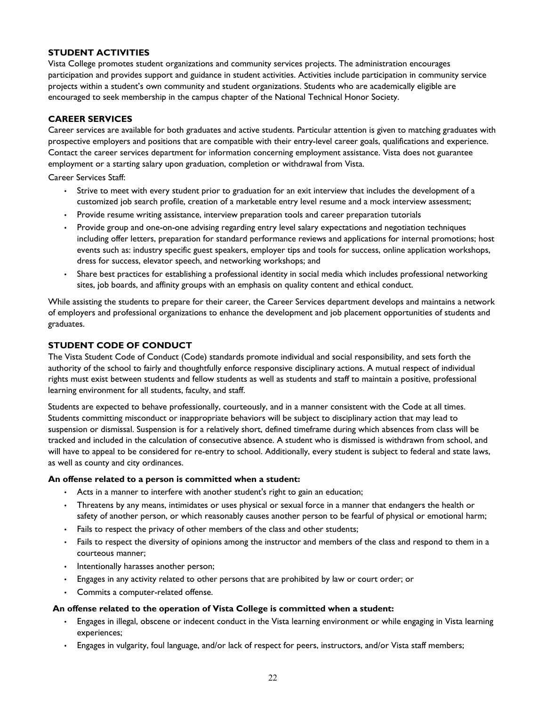#### <span id="page-21-0"></span>**STUDENT ACTIVITIES**

Vista College promotes student organizations and community services projects. The administration encourages participation and provides support and guidance in student activities. Activities include participation in community service projects within a student's own community and student organizations. Students who are academically eligible are encouraged to seek membership in the campus chapter of the National Technical Honor Society.

## **CAREER SERVICES**

Career services are available for both graduates and active students. Particular attention is given to matching graduates with prospective employers and positions that are compatible with their entry-level career goals, qualifications and experience. Contact the career services department for information concerning employment assistance. Vista does not guarantee employment or a starting salary upon graduation, completion or withdrawal from Vista.

Career Services Staff:

- Strive to meet with every student prior to graduation for an exit interview that includes the development of a customized job search profile, creation of a marketable entry level resume and a mock interview assessment;
- Provide resume writing assistance, interview preparation tools and career preparation tutorials
- Provide group and one-on-one advising regarding entry level salary expectations and negotiation techniques including offer letters, preparation for standard performance reviews and applications for internal promotions; host events such as: industry specific guest speakers, employer tips and tools for success, online application workshops, dress for success, elevator speech, and networking workshops; and
- Share best practices for establishing a professional identity in social media which includes professional networking sites, job boards, and affinity groups with an emphasis on quality content and ethical conduct.

While assisting the students to prepare for their career, the Career Services department develops and maintains a network of employers and professional organizations to enhance the development and job placement opportunities of students and graduates.

#### **STUDENT CODE OF CONDUCT**

The Vista Student Code of Conduct (Code) standards promote individual and social responsibility, and sets forth the authority of the school to fairly and thoughtfully enforce responsive disciplinary actions. A mutual respect of individual rights must exist between students and fellow students as well as students and staff to maintain a positive, professional learning environment for all students, faculty, and staff.

Students are expected to behave professionally, courteously, and in a manner consistent with the Code at all times. Students committing misconduct or inappropriate behaviors will be subject to disciplinary action that may lead to suspension or dismissal. Suspension is for a relatively short, defined timeframe during which absences from class will be tracked and included in the calculation of consecutive absence. A student who is dismissed is withdrawn from school, and will have to appeal to be considered for re-entry to school. Additionally, every student is subject to federal and state laws, as well as county and city ordinances.

#### **An offense related to a person is committed when a student:**

- Acts in a manner to interfere with another student's right to gain an education;
- Threatens by any means, intimidates or uses physical or sexual force in a manner that endangers the health or safety of another person, or which reasonably causes another person to be fearful of physical or emotional harm;
- Fails to respect the privacy of other members of the class and other students;
- Fails to respect the diversity of opinions among the instructor and members of the class and respond to them in a courteous manner;
- Intentionally harasses another person;
- Engages in any activity related to other persons that are prohibited by law or court order; or
- Commits a computer-related offense.

#### **An offense related to the operation of Vista College is committed when a student:**

- Engages in illegal, obscene or indecent conduct in the Vista learning environment or while engaging in Vista learning experiences;
- Engages in vulgarity, foul language, and/or lack of respect for peers, instructors, and/or Vista staff members;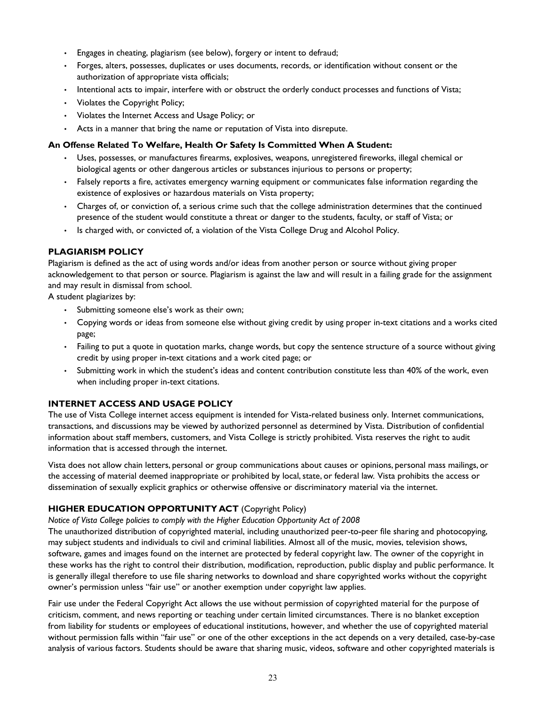- Engages in cheating, plagiarism (see below), forgery or intent to defraud;
- Forges, alters, possesses, duplicates or uses documents, records, or identification without consent or the authorization of appropriate vista officials;
- Intentional acts to impair, interfere with or obstruct the orderly conduct processes and functions of Vista;
- Violates the Copyright Policy;
- Violates the Internet Access and Usage Policy; or
- Acts in a manner that bring the name or reputation of Vista into disrepute.

#### **An Offense Related To Welfare, Health Or Safety Is Committed When A Student:**

- Uses, possesses, or manufactures firearms, explosives, weapons, unregistered fireworks, illegal chemical or biological agents or other dangerous articles or substances injurious to persons or property;
- Falsely reports a fire, activates emergency warning equipment or communicates false information regarding the existence of explosives or hazardous materials on Vista property;
- Charges of, or conviction of, a serious crime such that the college administration determines that the continued presence of the student would constitute a threat or danger to the students, faculty, or staff of Vista; or
- Is charged with, or convicted of, a violation of the Vista College Drug and Alcohol Policy.

## <span id="page-22-0"></span>**PLAGIARISM POLICY**

Plagiarism is defined as the act of using words and/or ideas from another person or source without giving proper acknowledgement to that person or source. Plagiarism is against the law and will result in a failing grade for the assignment and may result in dismissal from school.

A student plagiarizes by:

- Submitting someone else's work as their own;
- Copying words or ideas from someone else without giving credit by using proper in-text citations and a works cited page;
- Failing to put a quote in quotation marks, change words, but copy the sentence structure of a source without giving credit by using proper in-text citations and a work cited page; or
- Submitting work in which the student's ideas and content contribution constitute less than 40% of the work, even when including proper in-text citations.

## <span id="page-22-1"></span>**INTERNET ACCESS AND USAGE POLICY**

The use of Vista College internet access equipment is intended for Vista-related business only. Internet communications, transactions, and discussions may be viewed by authorized personnel as determined by Vista. Distribution of confidential information about staff members, customers, and Vista College is strictly prohibited. Vista reserves the right to audit information that is accessed through the internet.

Vista does not allow chain letters, personal or group communications about causes or opinions, personal mass mailings, or the accessing of material deemed inappropriate or prohibited by local, state, or federal law. Vista prohibits the access or dissemination of sexually explicit graphics or otherwise offensive or discriminatory material via the internet.

## **HIGHER EDUCATION OPPORTUNITY ACT** (Copyright Policy)

*Notice of Vista College policies to comply with the Higher Education Opportunity Act of 2008*

The unauthorized distribution of copyrighted material, including unauthorized peer-to-peer file sharing and photocopying, may subject students and individuals to civil and criminal liabilities. Almost all of the music, movies, television shows, software, games and images found on the internet are protected by federal copyright law. The owner of the copyright in these works has the right to control their distribution, modification, reproduction, public display and public performance. It is generally illegal therefore to use file sharing networks to download and share copyrighted works without the copyright owner's permission unless "fair use" or another exemption under copyright law applies.

Fair use under the Federal Copyright Act allows the use without permission of copyrighted material for the purpose of criticism, comment, and news reporting or teaching under certain limited circumstances. There is no blanket exception from liability for students or employees of educational institutions, however, and whether the use of copyrighted material without permission falls within "fair use" or one of the other exceptions in the act depends on a very detailed, case-by-case analysis of various factors. Students should be aware that sharing music, videos, software and other copyrighted materials is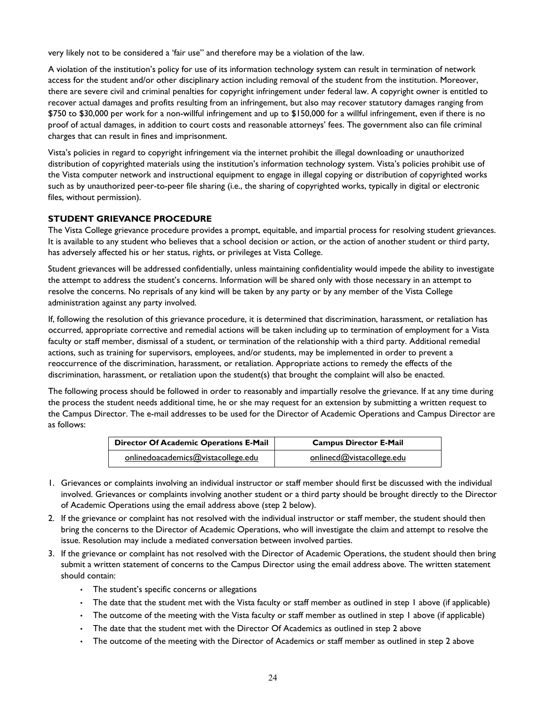very likely not to be considered a 'fair use" and therefore may be a violation of the law.

A violation of the institution's policy for use of its information technology system can result in termination of network access for the student and/or other disciplinary action including removal of the student from the institution. Moreover, there are severe civil and criminal penalties for copyright infringement under federal law. A copyright owner is entitled to recover actual damages and profits resulting from an infringement, but also may recover statutory damages ranging from \$750 to \$30,000 per work for a non-willful infringement and up to \$150,000 for a willful infringement, even if there is no proof of actual damages, in addition to court costs and reasonable attorneys' fees. The government also can file criminal charges that can result in fines and imprisonment.

Vista's policies in regard to copyright infringement via the internet prohibit the illegal downloading or unauthorized distribution of copyrighted materials using the institution's information technology system. Vista's policies prohibit use of the Vista computer network and instructional equipment to engage in illegal copying or distribution of copyrighted works such as by unauthorized peer-to-peer file sharing (i.e., the sharing of copyrighted works, typically in digital or electronic files, without permission).

## <span id="page-23-0"></span>**STUDENT GRIEVANCE PROCEDURE**

The Vista College grievance procedure provides a prompt, equitable, and impartial process for resolving student grievances. It is available to any student who believes that a school decision or action, or the action of another student or third party, has adversely affected his or her status, rights, or privileges at Vista College.

Student grievances will be addressed confidentially, unless maintaining confidentiality would impede the ability to investigate the attempt to address the student's concerns. Information will be shared only with those necessary in an attempt to resolve the concerns. No reprisals of any kind will be taken by any party or by any member of the Vista College administration against any party involved.

If, following the resolution of this grievance procedure, it is determined that discrimination, harassment, or retaliation has occurred, appropriate corrective and remedial actions will be taken including up to termination of employment for a Vista faculty or staff member, dismissal of a student, or termination of the relationship with a third party. Additional remedial actions, such as training for supervisors, employees, and/or students, may be implemented in order to prevent a reoccurrence of the discrimination, harassment, or retaliation. Appropriate actions to remedy the effects of the discrimination, harassment, or retaliation upon the student(s) that brought the complaint will also be enacted.

The following process should be followed in order to reasonably and impartially resolve the grievance. If at any time during the process the student needs additional time, he or she may request for an extension by submitting a written request to the Campus Director. The e-mail addresses to be used for the Director of Academic Operations and Campus Director are as follows:

| <b>Director Of Academic Operations E-Mail</b> | <b>Campus Director E-Mail</b> |
|-----------------------------------------------|-------------------------------|
| onlinedoacademics@vistacollege.edu            | onlinecd@vistacollege.edu     |

- 1. Grievances or complaints involving an individual instructor or staff member should first be discussed with the individual involved. Grievances or complaints involving another student or a third party should be brought directly to the Director of Academic Operations using the email address above (step 2 below).
- 2. If the grievance or complaint has not resolved with the individual instructor or staff member, the student should then bring the concerns to the Director of Academic Operations, who will investigate the claim and attempt to resolve the issue. Resolution may include a mediated conversation between involved parties.
- 3. If the grievance or complaint has not resolved with the Director of Academic Operations, the student should then bring submit a written statement of concerns to the Campus Director using the email address above. The written statement should contain:
	- The student's specific concerns or allegations
	- The date that the student met with the Vista faculty or staff member as outlined in step 1 above (if applicable)
	- The outcome of the meeting with the Vista faculty or staff member as outlined in step 1 above (if applicable)
	- The date that the student met with the Director Of Academics as outlined in step 2 above
	- The outcome of the meeting with the Director of Academics or staff member as outlined in step 2 above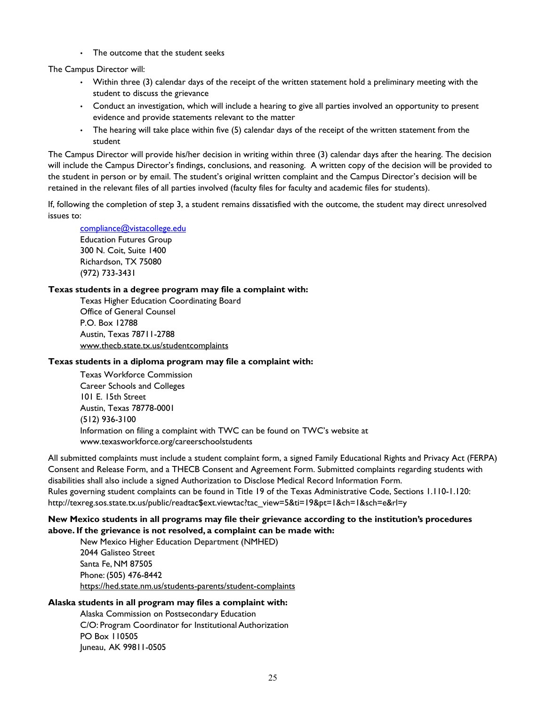• The outcome that the student seeks

The Campus Director will:

- Within three (3) calendar days of the receipt of the written statement hold a preliminary meeting with the student to discuss the grievance
- Conduct an investigation, which will include a hearing to give all parties involved an opportunity to present evidence and provide statements relevant to the matter
- The hearing will take place within five (5) calendar days of the receipt of the written statement from the student

The Campus Director will provide his/her decision in writing within three (3) calendar days after the hearing. The decision will include the Campus Director's findings, conclusions, and reasoning. A written copy of the decision will be provided to the student in person or by email. The student's original written complaint and the Campus Director's decision will be retained in the relevant files of all parties involved (faculty files for faculty and academic files for students).

If, following the completion of step 3, a student remains dissatisfied with the outcome, the student may direct unresolved issues to:

[compliance@vistacollege.edu](mailto:Compliance@vistacollege.edu) Education Futures Group

300 N. Coit, Suite 1400 Richardson, TX 75080 (972) 733-3431

#### **Texas students in a degree program may file a complaint with:**

Texas Higher Education Coordinating Board Office of General Counsel P.O. Box 12788 Austin, Texas 78711-2788 [www.thecb.state.tx.us/studentcomplaints](http://www.thecb.state.tx.us/studentcomplaints)

#### **Texas students in a diploma program may file a complaint with:**

Texas Workforce Commission Career Schools and Colleges 101 E. 15th Street Austin, Texas 78778-0001 (512) 936-3100 Information on filing a complaint with TWC can be found on TWC's website at [www.texasworkforce.org/careerschoolstudents](http://www.texasworkforce.org/careerschoolstudents)

All submitted complaints must include a student complaint form, a signed Family Educational Rights and Privacy Act (FERPA) Consent and Release Form, and a THECB Consent and Agreement Form. Submitted complaints regarding students with disabilities shall also include a signed Authorization to Disclose Medical Record Information Form. Rules governing student complaints can be found in Title 19 of the Texas Administrative Code, Sections 1.110-1.120: [http://texreg.sos.state.tx.us/public/readtac\\$ext.viewtac?tac\\_view=5&ti=19&pt=1&ch=1&sch=e&rl=y](http://texreg.sos.state.tx.us/public/readtac$ext.ViewTAC?tac_view=5&ti=19&pt=1&ch=1&sch=E&rl=Y)

## **New Mexico students in all programs may file their grievance according to the institution's procedures above. If the grievance is not resolved, a complaint can be made with:**

New Mexico Higher Education Department (NMHED) 2044 Galisteo Street Santa Fe, NM 87505 Phone: (505) 476-8442 <https://hed.state.nm.us/students-parents/student-complaints>

## **Alaska students in all program may files a complaint with:**

Alaska Commission on Postsecondary Education C/O: Program Coordinator for Institutional Authorization PO Box 110505 Juneau, AK 99811-0505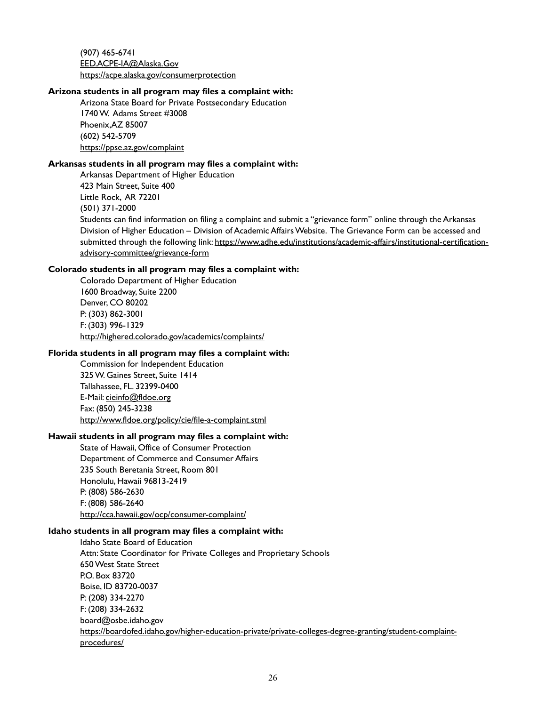(907) 465-6741 [EED.ACPE-IA@Alaska.Gov](mailto:EED.ACPE-IA@alaska.gov) [https://acpe.alaska.gov/consumerprotection](https://acpe.alaska.gov/ConsumerProtection)

#### **Arizona students in all program may files a complaint with:**

Arizona State Board for Private Postsecondary Education 1740 W. Adams Street #3008 Phoenix,AZ 85007 (602) 542-5709 <https://ppse.az.gov/complaint>

#### **Arkansas students in all program may files a complaint with:**

Arkansas Department of Higher Education 423 Main Street, Suite 400 Little Rock, AR 72201 (501) 371-2000 Students can find information on filing a complaint and submit a "grievance form" online through the Arkansas Division of Higher Education – Division of Academic Affairs Website. The Grievance Form can be accessed and submitted through the following link[: https://www.adhe.edu/institutions/academic-affairs/institutional-certification](https://www.adhe.edu/institutions/academic-affairs/institutional-certification-advisory-committee/grievance-form)[advisory-committee/grievance-form](https://www.adhe.edu/institutions/academic-affairs/institutional-certification-advisory-committee/grievance-form)

#### **Colorado students in all program may files a complaint with:**

Colorado Department of Higher Education 1600 Broadway, Suite 2200 Denver, CO 80202 P: (303) 862-3001 F: (303) 996-1329 http://highered.colorado.gov/academics/complaints/

## **Florida students in all program may files a complaint with:**

Commission for Independent Education 325 W. Gaines Street, Suite 1414 Tallahassee, FL. 32399-0400 E-Mail[: cieinfo@fldoe.org](mailto:cieinfo@fldoe.org?subject=) Fax: (850) 245-3238 <http://www.fldoe.org/policy/cie/file-a-complaint.stml>

#### **Hawaii students in all program may files a complaint with:**

State of Hawaii, Office of Consumer Protection Department of Commerce and Consumer Affairs 235 South Beretania Street, Room 801 Honolulu, Hawaii 96813-2419 P: (808) 586-2630 F: (808) 586-2640 http://cca.hawaii.gov/ocp/consumer-complaint/

#### **Idaho students in all program may files a complaint with:**

Idaho State Board of Education Attn: State Coordinator for Private Colleges and Proprietary Schools 650 West State Street P.O. Box 83720 Boise, ID 83720-0037 P: (208) 334-2270 F: (208) 334-2632 board@osbe.idaho.gov [https://boardofed.idaho.gov/higher-education-private/private-colleges-degree-granting/student-complaint](https://boardofed.idaho.gov/higher-education-private/private-colleges-degree-granting/student-complaint-procedures/)[procedures/](https://boardofed.idaho.gov/higher-education-private/private-colleges-degree-granting/student-complaint-procedures/)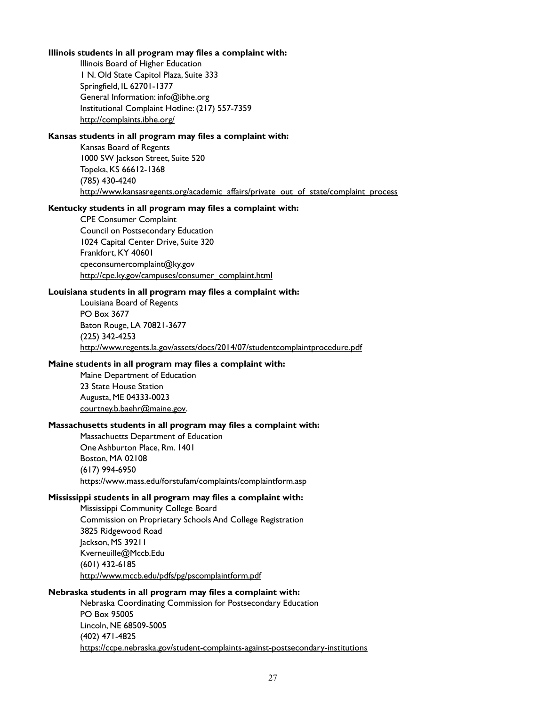#### **Illinois students in all program may files a complaint with:**

Illinois Board of Higher Education 1 N. Old State Capitol Plaza, Suite 333 Springfield, IL 62701-1377 General Information: info@ibhe.org Institutional Complaint Hotline: (217) 557-7359 <http://complaints.ibhe.org/>

#### **Kansas students in all program may files a complaint with:**

Kansas Board of Regents 1000 SW Jackson Street, Suite 520 Topeka, KS 66612-1368 (785) 430-4240 http://www.kansasregents.org/academic\_affairs/private\_out\_of\_state/complaint\_process

## **Kentucky students in all program may files a complaint with:**

CPE Consumer Complaint Council on Postsecondary Education 1024 Capital Center Drive, Suite 320 Frankfort, KY 40601 cpeconsumercomplaint@ky.gov [http://cpe.ky.gov/campuses/consumer\\_complaint.html](http://cpe.ky.gov/campuses/consumer_complaint.html)

#### **Louisiana students in all program may files a complaint with:**

Louisiana Board of Regents PO Box 3677 Baton Rouge, LA 70821-3677 (225) 342-4253 http://www.regents.la.gov/assets/docs/2014/07/studentcomplaintprocedure.pdf

#### **Maine students in all program may files a complaint with:**

Maine Department of Education 23 State House Station Augusta, ME 04333-0023 [courtney.b.baehr@maine.gov.](mailto:Courtney.B.Baehr@maine.gov)

#### **Massachusetts students in all program may files a complaint with:**

Massachuetts Department of Education One Ashburton Place, Rm. 1401 Boston, MA 02108 (617) 994-6950 <https://www.mass.edu/forstufam/complaints/complaintform.asp>

#### **Mississippi students in all program may files a complaint with:**

Mississippi Community College Board Commission on Proprietary Schools And College Registration 3825 Ridgewood Road Jackson, MS 39211 Kverneuille@Mccb.Edu (601) 432-6185 [http://www.mccb.edu/pdfs/pg/pscomplaintform.pdf](http://www.mccb.edu/pdfs/pg/PSComplaintForm.pdf)

#### **Nebraska students in all program may files a complaint with:**

Nebraska Coordinating Commission for Postsecondary Education PO Box 95005 Lincoln, NE 68509-5005 (402) 471-4825 <https://ccpe.nebraska.gov/student-complaints-against-postsecondary-institutions>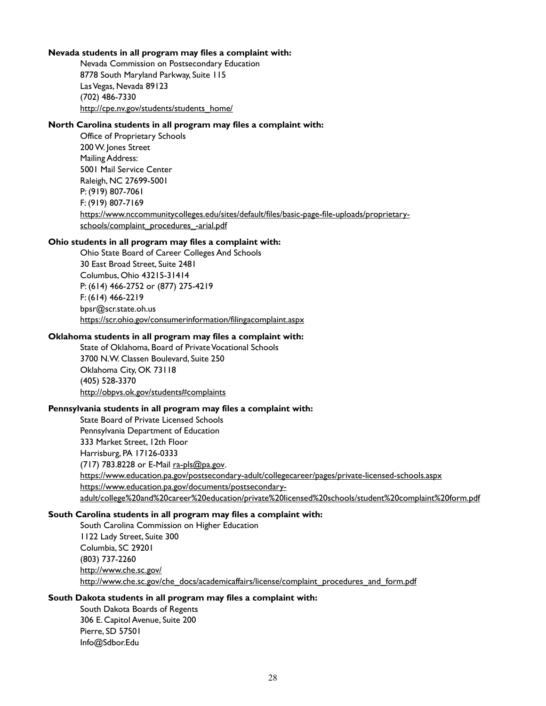#### **Nevada students in all program may files a complaint with:**

Nevada Commission on Postsecondary Education 8778 South Maryland Parkway, Suite 115 Las Vegas, Nevada 89123 (702) 486-7330 [http://cpe.nv.gov/students/students\\_home/](http://cpe.nv.gov/Students/Students_Home/)

#### **North Carolina students in all program may files a complaint with:**

Office of Proprietary Schools 200 W. Jones Street Mailing Address: 5001 Mail Service Center Raleigh, NC 27699-5001 P: (919) 807-7061 F: (919) 807-7169 [https://www.nccommunitycolleges.edu/sites/default/files/basic-page-file-uploads/proprietary](https://www.nccommunitycolleges.edu/sites/default/files/basic-page-file-uploads/proprietary-schools/complaint_procedures_-arial.pdf)[schools/complaint\\_procedures\\_-arial.pdf](https://www.nccommunitycolleges.edu/sites/default/files/basic-page-file-uploads/proprietary-schools/complaint_procedures_-arial.pdf)

#### **Ohio students in all program may files a complaint with:**

Ohio State Board of Career Colleges And Schools 30 East Broad Street, Suite 2481 Columbus, Ohio 43215-31414 P: (614) 466-2752 or (877) 275-4219 F: (614) 466-2219 bpsr@scr.state.oh.us https://scr.ohio.gov/consumerinformation/filingacomplaint.aspx

#### **Oklahoma students in all program may files a complaint with:**

State of Oklahoma, Board of Private Vocational Schools 3700 N.W. Classen Boulevard, Suite 250 Oklahoma City, OK 73118 (405) 528-3370 <http://obpvs.ok.gov/students#complaints>

#### **Pennsylvania students in all program may files a complaint with:**

State Board of Private Licensed Schools Pennsylvania Department of Education 333 Market Street, 12th Floor Harrisburg, PA 17126-0333 (717) 783.8228 or E-Mail [ra-pls@pa.gov.](mailto:ra-pls@pa.gov) [https://www.education.pa.gov/postsecondary-adult/collegecareer/pages/private-licensed-schools.aspx](https://www.education.pa.gov/Postsecondary-Adult/CollegeCareer/Pages/Private-Licensed-Schools.aspx) [https://www.education.pa.gov/documents/postsecondary](https://www.education.pa.gov/Documents/Postsecondary-Adult/College%20and%20Career%20Education/Private%20Licensed%20Schools/Student%20Complaint%20Form.pdf)[adult/college%20and%20career%20education/private%20licensed%20schools/student%20complaint%20form.pdf](https://www.education.pa.gov/Documents/Postsecondary-Adult/College%20and%20Career%20Education/Private%20Licensed%20Schools/Student%20Complaint%20Form.pdf)

#### **South Carolina students in all program may files a complaint with:**

South Carolina Commission on Higher Education 1122 Lady Street, Suite 300 Columbia, SC 29201 (803) 737-2260 <http://www.che.sc.gov/> http://www.che.sc.gov/che\_docs/academicaffairs/license/complaint\_procedures\_and\_form.pdf

#### **South Dakota students in all program may files a complaint with:**

South Dakota Boards of Regents 306 E. Capitol Avenue, Suite 200 Pierre, SD 57501 Info@Sdbor.Edu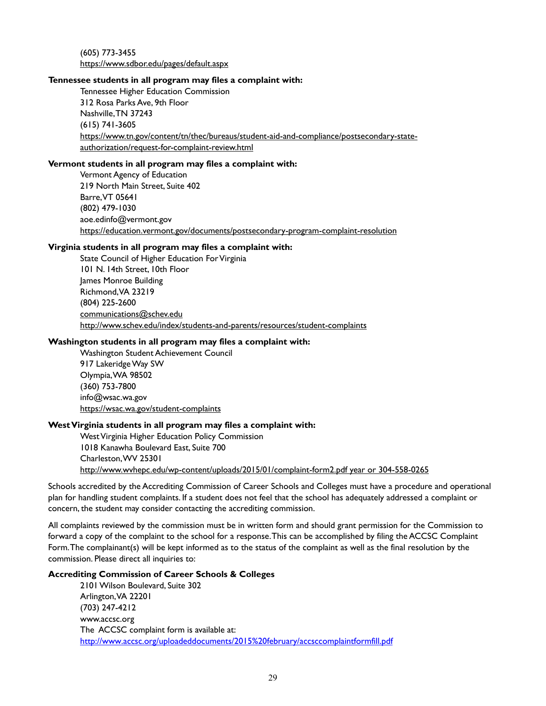(605) 773-3455 https://www.sdbor.edu/pages/default.aspx

#### **Tennessee students in all program may files a complaint with:**

Tennessee Higher Education Commission 312 Rosa Parks Ave, 9th Floor Nashville, TN 37243 (615) 741-3605 [https://www.tn.gov/content/tn/thec/bureaus/student-aid-and-compliance/postsecondary-state](https://www.tn.gov/content/tn/thec/bureaus/student-aid-and-compliance/postsecondary-state-authorization/request-for-complaint-review.html)[authorization/request-for-complaint-review.html](https://www.tn.gov/content/tn/thec/bureaus/student-aid-and-compliance/postsecondary-state-authorization/request-for-complaint-review.html)

#### **Vermont students in all program may files a complaint with:**

Vermont Agency of Education 219 North Main Street, Suite 402 Barre, VT 05641 (802) 479-1030 aoe.edinfo@vermont.gov <https://education.vermont.gov/documents/postsecondary-program-complaint-resolution>

#### **Virginia students in all program may files a complaint with:**

State Council of Higher Education For Virginia 101 N. 14th Street, 10th Floor James Monroe Building Richmond, VA 23219 (804) 225-2600 [communications@schev.edu](mailto:communications@schev.edu) http://www.schev.edu/index/students-and-parents/resources/student-complaints

#### **Washington students in all program may files a complaint with:**

Washington Student Achievement Council 917 Lakeridge Way SW Olympia, WA 98502 (360) 753-7800 info@wsac.wa.gov <https://wsac.wa.gov/student-complaints>

#### **West Virginia students in all program may files a complaint with:**

West Virginia Higher Education Policy Commission 1018 Kanawha Boulevard East, Suite 700 Charleston, WV 25301 http://www.wvhepc.edu/wp-content/uploads/2015/01/complaint-form2.pdf year or 304-558-0265

Schools accredited by the Accrediting Commission of Career Schools and Colleges must have a procedure and operational plan for handling student complaints. If a student does not feel that the school has adequately addressed a complaint or concern, the student may consider contacting the accrediting commission.

All complaints reviewed by the commission must be in written form and should grant permission for the Commission to forward a copy of the complaint to the school for a response. This can be accomplished by filing the ACCSC Complaint Form. The complainant(s) will be kept informed as to the status of the complaint as well as the final resolution by the commission. Please direct all inquiries to:

#### **Accrediting Commission of Career Schools & Colleges**

2101 Wilson Boulevard, Suite 302 Arlington, VA 22201 (703) 247-4212 www.accsc.org The ACCSC complaint form is available at: <http://www.accsc.org/uploadeddocuments/2015%20february/accsccomplaintformfill.pdf>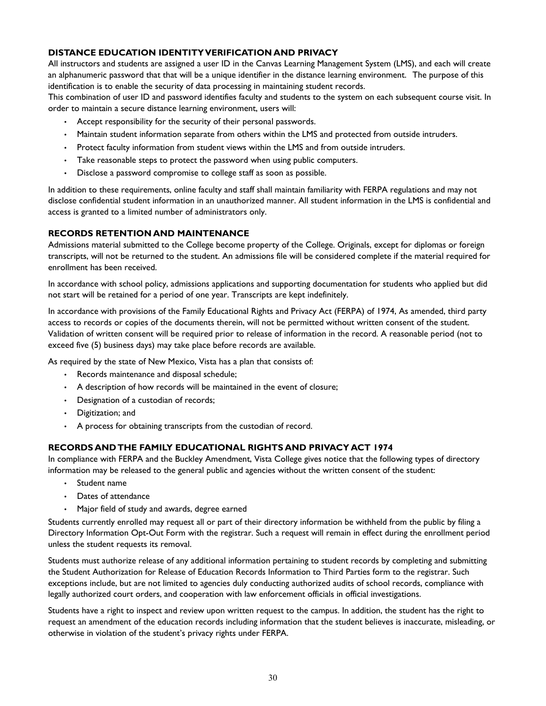## <span id="page-29-0"></span>**DISTANCE EDUCATION IDENTITY VERIFICATION AND PRIVACY**

All instructors and students are assigned a user ID in the Canvas Learning Management System (LMS), and each will create an alphanumeric password that that will be a unique identifier in the distance learning environment. The purpose of this identification is to enable the security of data processing in maintaining student records.

This combination of user ID and password identifies faculty and students to the system on each subsequent course visit. In order to maintain a secure distance learning environment, users will:

- Accept responsibility for the security of their personal passwords.
- Maintain student information separate from others within the LMS and protected from outside intruders.
- Protect faculty information from student views within the LMS and from outside intruders.
- Take reasonable steps to protect the password when using public computers.
- Disclose a password compromise to college staff as soon as possible.

In addition to these requirements, online faculty and staff shall maintain familiarity with FERPA regulations and may not disclose confidential student information in an unauthorized manner. All student information in the LMS is confidential and access is granted to a limited number of administrators only.

#### <span id="page-29-1"></span>**RECORDS RETENTION AND MAINTENANCE**

Admissions material submitted to the College become property of the College. Originals, except for diplomas or foreign transcripts, will not be returned to the student. An admissions file will be considered complete if the material required for enrollment has been received.

In accordance with school policy, admissions applications and supporting documentation for students who applied but did not start will be retained for a period of one year. Transcripts are kept indefinitely.

In accordance with provisions of the Family Educational Rights and Privacy Act (FERPA) of 1974, As amended, third party access to records or copies of the documents therein, will not be permitted without written consent of the student. Validation of written consent will be required prior to release of information in the record. A reasonable period (not to exceed five (5) business days) may take place before records are available.

As required by the state of New Mexico, Vista has a plan that consists of:

- Records maintenance and disposal schedule;
- A description of how records will be maintained in the event of closure;
- Designation of a custodian of records;
- Digitization; and
- A process for obtaining transcripts from the custodian of record.

## <span id="page-29-2"></span>**RECORDS AND THE FAMILY EDUCATIONAL RIGHTS AND PRIVACY ACT 1974**

In compliance with FERPA and the Buckley Amendment, Vista College gives notice that the following types of directory information may be released to the general public and agencies without the written consent of the student:

- Student name
- Dates of attendance
- Major field of study and awards, degree earned

Students currently enrolled may request all or part of their directory information be withheld from the public by filing a Directory Information Opt-Out Form with the registrar. Such a request will remain in effect during the enrollment period unless the student requests its removal.

Students must authorize release of any additional information pertaining to student records by completing and submitting the Student Authorization for Release of Education Records Information to Third Parties form to the registrar. Such exceptions include, but are not limited to agencies duly conducting authorized audits of school records, compliance with legally authorized court orders, and cooperation with law enforcement officials in official investigations.

Students have a right to inspect and review upon written request to the campus. In addition, the student has the right to request an amendment of the education records including information that the student believes is inaccurate, misleading, or otherwise in violation of the student's privacy rights under FERPA.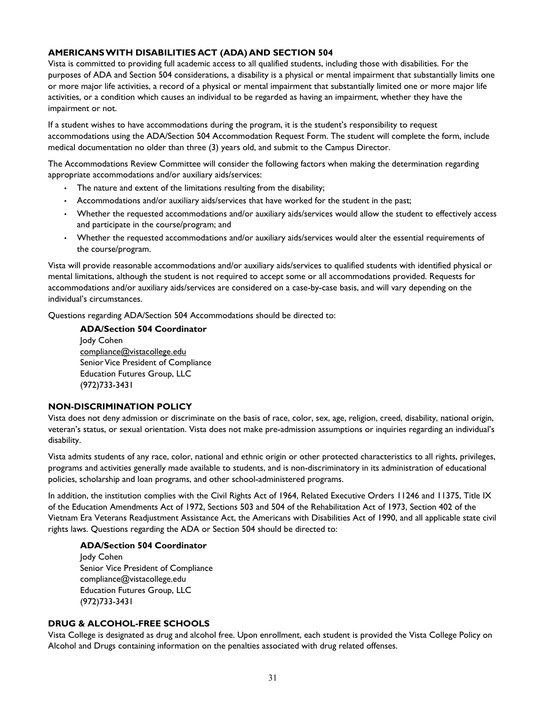## <span id="page-30-0"></span>**AMERICANS WITH DISABILITIES ACT (ADA) AND SECTION 504**

Vista is committed to providing full academic access to all qualified students, including those with disabilities. For the purposes of ADA and Section 504 considerations, a disability is a physical or mental impairment that substantially limits one or more major life activities, a record of a physical or mental impairment that substantially limited one or more major life activities, or a condition which causes an individual to be regarded as having an impairment, whether they have the impairment or not.

If a student wishes to have accommodations during the program, it is the student's responsibility to request accommodations using the ADA/Section 504 Accommodation Request Form. The student will complete the form, include medical documentation no older than three (3) years old, and submit to the Campus Director.

The Accommodations Review Committee will consider the following factors when making the determination regarding appropriate accommodations and/or auxiliary aids/services:

- The nature and extent of the limitations resulting from the disability;
- Accommodations and/or auxiliary aids/services that have worked for the student in the past;
- Whether the requested accommodations and/or auxiliary aids/services would allow the student to effectively access and participate in the course/program; and
- Whether the requested accommodations and/or auxiliary aids/services would alter the essential requirements of the course/program.

Vista will provide reasonable accommodations and/or auxiliary aids/services to qualified students with identified physical or mental limitations, although the student is not required to accept some or all accommodations provided. Requests for accommodations and/or auxiliary aids/services are considered on a case-by-case basis, and will vary depending on the individual's circumstances.

Questions regarding ADA/Section 504 Accommodations should be directed to:

**ADA/Section 504 Coordinator**

Jody Cohen [compliance@vistacollege.edu](mailto:Compliance@vistacollege.edu) Senior Vice President of Compliance Education Futures Group, LLC (972)733-3431

#### <span id="page-30-1"></span>**NON-DISCRIMINATION POLICY**

Vista does not deny admission or discriminate on the basis of race, color, sex, age, religion, creed, disability, national origin, veteran's status, or sexual orientation. Vista does not make pre-admission assumptions or inquiries regarding an individual's disability.

Vista admits students of any race, color, national and ethnic origin or other protected characteristics to all rights, privileges, programs and activities generally made available to students, and is non-discriminatory in its administration of educational policies, scholarship and loan programs, and other school-administered programs.

In addition, the institution complies with the Civil Rights Act of 1964, Related Executive Orders 11246 and 11375, Title IX of the Education Amendments Act of 1972, Sections 503 and 504 of the Rehabilitation Act of 1973, Section 402 of the Vietnam Era Veterans Readjustment Assistance Act, the Americans with Disabilities Act of 1990, and all applicable state civil rights laws. Questions regarding the ADA or Section 504 should be directed to:

## **ADA/Section 504 Coordinator**

Jody Cohen Senior Vice President of Compliance [compliance@vistacollege.edu](mailto:Compliance@vistacollege.edu) Education Futures Group, LLC (972)733-3431

#### <span id="page-30-2"></span>**DRUG & ALCOHOL-FREE SCHOOLS**

Vista College is designated as drug and alcohol free. Upon enrollment, each student is provided the Vista College Policy on Alcohol and Drugs containing information on the penalties associated with drug related offenses.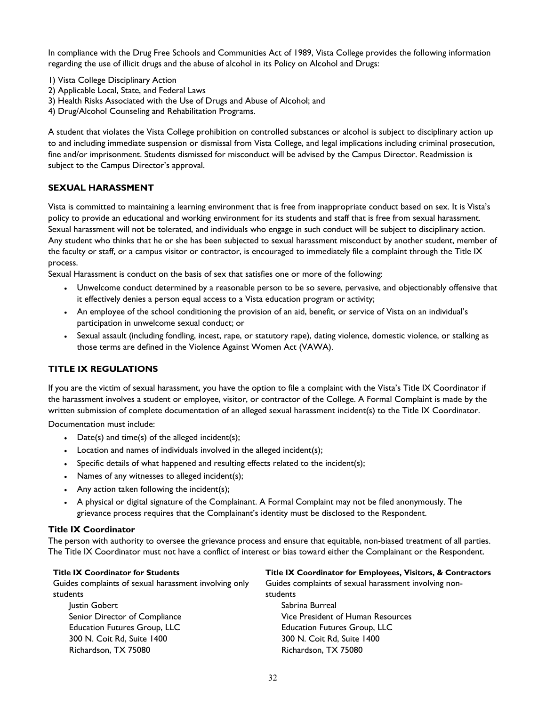In compliance with the Drug Free Schools and Communities Act of 1989, Vista College provides the following information regarding the use of illicit drugs and the abuse of alcohol in its Policy on Alcohol and Drugs:

- 1) Vista College Disciplinary Action
- 2) Applicable Local, State, and Federal Laws
- 3) Health Risks Associated with the Use of Drugs and Abuse of Alcohol; and
- 4) Drug/Alcohol Counseling and Rehabilitation Programs.

A student that violates the Vista College prohibition on controlled substances or alcohol is subject to disciplinary action up to and including immediate suspension or dismissal from Vista College, and legal implications including criminal prosecution, fine and/or imprisonment. Students dismissed for misconduct will be advised by the Campus Director. Readmission is subject to the Campus Director's approval.

#### **SEXUAL HARASSMENT**

<span id="page-31-0"></span>Vista is committed to maintaining a learning environment that is free from inappropriate conduct based on sex. It is Vista's policy to provide an educational and working environment for its students and staff that is free from sexual harassment. Sexual harassment will not be tolerated, and individuals who engage in such conduct will be subject to disciplinary action. Any student who thinks that he or she has been subjected to sexual harassment misconduct by another student, member of the faculty or staff, or a campus visitor or contractor, is encouraged to immediately file a complaint through the Title IX process.

Sexual Harassment is conduct on the basis of sex that satisfies one or more of the following:

- Unwelcome conduct determined by a reasonable person to be so severe, pervasive, and objectionably offensive that it effectively denies a person equal access to a Vista education program or activity;
- An employee of the school conditioning the provision of an aid, benefit, or service of Vista on an individual's participation in unwelcome sexual conduct; or
- Sexual assault (including fondling, incest, rape, or statutory rape), dating violence, domestic violence, or stalking as those terms are defined in the Violence Against Women Act (VAWA).

## **TITLE IX REGULATIONS**

If you are the victim of sexual harassment, you have the option to file a complaint with the Vista's Title IX Coordinator if the harassment involves a student or employee, visitor, or contractor of the College. A Formal Complaint is made by the written submission of complete documentation of an alleged sexual harassment incident(s) to the Title IX Coordinator.

Documentation must include:

- Date(s) and time(s) of the alleged incident(s);
- Location and names of individuals involved in the alleged incident(s);
- Specific details of what happened and resulting effects related to the incident(s);
- Names of any witnesses to alleged incident(s);
- Any action taken following the incident(s);
- A physical or digital signature of the Complainant. A Formal Complaint may not be filed anonymously. The grievance process requires that the Complainant's identity must be disclosed to the Respondent.

#### **Title IX Coordinator**

The person with authority to oversee the grievance process and ensure that equitable, non-biased treatment of all parties. The Title IX Coordinator must not have a conflict of interest or bias toward either the Complainant or the Respondent.

Guides complaints of sexual harassment involving only students

Justin Gobert Senior Director of Compliance Education Futures Group, LLC 300 N. Coit Rd, Suite 1400 Richardson, TX 75080

**Title IX Coordinator for Students Title IX Coordinator for Employees, Visitors, & Contractors**

Guides complaints of sexual harassment involving non-

students Sabrina Burreal Vice President of Human Resources Education Futures Group, LLC 300 N. Coit Rd, Suite 1400 Richardson, TX 75080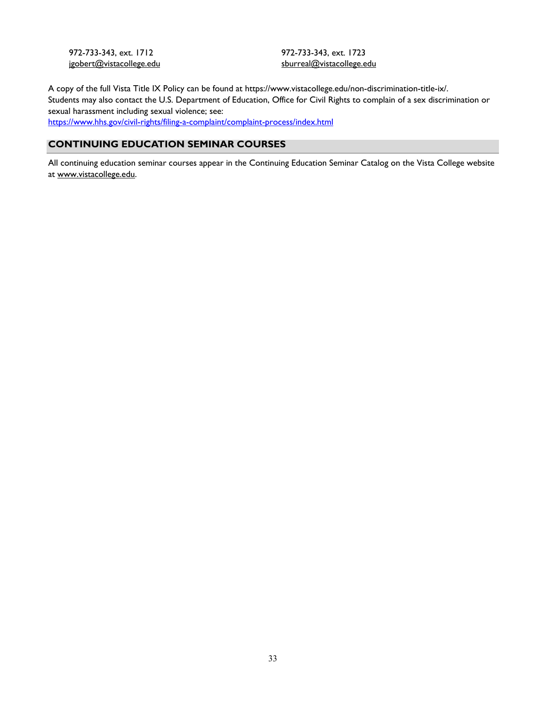972-733-343, ext. 1712 jgobert@vistacollege.edu 972-733-343, ext. 1723 sburreal@vistacollege.edu

A copy of the full Vista Title IX Policy can be found at https://www.vistacollege.edu/non-discrimination-title-ix/. Students may also contact the U.S. Department of Education, Office for Civil Rights to complain of a sex discrimination or sexual harassment including sexual violence; see: <https://www.hhs.gov/civil-rights/filing-a-complaint/complaint-process/index.html>

## **CONTINUING EDUCATION SEMINAR COURSES**

All continuing education seminar courses appear in the Continuing Education Seminar Catalog on the Vista College website at [www.vistacollege.edu.](http://www.vistacollege.edu/)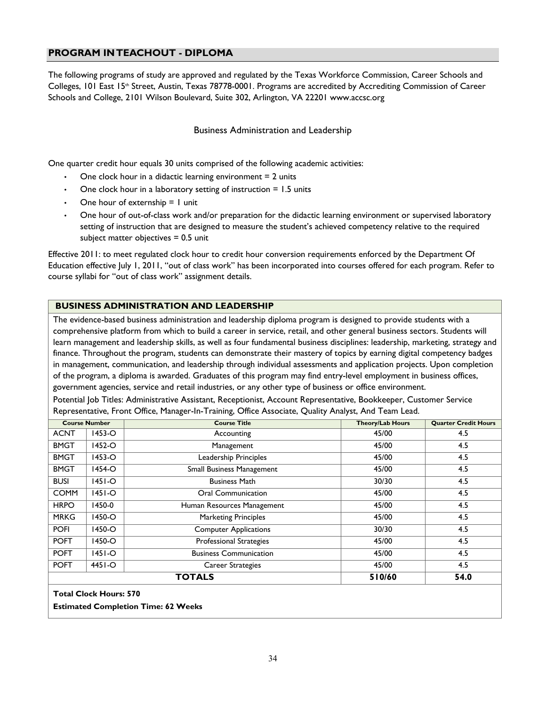## <span id="page-33-0"></span>**PROGRAM IN TEACHOUT - DIPLOMA**

The following programs of study are approved and regulated by the Texas Workforce Commission, Career Schools and Colleges, 101 East 15<sup>th</sup> Street, Austin, Texas 78778-0001. Programs are accredited by Accrediting Commission of Career Schools and College, 2101 Wilson Boulevard, Suite 302, Arlington, VA 22201 [www.accsc.org](http://www.accsc.org/)

#### Business Administration and Leadership

One quarter credit hour equals 30 units comprised of the following academic activities:

- One clock hour in a didactic learning environment  $= 2$  units
- One clock hour in a laboratory setting of instruction  $= 1.5$  units
- One hour of externship  $= 1$  unit
- One hour of out-of-class work and/or preparation for the didactic learning environment or supervised laboratory setting of instruction that are designed to measure the student's achieved competency relative to the required subject matter objectives  $= 0.5$  unit

Effective 2011: to meet regulated clock hour to credit hour conversion requirements enforced by the Department Of Education effective July 1, 2011, "out of class work" has been incorporated into courses offered for each program. Refer to course syllabi for "out of class work" assignment details.

#### <span id="page-33-1"></span>**BUSINESS ADMINISTRATION AND LEADERSHIP**

The evidence-based business administration and leadership diploma program is designed to provide students with a comprehensive platform from which to build a career in service, retail, and other general business sectors. Students will learn management and leadership skills, as well as four fundamental business disciplines: leadership, marketing, strategy and finance. Throughout the program, students can demonstrate their mastery of topics by earning digital competency badges in management, communication, and leadership through individual assessments and application projects. Upon completion of the program, a diploma is awarded. Graduates of this program may find entry-level employment in business offices, government agencies, service and retail industries, or any other type of business or office environment.

Potential Job Titles: Administrative Assistant, Receptionist, Account Representative, Bookkeeper, Customer Service Representative, Front Office, Manager-In-Training, Office Associate, Quality Analyst, And Team Lead.

|             | <b>Course Number</b> | <b>Course Title</b>              | <b>Theory/Lab Hours</b> | <b>Quarter Credit Hours</b> |
|-------------|----------------------|----------------------------------|-------------------------|-----------------------------|
| <b>ACNT</b> | $1453 - O$           | Accounting                       | 45/00                   | 4.5                         |
| <b>BMGT</b> | $1452 - O$           | Management                       | 45/00                   | 4.5                         |
| <b>BMGT</b> | $1453 - O$           | Leadership Principles            | 45/00                   | 4.5                         |
| <b>BMGT</b> | $1454 - O$           | <b>Small Business Management</b> | 45/00                   | 4.5                         |
| <b>BUSI</b> | $1451 - O$           | <b>Business Math</b>             | 30/30                   | 4.5                         |
| <b>COMM</b> | $ 451 - O$           | Oral Communication               | 45/00                   | 4.5                         |
| <b>HRPO</b> | 1450-0               | Human Resources Management       | 45/00                   | 4.5                         |
| <b>MRKG</b> | 1450-O               | <b>Marketing Principles</b>      | 45/00                   | 4.5                         |
| <b>POFI</b> | $1450 - O$           | <b>Computer Applications</b>     | 30/30                   | 4.5                         |
| <b>POFT</b> | 1450-O               | <b>Professional Strategies</b>   | 45/00                   | 4.5                         |
| <b>POFT</b> | $1451 - O$           | <b>Business Communication</b>    | 45/00                   | 4.5                         |
| <b>POFT</b> | $4451 - O$           | Career Strategies                | 45/00                   | 4.5                         |
|             |                      | <b>TOTALS</b>                    | 510/60                  | 54.0                        |

**Total Clock Hours: 570**

**Estimated Completion Time: 62 Weeks**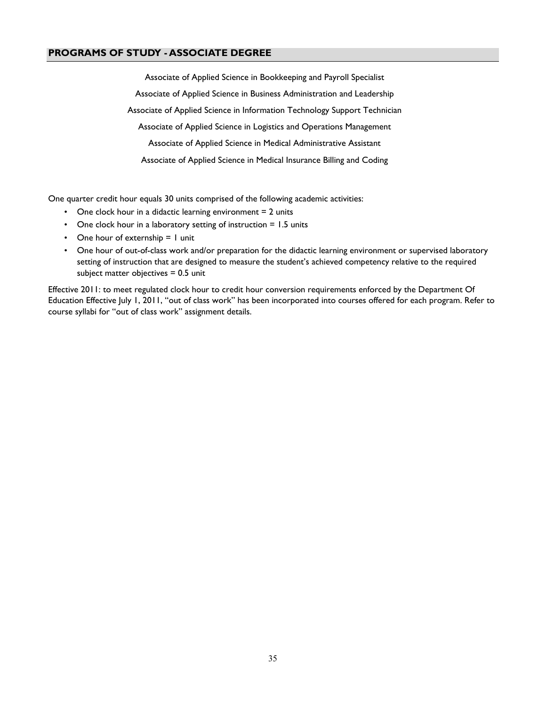## <span id="page-34-0"></span>**PROGRAMS OF STUDY - ASSOCIATE DEGREE**

Associate of Applied Science in Bookkeeping and Payroll Specialist Associate of Applied Science in Business Administration and Leadership Associate of Applied Science in Information Technology Support Technician Associate of Applied Science in Logistics and Operations Management Associate of Applied Science in Medical Administrative Assistant Associate of Applied Science in Medical Insurance Billing and Coding

One quarter credit hour equals 30 units comprised of the following academic activities:

- One clock hour in a didactic learning environment  $= 2$  units
- One clock hour in a laboratory setting of instruction = 1.5 units
- One hour of externship  $= 1$  unit
- One hour of out-of-class work and/or preparation for the didactic learning environment or supervised laboratory setting of instruction that are designed to measure the student's achieved competency relative to the required subject matter objectives  $= 0.5$  unit

Effective 2011: to meet regulated clock hour to credit hour conversion requirements enforced by the Department Of Education Effective July 1, 2011, "out of class work" has been incorporated into courses offered for each program. Refer to course syllabi for "out of class work" assignment details.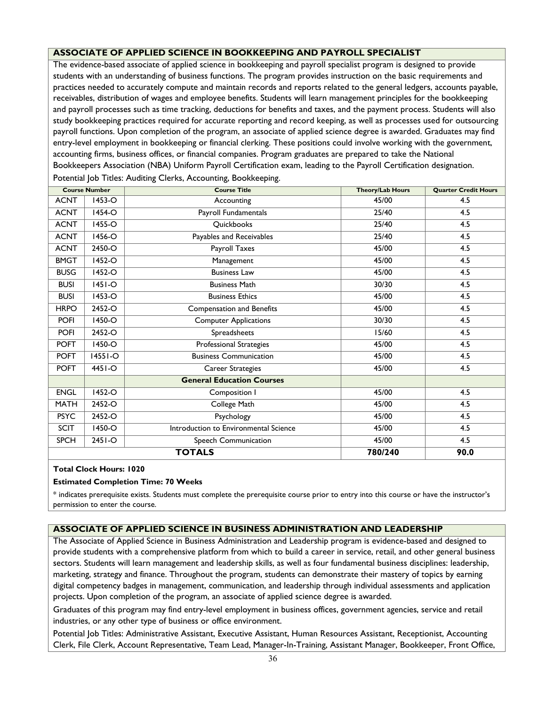## <span id="page-35-0"></span>**ASSOCIATE OF APPLIED SCIENCE IN BOOKKEEPING AND PAYROLL SPECIALIST**

The evidence-based associate of applied science in bookkeeping and payroll specialist program is designed to provide students with an understanding of business functions. The program provides instruction on the basic requirements and practices needed to accurately compute and maintain records and reports related to the general ledgers, accounts payable, receivables, distribution of wages and employee benefits. Students will learn management principles for the bookkeeping and payroll processes such as time tracking, deductions for benefits and taxes, and the payment process. Students will also study bookkeeping practices required for accurate reporting and record keeping, as well as processes used for outsourcing payroll functions. Upon completion of the program, an associate of applied science degree is awarded. Graduates may find entry-level employment in bookkeeping or financial clerking. These positions could involve working with the government, accounting firms, business offices, or financial companies. Program graduates are prepared to take the National Bookkeepers Association (NBA) Uniform Payroll Certification exam, leading to the Payroll Certification designation.

|             | <b>Course Number</b> | <b>Course Title</b>                   | <b>Theory/Lab Hours</b> | <b>Quarter Credit Hours</b> |
|-------------|----------------------|---------------------------------------|-------------------------|-----------------------------|
| <b>ACNT</b> | 1453-O               | Accounting                            | 45/00                   | 4.5                         |
| <b>ACNT</b> | $1454 - O$           | Payroll Fundamentals                  | 25/40                   | 4.5                         |
| <b>ACNT</b> | 1455-O               | Quickbooks                            | 25/40                   | 4.5                         |
| <b>ACNT</b> | 1456-O               | Payables and Receivables              | 25/40                   | 4.5                         |
| <b>ACNT</b> | 2450-O               | Payroll Taxes                         | 45/00                   | 4.5                         |
| <b>BMGT</b> | 1452-O               | Management                            | 45/00                   | 4.5                         |
| <b>BUSG</b> | 1452-O               | <b>Business Law</b>                   | 45/00                   | 4.5                         |
| <b>BUSI</b> | $ 45 -O$             | <b>Business Math</b>                  | 30/30                   | 4.5                         |
| <b>BUSI</b> | 1453-O               | <b>Business Ethics</b>                | 45/00                   | 4.5                         |
| <b>HRPO</b> | 2452-O               | <b>Compensation and Benefits</b>      | 45/00                   | 4.5                         |
| <b>POFI</b> | 1450-O               | <b>Computer Applications</b>          | 30/30                   | 4.5                         |
| <b>POFI</b> | 2452-O               | Spreadsheets                          | 15/60                   | 4.5                         |
| <b>POFT</b> | $1450 - O$           | <b>Professional Strategies</b>        | 45/00                   | 4.5                         |
| <b>POFT</b> | $14551 - O$          | <b>Business Communication</b>         | 45/00                   | 4.5                         |
| <b>POFT</b> | $4451 - O$           | <b>Career Strategies</b>              | 45/00                   | 4.5                         |
|             |                      | <b>General Education Courses</b>      |                         |                             |
| <b>ENGL</b> | 1452-O               | Composition I                         | 45/00                   | 4.5                         |
| <b>MATH</b> | 2452-O               | College Math                          | 45/00                   | 4.5                         |
| <b>PSYC</b> | 2452-O               | Psychology                            | 45/00                   | 4.5                         |
| <b>SCIT</b> | 1450-O               | Introduction to Environmental Science | 45/00                   | 4.5                         |
| <b>SPCH</b> | 2451-O               | Speech Communication                  | 45/00                   | 4.5                         |
|             |                      | <b>TOTALS</b>                         | 780/240                 | 90.0                        |

Potential Job Titles: Auditing Clerks, Accounting, Bookkeeping.

#### **Total Clock Hours: 1020**

#### **Estimated Completion Time: 70 Weeks**

\* indicates prerequisite exists. Students must complete the prerequisite course prior to entry into this course or have the instructor's permission to enter the course.

#### <span id="page-35-1"></span>**ASSOCIATE OF APPLIED SCIENCE IN BUSINESS ADMINISTRATION AND LEADERSHIP**

The Associate of Applied Science in Business Administration and Leadership program is evidence-based and designed to provide students with a comprehensive platform from which to build a career in service, retail, and other general business sectors. Students will learn management and leadership skills, as well as four fundamental business disciplines: leadership, marketing, strategy and finance. Throughout the program, students can demonstrate their mastery of topics by earning digital competency badges in management, communication, and leadership through individual assessments and application projects. Upon completion of the program, an associate of applied science degree is awarded.

Graduates of this program may find entry-level employment in business offices, government agencies, service and retail industries, or any other type of business or office environment.

Potential Job Titles: Administrative Assistant, Executive Assistant, Human Resources Assistant, Receptionist, Accounting Clerk, File Clerk, Account Representative, Team Lead, Manager-In-Training, Assistant Manager, Bookkeeper, Front Office,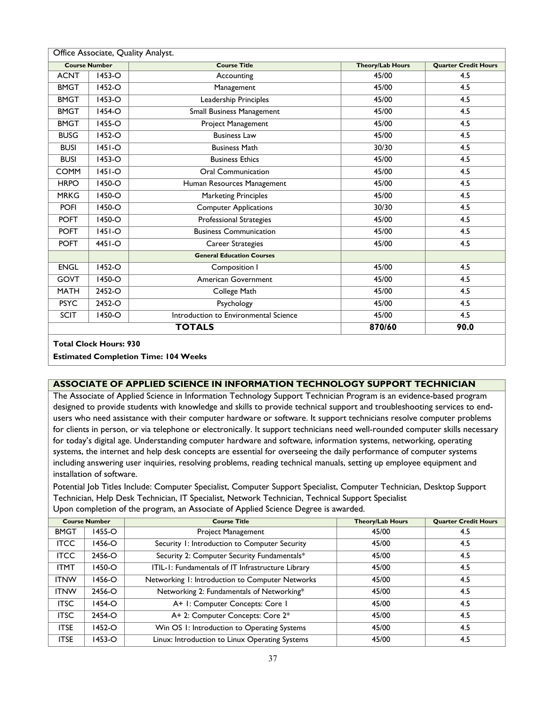| Office Associate, Quality Analyst. |                      |                                       |                         |                             |  |
|------------------------------------|----------------------|---------------------------------------|-------------------------|-----------------------------|--|
|                                    | <b>Course Number</b> | <b>Course Title</b>                   | <b>Theory/Lab Hours</b> | <b>Quarter Credit Hours</b> |  |
| <b>ACNT</b>                        | 1453-O               | Accounting                            | 45/00                   | 4.5                         |  |
| <b>BMGT</b>                        | 1452-O               | Management                            | 45/00                   | 4.5                         |  |
| <b>BMGT</b>                        | $1453 - O$           | Leadership Principles                 | 45/00                   | 4.5                         |  |
| <b>BMGT</b>                        | 1454-O               | Small Business Management             | 45/00                   | 4.5                         |  |
| <b>BMGT</b>                        | 1455-O               | Project Management                    | 45/00                   | 4.5                         |  |
| <b>BUSG</b>                        | 1452-O               | <b>Business Law</b>                   | 45/00                   | 4.5                         |  |
| <b>BUSI</b>                        | $ 45 $ -O            | <b>Business Math</b>                  | 30/30                   | 4.5                         |  |
| <b>BUSI</b>                        | 1453-O               | <b>Business Ethics</b>                | 45/00                   | 4.5                         |  |
| <b>COMM</b>                        | $ 45 -O$             | <b>Oral Communication</b>             | 45/00                   | 4.5                         |  |
| <b>HRPO</b>                        | 1450-O               | Human Resources Management            | 45/00                   | 4.5                         |  |
| <b>MRKG</b>                        | 1450-O               | <b>Marketing Principles</b>           | 45/00                   | 4.5                         |  |
| <b>POFI</b>                        | 1450-O               | <b>Computer Applications</b>          | 30/30                   | 4.5                         |  |
| <b>POFT</b>                        | 1450-O               | Professional Strategies               | 45/00                   | 4.5                         |  |
| <b>POFT</b>                        | $ 45 $ -O            | <b>Business Communication</b>         | 45/00                   | 4.5                         |  |
| <b>POFT</b>                        | $4451 - O$           | Career Strategies                     | 45/00                   | 4.5                         |  |
|                                    |                      | <b>General Education Courses</b>      |                         |                             |  |
| <b>ENGL</b>                        | 1452-O               | Composition I                         | 45/00                   | 4.5                         |  |
| GOVT                               | 1450-O               | American Government                   | 45/00                   | 4.5                         |  |
| <b>MATH</b>                        | 2452-O               | College Math                          | 45/00                   | 4.5                         |  |
| <b>PSYC</b>                        | 2452-O               | Psychology                            | 45/00                   | 4.5                         |  |
| <b>SCIT</b>                        | 1450-O               | Introduction to Environmental Science | 45/00                   | 4.5                         |  |
|                                    |                      | 870/60                                | 90.0                    |                             |  |

**Estimated Completion Time: 104 Weeks**

## <span id="page-36-0"></span>**ASSOCIATE OF APPLIED SCIENCE IN INFORMATION TECHNOLOGY SUPPORT TECHNICIAN**

The Associate of Applied Science in Information Technology Support Technician Program is an evidence-based program designed to provide students with knowledge and skills to provide technical support and troubleshooting services to endusers who need assistance with their computer hardware or software. It support technicians resolve computer problems for clients in person, or via telephone or electronically. It support technicians need well-rounded computer skills necessary for today's digital age. Understanding computer hardware and software, information systems, networking, operating systems, the internet and help desk concepts are essential for overseeing the daily performance of computer systems including answering user inquiries, resolving problems, reading technical manuals, setting up employee equipment and installation of software.

Potential Job Titles Include: Computer Specialist, Computer Support Specialist, Computer Technician, Desktop Support Technician, Help Desk Technician, IT Specialist, Network Technician, Technical Support Specialist Upon completion of the program, an Associate of Applied Science Degree is awarded.

| <b>Course Number</b> |            | <b>Course Title</b>                               | <b>Theory/Lab Hours</b> | <b>Quarter Credit Hours</b> |
|----------------------|------------|---------------------------------------------------|-------------------------|-----------------------------|
| <b>BMGT</b>          | 1455-O     | Project Management                                | 45/00                   | 4.5                         |
| <b>ITCC</b>          | 1456-O     | Security 1: Introduction to Computer Security     | 45/00                   | 4.5                         |
| <b>ITCC</b>          | 2456-O     | Security 2: Computer Security Fundamentals*       | 45/00                   | 4.5                         |
| <b>ITMT</b>          | 1450-O     | ITIL-1: Fundamentals of IT Infrastructure Library | 45/00                   | 4.5                         |
| <b>ITNW</b>          | 1456-O     | Networking 1: Introduction to Computer Networks   | 45/00                   | 4.5                         |
| <b>ITNW</b>          | 2456-O     | Networking 2: Fundamentals of Networking*         | 45/00                   | 4.5                         |
| <b>ITSC</b>          | $1454 - O$ | A+ I: Computer Concepts: Core I                   | 45/00                   | 4.5                         |
| <b>ITSC</b>          | 2454-O     | A+ 2: Computer Concepts: Core 2*                  | 45/00                   | 4.5                         |
| <b>ITSE</b>          | 1452-O     | Win OS 1: Introduction to Operating Systems       | 45/00                   | 4.5                         |
| <b>ITSE</b>          | 1453-O     | Linux: Introduction to Linux Operating Systems    | 45/00                   | 4.5                         |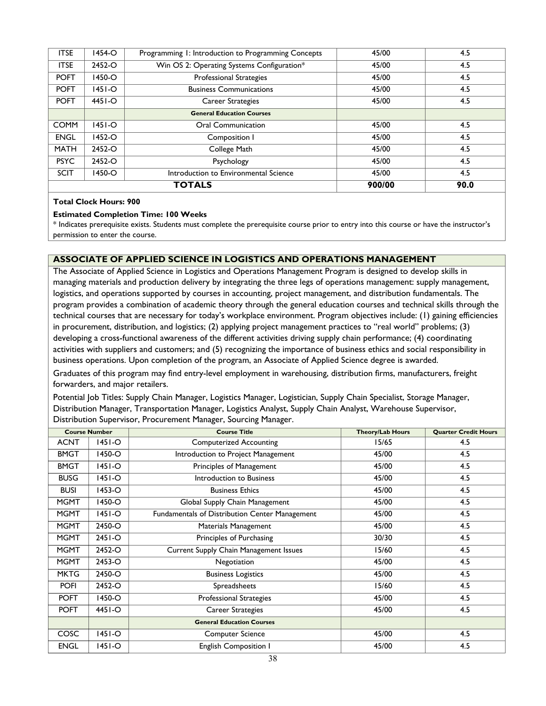| <b>ITSE</b>   | 1454-O | Programming 1: Introduction to Programming Concepts | 45/00  | 4.5  |
|---------------|--------|-----------------------------------------------------|--------|------|
| <b>ITSE</b>   | 2452-O | Win OS 2: Operating Systems Configuration*          | 45/00  | 4.5  |
| <b>POFT</b>   | 1450-O | Professional Strategies                             | 45/00  | 4.5  |
| <b>POFT</b>   | 1451-O | <b>Business Communications</b>                      | 45/00  | 4.5  |
| <b>POFT</b>   | 4451-O | Career Strategies                                   | 45/00  | 4.5  |
|               |        | <b>General Education Courses</b>                    |        |      |
| <b>COMM</b>   | 1451-O | <b>Oral Communication</b>                           | 45/00  | 4.5  |
| <b>ENGL</b>   | 1452-O | Composition I                                       | 45/00  | 4.5  |
| <b>MATH</b>   | 2452-O | College Math                                        | 45/00  | 4.5  |
| <b>PSYC</b>   | 2452-O | Psychology                                          | 45/00  | 4.5  |
| <b>SCIT</b>   | 1450-O | Introduction to Environmental Science               | 45/00  | 4.5  |
| <b>TOTALS</b> |        |                                                     | 900/00 | 90.0 |

#### **Estimated Completion Time: 100 Weeks**

\* Indicates prerequisite exists. Students must complete the prerequisite course prior to entry into this course or have the instructor's permission to enter the course.

#### <span id="page-37-0"></span>**ASSOCIATE OF APPLIED SCIENCE IN LOGISTICS AND OPERATIONS MANAGEMENT**

The Associate of Applied Science in Logistics and Operations Management Program is designed to develop skills in managing materials and production delivery by integrating the three legs of operations management: supply management, logistics, and operations supported by courses in accounting, project management, and distribution fundamentals. The program provides a combination of academic theory through the general education courses and technical skills through the technical courses that are necessary for today's workplace environment. Program objectives include: (1) gaining efficiencies in procurement, distribution, and logistics; (2) applying project management practices to "real world" problems; (3) developing a cross-functional awareness of the different activities driving supply chain performance; (4) coordinating activities with suppliers and customers; and (5) recognizing the importance of business ethics and social responsibility in business operations. Upon completion of the program, an Associate of Applied Science degree is awarded.

Graduates of this program may find entry-level employment in warehousing, distribution firms, manufacturers, freight forwarders, and major retailers.

Potential Job Titles: Supply Chain Manager, Logistics Manager, Logistician, Supply Chain Specialist, Storage Manager, Distribution Manager, Transportation Manager, Logistics Analyst, Supply Chain Analyst, Warehouse Supervisor, Distribution Supervisor, Procurement Manager, Sourcing Manager.

|             | <b>Course Number</b> | <b>Course Title</b>                            | <b>Theory/Lab Hours</b> | <b>Quarter Credit Hours</b> |
|-------------|----------------------|------------------------------------------------|-------------------------|-----------------------------|
| <b>ACNT</b> | 1451-O               | <b>Computerized Accounting</b>                 | 15/65                   | 4.5                         |
| <b>BMGT</b> | 1450-O               | Introduction to Project Management             | 45/00                   | 4.5                         |
| <b>BMGT</b> | $ 45 -O$             | Principles of Management                       | 45/00                   | 4.5                         |
| <b>BUSG</b> | $ 45 -O$             | Introduction to Business                       | 45/00                   | 4.5                         |
| <b>BUSI</b> | 1453-O               | <b>Business Ethics</b>                         | 45/00                   | 4.5                         |
| <b>MGMT</b> | 1450-O               | Global Supply Chain Management                 | 45/00                   | 4.5                         |
| <b>MGMT</b> | $ 45 -O$             | Fundamentals of Distribution Center Management | 45/00                   | 4.5                         |
| <b>MGMT</b> | 2450-O               | Materials Management                           | 45/00                   | 4.5                         |
| <b>MGMT</b> | $2451 - O$           | Principles of Purchasing                       | 30/30                   | 4.5                         |
| <b>MGMT</b> | 2452-O               | Current Supply Chain Management Issues         | 15/60                   | 4.5                         |
| <b>MGMT</b> | $2453 - O$           | Negotiation                                    | 45/00                   | 4.5                         |
| <b>MKTG</b> | 2450-O               | <b>Business Logistics</b>                      | 45/00                   | 4.5                         |
| <b>POFI</b> | 2452-O               | Spreadsheets                                   | 15/60                   | 4.5                         |
| <b>POFT</b> | 1450-O               | <b>Professional Strategies</b>                 | 45/00                   | 4.5                         |
| <b>POFT</b> | $4451 - O$           | <b>Career Strategies</b>                       | 45/00                   | 4.5                         |
|             |                      | <b>General Education Courses</b>               |                         |                             |
| COSC        | 1451-O               | <b>Computer Science</b>                        | 45/00                   | 4.5                         |
| <b>ENGL</b> | $ 45 -O$             | English Composition I                          | 45/00                   | 4.5                         |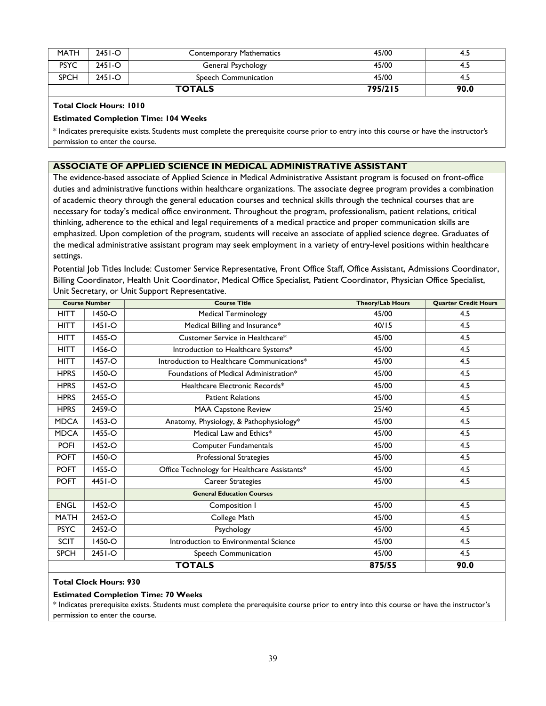| <b>MATH</b>   | $2451 - O$ | <b>Contemporary Mathematics</b> | 45/00   | 4.5  |
|---------------|------------|---------------------------------|---------|------|
| <b>PSYC</b>   | $2451 - O$ | General Psychology              | 45/00   | 4.5  |
| <b>SPCH</b>   | $2451 - O$ | Speech Communication            | 45/00   | -4.5 |
| <b>TOTALS</b> |            |                                 | 795/215 | 90.0 |

#### **Estimated Completion Time: 104 Weeks**

\* Indicates prerequisite exists. Students must complete the prerequisite course prior to entry into this course or have the instructor's permission to enter the course.

#### <span id="page-38-0"></span>**ASSOCIATE OF APPLIED SCIENCE IN MEDICAL ADMINISTRATIVE ASSISTANT**

The evidence-based associate of Applied Science in Medical Administrative Assistant program is focused on front-office duties and administrative functions within healthcare organizations. The associate degree program provides a combination of academic theory through the general education courses and technical skills through the technical courses that are necessary for today's medical office environment. Throughout the program, professionalism, patient relations, critical thinking, adherence to the ethical and legal requirements of a medical practice and proper communication skills are emphasized. Upon completion of the program, students will receive an associate of applied science degree. Graduates of the medical administrative assistant program may seek employment in a variety of entry-level positions within healthcare settings.

Potential Job Titles Include: Customer Service Representative, Front Office Staff, Office Assistant, Admissions Coordinator, Billing Coordinator, Health Unit Coordinator, Medical Office Specialist, Patient Coordinator, Physician Office Specialist, Unit Secretary, or Unit Support Representative.

| <b>Course Number</b> |           | <b>Course Title</b>                          | <b>Theory/Lab Hours</b> | <b>Quarter Credit Hours</b> |
|----------------------|-----------|----------------------------------------------|-------------------------|-----------------------------|
| <b>HITT</b>          | 1450-O    | <b>Medical Terminology</b>                   | 45/00                   | 4.5                         |
| <b>HITT</b>          | $ 45 $ -O | Medical Billing and Insurance*               | 40/15                   | 4.5                         |
| <b>HITT</b>          | 1455-O    | Customer Service in Healthcare*              | 45/00                   | 4.5                         |
| <b>HITT</b>          | 1456-O    | Introduction to Healthcare Systems*          | 45/00                   | 4.5                         |
| <b>HITT</b>          | 1457-O    | Introduction to Healthcare Communications*   | 45/00                   | 4.5                         |
| <b>HPRS</b>          | 1450-O    | Foundations of Medical Administration*       | 45/00                   | 4.5                         |
| <b>HPRS</b>          | 1452-O    | Healthcare Electronic Records*               | 45/00                   | 4.5                         |
| <b>HPRS</b>          | 2455-O    | <b>Patient Relations</b>                     | 45/00                   | 4.5                         |
| <b>HPRS</b>          | 2459-O    | <b>MAA Capstone Review</b>                   | 25/40                   | 4.5                         |
| <b>MDCA</b>          | 1453-O    | Anatomy, Physiology, & Pathophysiology*      | 45/00                   | 4.5                         |
| <b>MDCA</b>          | 1455-O    | Medical Law and Ethics*                      | 45/00                   | 4.5                         |
| <b>POFI</b>          | 1452-O    | Computer Fundamentals                        | 45/00                   | 4.5                         |
| <b>POFT</b>          | 1450-O    | <b>Professional Strategies</b>               | 45/00                   | 4.5                         |
| <b>POFT</b>          | 1455-O    | Office Technology for Healthcare Assistants* | 45/00                   | 4.5                         |
| <b>POFT</b>          | 4451-O    | Career Strategies                            | 45/00                   | 4.5                         |
|                      |           | <b>General Education Courses</b>             |                         |                             |
| <b>ENGL</b>          | 1452-O    | Composition I                                | 45/00                   | 4.5                         |
| <b>MATH</b>          | 2452-O    | College Math                                 | 45/00                   | 4.5                         |
| <b>PSYC</b>          | 2452-O    | Psychology                                   | 45/00                   | 4.5                         |
| <b>SCIT</b>          | 1450-O    | Introduction to Environmental Science        | 45/00                   | 4.5                         |
| <b>SPCH</b>          | $2451-°$  | Speech Communication                         | 45/00                   | 4.5                         |
|                      |           | <b>TOTALS</b>                                | 875/55                  | 90.0                        |

#### **Total Clock Hours: 930**

#### **Estimated Completion Time: 70 Weeks**

\* Indicates prerequisite exists. Students must complete the prerequisite course prior to entry into this course or have the instructor's permission to enter the course.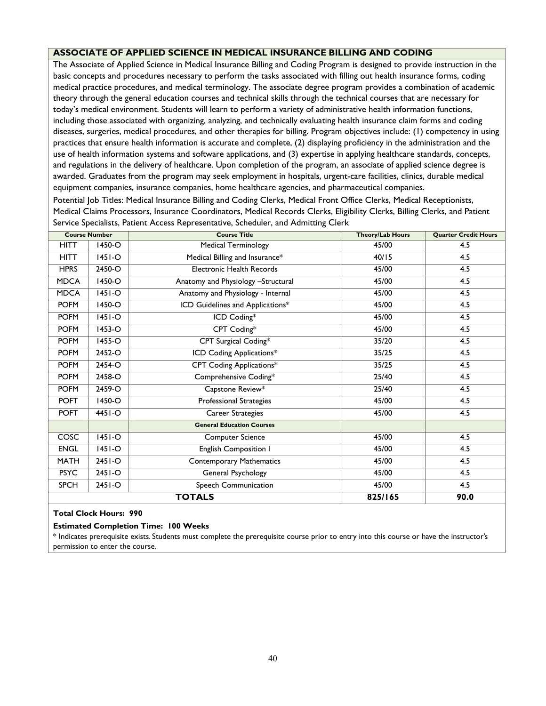## <span id="page-39-0"></span>**ASSOCIATE OF APPLIED SCIENCE IN MEDICAL INSURANCE BILLING AND CODING**

The Associate of Applied Science in Medical Insurance Billing and Coding Program is designed to provide instruction in the basic concepts and procedures necessary to perform the tasks associated with filling out health insurance forms, coding medical practice procedures, and medical terminology. The associate degree program provides a combination of academic theory through the general education courses and technical skills through the technical courses that are necessary for today's medical environment. Students will learn to perform a variety of administrative health information functions, including those associated with organizing, analyzing, and technically evaluating health insurance claim forms and coding diseases, surgeries, medical procedures, and other therapies for billing. Program objectives include: (1) competency in using practices that ensure health information is accurate and complete, (2) displaying proficiency in the administration and the use of health information systems and software applications, and (3) expertise in applying healthcare standards, concepts, and regulations in the delivery of healthcare. Upon completion of the program, an associate of applied science degree is awarded. Graduates from the program may seek employment in hospitals, urgent-care facilities, clinics, durable medical equipment companies, insurance companies, home healthcare agencies, and pharmaceutical companies.

Potential Job Titles: Medical Insurance Billing and Coding Clerks, Medical Front Office Clerks, Medical Receptionists, Medical Claims Processors, Insurance Coordinators, Medical Records Clerks, Eligibility Clerks, Billing Clerks, and Patient Service Specialists, Patient Access Representative, Scheduler, and Admitting Clerk

|             | <b>Course Number</b> | <b>Course Title</b>                | <b>Theory/Lab Hours</b> | <b>Quarter Credit Hours</b> |
|-------------|----------------------|------------------------------------|-------------------------|-----------------------------|
| <b>HITT</b> | 1450-O               | <b>Medical Terminology</b>         | 45/00                   | 4.5                         |
| <b>HITT</b> | $ 45 -O$             | Medical Billing and Insurance*     | 40/15                   | 4.5                         |
| <b>HPRS</b> | 2450-O               | Electronic Health Records          | 45/00                   | 4.5                         |
| <b>MDCA</b> | 1450-O               | Anatomy and Physiology -Structural | 45/00                   | 4.5                         |
| <b>MDCA</b> | $ 451-°$             | Anatomy and Physiology - Internal  | 45/00                   | 4.5                         |
| <b>POFM</b> | 1450-O               | ICD Guidelines and Applications*   | 45/00                   | 4.5                         |
| <b>POFM</b> | $ 451-°$             | ICD Coding*                        | 45/00                   | 4.5                         |
| <b>POFM</b> | 1453-O               | CPT Coding*                        | 45/00                   | 4.5                         |
| <b>POFM</b> | 1455-O               | CPT Surgical Coding*               | 35/20                   | 4.5                         |
| <b>POFM</b> | 2452-O               | <b>ICD Coding Applications*</b>    | 35/25                   | 4.5                         |
| <b>POFM</b> | 2454-O               | CPT Coding Applications*           | 35/25                   | 4.5                         |
| <b>POFM</b> | 2458-O               | Comprehensive Coding*              | 25/40                   | 4.5                         |
| <b>POFM</b> | 2459-O               | Capstone Review*                   | 25/40                   | 4.5                         |
| <b>POFT</b> | 1450-O               | Professional Strategies            | 45/00                   | 4.5                         |
| <b>POFT</b> | $4451 - O$           | Career Strategies                  | 45/00                   | 4.5                         |
|             |                      | <b>General Education Courses</b>   |                         |                             |
| COSC        | $ 451-°$             | <b>Computer Science</b>            | 45/00                   | 4.5                         |
| <b>ENGL</b> | $1451-o$             | English Composition I              | 45/00                   | 4.5                         |
| <b>MATH</b> | $2451 - O$           | <b>Contemporary Mathematics</b>    | 45/00                   | 4.5                         |
| <b>PSYC</b> | $2451 - O$           | General Psychology                 | 45/00                   | 4.5                         |
| <b>SPCH</b> | 2451-O               | Speech Communication               | 45/00                   | 4.5                         |
|             |                      | <b>TOTALS</b>                      | 825/165                 | 90.0                        |

#### **Total Clock Hours: 990**

#### **Estimated Completion Time: 100 Weeks**

\* Indicates prerequisite exists. Students must complete the prerequisite course prior to entry into this course or have the instructor's permission to enter the course.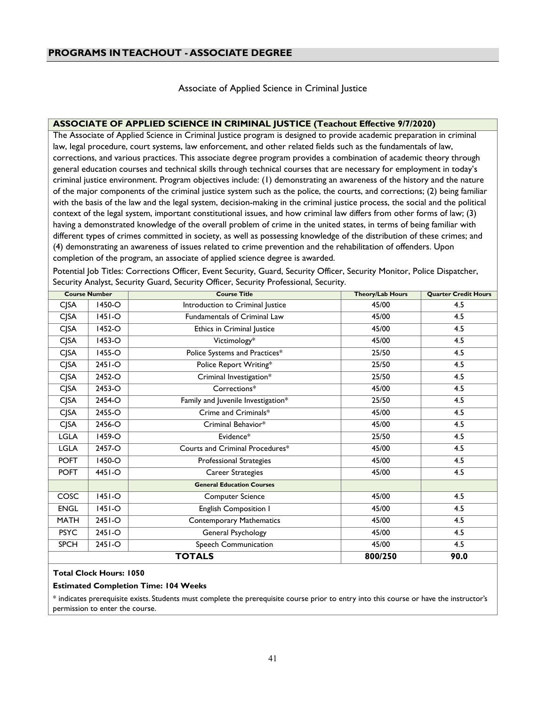Associate of Applied Science in Criminal Justice

#### <span id="page-40-1"></span><span id="page-40-0"></span>**ASSOCIATE OF APPLIED SCIENCE IN CRIMINAL JUSTICE (Teachout Effective 9/7/2020)**

The Associate of Applied Science in Criminal Justice program is designed to provide academic preparation in criminal law, legal procedure, court systems, law enforcement, and other related fields such as the fundamentals of law, corrections, and various practices. This associate degree program provides a combination of academic theory through general education courses and technical skills through technical courses that are necessary for employment in today's criminal justice environment. Program objectives include: (1) demonstrating an awareness of the history and the nature of the major components of the criminal justice system such as the police, the courts, and corrections; (2) being familiar with the basis of the law and the legal system, decision-making in the criminal justice process, the social and the political context of the legal system, important constitutional issues, and how criminal law differs from other forms of law; (3) having a demonstrated knowledge of the overall problem of crime in the united states, in terms of being familiar with different types of crimes committed in society, as well as possessing knowledge of the distribution of these crimes; and (4) demonstrating an awareness of issues related to crime prevention and the rehabilitation of offenders. Upon completion of the program, an associate of applied science degree is awarded.

Potential Job Titles: Corrections Officer, Event Security, Guard, Security Officer, Security Monitor, Police Dispatcher, Security Analyst, Security Guard, Security Officer, Security Professional, Security.

|             | <b>Course Number</b> | <b>Course Title</b>                 | <b>Theory/Lab Hours</b> | <b>Quarter Credit Hours</b> |
|-------------|----------------------|-------------------------------------|-------------------------|-----------------------------|
| <b>CJSA</b> | 1450-O               | Introduction to Criminal Justice    | 45/00                   | 4.5                         |
| <b>CJSA</b> | $1451 - O$           | <b>Fundamentals of Criminal Law</b> | 45/00                   | 4.5                         |
| <b>CJSA</b> | 1452-O               | Ethics in Criminal Justice          | 45/00                   | 4.5                         |
| <b>CJSA</b> | $1453 - O$           | Victimology*                        | 45/00                   | 4.5                         |
| <b>CJSA</b> | 1455-O               | Police Systems and Practices*       | 25/50                   | 4.5                         |
| <b>CJSA</b> | $2451 - O$           | Police Report Writing*              | 25/50                   | 4.5                         |
| <b>CJSA</b> | 2452-O               | Criminal Investigation*             | 25/50                   | 4.5                         |
| <b>CJSA</b> | 2453-O               | Corrections*                        | 45/00                   | 4.5                         |
| <b>CJSA</b> | 2454-O               | Family and Juvenile Investigation*  | 25/50                   | 4.5                         |
| <b>CJSA</b> | 2455-O               | Crime and Criminals*                | 45/00                   | 4.5                         |
| <b>CJSA</b> | 2456-O               | Criminal Behavior*                  | 45/00                   | 4.5                         |
| <b>LGLA</b> | $1459-C$             | Evidence*                           | 25/50                   | 4.5                         |
| LGLA        | 2457-O               | Courts and Criminal Procedures*     | 45/00                   | 4.5                         |
| <b>POFT</b> | 1450-O               | <b>Professional Strategies</b>      | 45/00                   | 4.5                         |
| <b>POFT</b> | $4451 - O$           | Career Strategies                   | 45/00                   | 4.5                         |
|             |                      | <b>General Education Courses</b>    |                         |                             |
| COSC        | $ 451--$             | <b>Computer Science</b>             | 45/00                   | 4.5                         |
| <b>ENGL</b> | $ 45 -O$             | English Composition I               | 45/00                   | 4.5                         |
| <b>MATH</b> | $2451 - O$           | <b>Contemporary Mathematics</b>     | 45/00                   | 4.5                         |
| <b>PSYC</b> | 2451-O               | General Psychology                  | 45/00                   | 4.5                         |
| <b>SPCH</b> | 2451-O               | Speech Communication                | 45/00                   | 4.5                         |
|             |                      | <b>TOTALS</b>                       | 800/250                 | 90.0                        |

#### **Total Clock Hours: 1050**

#### **Estimated Completion Time: 104 Weeks**

\* indicates prerequisite exists. Students must complete the prerequisite course prior to entry into this course or have the instructor's permission to enter the course.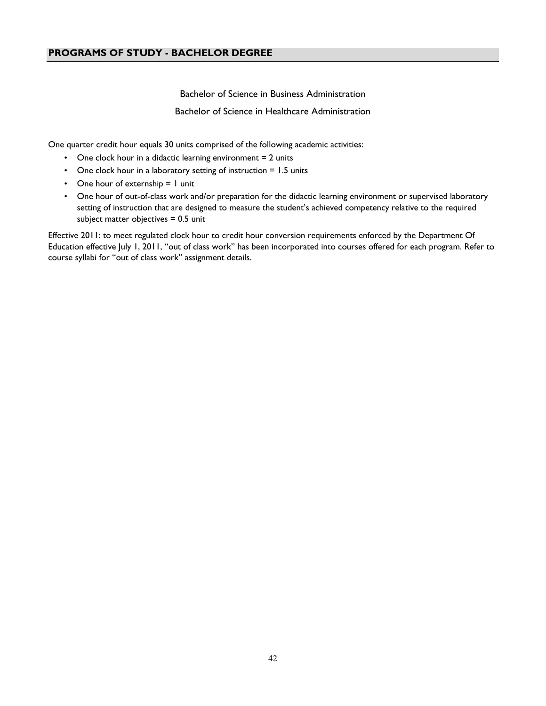Bachelor of Science in Business Administration Bachelor of Science in Healthcare Administration

One quarter credit hour equals 30 units comprised of the following academic activities:

- One clock hour in a didactic learning environment  $= 2$  units
- One clock hour in a laboratory setting of instruction = 1.5 units
- One hour of externship = 1 unit
- One hour of out-of-class work and/or preparation for the didactic learning environment or supervised laboratory setting of instruction that are designed to measure the student's achieved competency relative to the required subject matter objectives = 0.5 unit

Effective 2011: to meet regulated clock hour to credit hour conversion requirements enforced by the Department Of Education effective July 1, 2011, "out of class work" has been incorporated into courses offered for each program. Refer to course syllabi for "out of class work" assignment details.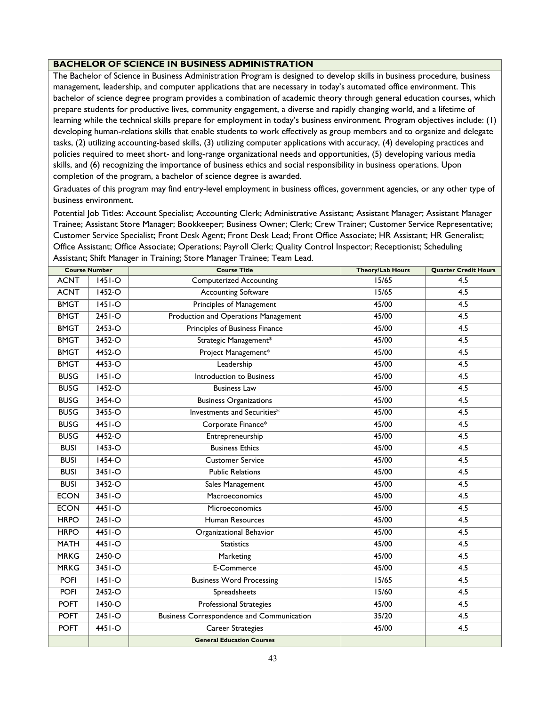#### <span id="page-42-0"></span>**BACHELOR OF SCIENCE IN BUSINESS ADMINISTRATION**

The Bachelor of Science in Business Administration Program is designed to develop skills in business procedure, business management, leadership, and computer applications that are necessary in today's automated office environment. This bachelor of science degree program provides a combination of academic theory through general education courses, which prepare students for productive lives, community engagement, a diverse and rapidly changing world, and a lifetime of learning while the technical skills prepare for employment in today's business environment. Program objectives include: (1) developing human-relations skills that enable students to work effectively as group members and to organize and delegate tasks, (2) utilizing accounting-based skills, (3) utilizing computer applications with accuracy, (4) developing practices and policies required to meet short- and long-range organizational needs and opportunities, (5) developing various media skills, and (6) recognizing the importance of business ethics and social responsibility in business operations. Upon completion of the program, a bachelor of science degree is awarded.

Graduates of this program may find entry-level employment in business offices, government agencies, or any other type of business environment.

Potential Job Titles: Account Specialist; Accounting Clerk; Administrative Assistant; Assistant Manager; Assistant Manager Trainee; Assistant Store Manager; Bookkeeper; Business Owner; Clerk; Crew Trainer; Customer Service Representative; Customer Service Specialist; Front Desk Agent; Front Desk Lead; Front Office Associate; HR Assistant; HR Generalist; Office Assistant; Office Associate; Operations; Payroll Clerk; Quality Control Inspector; Receptionist; Scheduling Assistant; Shift Manager in Training; Store Manager Trainee; Team Lead.

|             | <b>Course Number</b> | <b>Course Title</b>                              | <b>Theory/Lab Hours</b> | <b>Quarter Credit Hours</b> |
|-------------|----------------------|--------------------------------------------------|-------------------------|-----------------------------|
| <b>ACNT</b> | $1451-°$             | <b>Computerized Accounting</b>                   | 15/65                   | 4.5                         |
| <b>ACNT</b> | 1452-O               | <b>Accounting Software</b>                       | 15/65                   | 4.5                         |
| <b>BMGT</b> | $1451-o$             | <b>Principles of Management</b>                  | 45/00                   | $\overline{4.5}$            |
| <b>BMGT</b> | $2451-o$             | Production and Operations Management             | 45/00                   | 4.5                         |
| <b>BMGT</b> | 2453-O               | Principles of Business Finance                   | 45/00                   | 4.5                         |
| <b>BMGT</b> | 3452-O               | Strategic Management*                            | 45/00                   | 4.5                         |
| <b>BMGT</b> | 4452-O               | Project Management*                              | 45/00                   | 4.5                         |
| <b>BMGT</b> | 4453-O               | Leadership                                       | 45/00                   | 4.5                         |
| <b>BUSG</b> | $1451-o$             | Introduction to Business                         | 45/00                   | $\overline{4.5}$            |
| <b>BUSG</b> | $1452-o$             | <b>Business Law</b>                              | 45/00                   | 4.5                         |
| <b>BUSG</b> | 3454-O               | <b>Business Organizations</b>                    | 45/00                   | 4.5                         |
| <b>BUSG</b> | 3455-O               | Investments and Securities*                      | 45/00                   | $\overline{4.5}$            |
| <b>BUSG</b> | $4451-o$             | Corporate Finance*                               | 45/00                   | 4.5                         |
| <b>BUSG</b> | 4452-O               | Entrepreneurship                                 | 45/00                   | 4.5                         |
| <b>BUSI</b> | 1453-O               | <b>Business Ethics</b>                           | 45/00                   | 4.5                         |
| <b>BUSI</b> | $1454 - O$           | <b>Customer Service</b>                          | 45/00                   | 4.5                         |
| <b>BUSI</b> | $3451-o$             | <b>Public Relations</b>                          | 45/00                   | $\overline{4.5}$            |
| <b>BUSI</b> | $3452-o$             | Sales Management                                 | 45/00                   | 4.5                         |
| <b>ECON</b> | 3451-O               | Macroeconomics                                   | 45/00                   | 4.5                         |
| <b>ECON</b> | 4451-O               | Microeconomics                                   | 45/00                   | 4.5                         |
| <b>HRPO</b> | 2451-O               | Human Resources                                  | 45/00                   | 4.5                         |
| <b>HRPO</b> | 4451-O               | Organizational Behavior                          | 45/00                   | 4.5                         |
| <b>MATH</b> | $4451-o$             | Statistics                                       | 45/00                   | 4.5                         |
| <b>MRKG</b> | 2450-O               | Marketing                                        | 45/00                   | 4.5                         |
| <b>MRKG</b> | 3451-O               | E-Commerce                                       | 45/00                   | 4.5                         |
| <b>POFI</b> | $1451-o$             | <b>Business Word Processing</b>                  | 15/65                   | 4.5                         |
| <b>POFI</b> | 2452-O               | Spreadsheets                                     | 15/60                   | 4.5                         |
| <b>POFT</b> | $1450 - O$           | <b>Professional Strategies</b>                   | 45/00                   | 4.5                         |
| <b>POFT</b> | 2451-O               | <b>Business Correspondence and Communication</b> | 35/20                   | 4.5                         |
| <b>POFT</b> | 4451-O               | <b>Career Strategies</b>                         | 45/00                   | 4.5                         |
|             |                      | <b>General Education Courses</b>                 |                         |                             |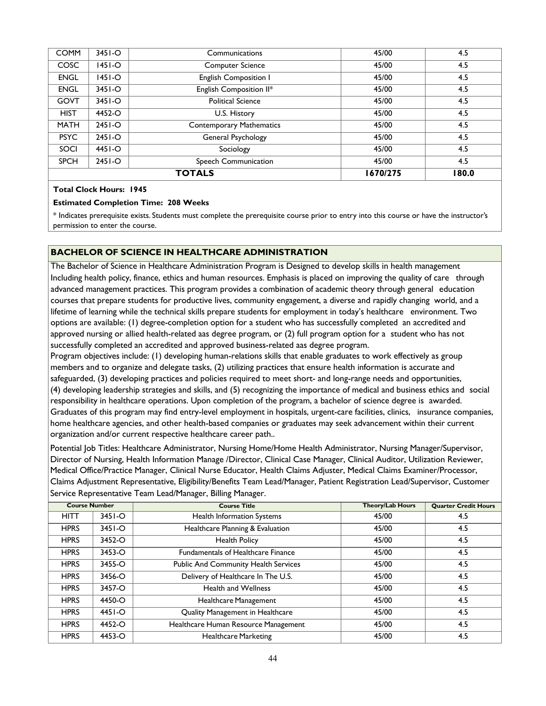| <b>COMM</b> | $3451 - O$ | Communications                  | 45/00    | 4.5   |
|-------------|------------|---------------------------------|----------|-------|
| <b>COSC</b> | 1451-O     | <b>Computer Science</b>         | 45/00    | 4.5   |
| <b>ENGL</b> | 1451-O     | English Composition I           | 45/00    | 4.5   |
| <b>ENGL</b> | $3451 - O$ | English Composition II*         | 45/00    | 4.5   |
| <b>GOVT</b> | $3451 - O$ | <b>Political Science</b>        | 45/00    | 4.5   |
| <b>HIST</b> | 4452-O     | U.S. History                    | 45/00    | 4.5   |
| <b>MATH</b> | $2451 - O$ | <b>Contemporary Mathematics</b> | 45/00    | 4.5   |
| <b>PSYC</b> | $2451 - O$ | General Psychology              | 45/00    | 4.5   |
| SOCI        | 4451-O     | Sociology                       | 45/00    | 4.5   |
| <b>SPCH</b> | $2451 - O$ | Speech Communication            | 45/00    | 4.5   |
|             |            | <b>TOTALS</b>                   | 1670/275 | 180.0 |

#### **Estimated Completion Time: 208 Weeks**

\* Indicates prerequisite exists. Students must complete the prerequisite course prior to entry into this course or have the instructor's permission to enter the course.

#### **BACHELOR OF SCIENCE IN HEALTHCARE ADMINISTRATION**

The Bachelor of Science in Healthcare Administration Program is Designed to develop skills in health management Including health policy, finance, ethics and human resources. Emphasis is placed on improving the quality of care through advanced management practices. This program provides a combination of academic theory through general education courses that prepare students for productive lives, community engagement, a diverse and rapidly changing world, and a lifetime of learning while the technical skills prepare students for employment in today's healthcare environment. Two options are available: (1) degree-completion option for a student who has successfully completed an accredited and approved nursing or allied health-related aas degree program, or (2) full program option for a student who has not successfully completed an accredited and approved business-related aas degree program.

Program objectives include: (1) developing human-relations skills that enable graduates to work effectively as group members and to organize and delegate tasks, (2) utilizing practices that ensure health information is accurate and safeguarded, (3) developing practices and policies required to meet short- and long-range needs and opportunities, (4) developing leadership strategies and skills, and (5) recognizing the importance of medical and business ethics and social responsibility in healthcare operations. Upon completion of the program, a bachelor of science degree is awarded. Graduates of this program may find entry-level employment in hospitals, urgent-care facilities, clinics, insurance companies, home healthcare agencies, and other health-based companies or graduates may seek advancement within their current organization and/or current respective healthcare career path..

Potential Job Titles: Healthcare Administrator, Nursing Home/Home Health Administrator, Nursing Manager/Supervisor, Director of Nursing, Health Information Manage /Director, Clinical Case Manager, Clinical Auditor, Utilization Reviewer, Medical Office/Practice Manager, Clinical Nurse Educator, Health Claims Adjuster, Medical Claims Examiner/Processor, Claims Adjustment Representative, Eligibility/Benefits Team Lead/Manager, Patient Registration Lead/Supervisor, Customer Service Representative Team Lead/Manager, Billing Manager.

| <b>Course Number</b> |            | <b>Course Title</b>                       | <b>Theory/Lab Hours</b> | <b>Quarter Credit Hours</b> |
|----------------------|------------|-------------------------------------------|-------------------------|-----------------------------|
| <b>HITT</b>          | $3451 - O$ | Health Information Systems                | 45/00                   | 4.5                         |
| <b>HPRS</b>          | 3451-O     | Healthcare Planning & Evaluation          | 45/00                   | 4.5                         |
| <b>HPRS</b>          | 3452-O     | <b>Health Policy</b>                      | 45/00                   | 4.5                         |
| <b>HPRS</b>          | 3453-O     | <b>Fundamentals of Healthcare Finance</b> | 45/00                   | 4.5                         |
| <b>HPRS</b>          | 3455-O     | Public And Community Health Services      | 45/00                   | 4.5                         |
| <b>HPRS</b>          | 3456-O     | Delivery of Healthcare In The U.S.        | 45/00                   | 4.5                         |
| <b>HPRS</b>          | 3457-O     | <b>Health and Wellness</b>                | 45/00                   | 4.5                         |
| <b>HPRS</b>          | 4450-O     | Healthcare Management                     | 45/00                   | 4.5                         |
| <b>HPRS</b>          | $4451 - O$ | Quality Management in Healthcare          | 45/00                   | 4.5                         |
| <b>HPRS</b>          | 4452-O     | Healthcare Human Resource Management      | 45/00                   | 4.5                         |
| <b>HPRS</b>          | 4453-O     | <b>Healthcare Marketing</b>               | 45/00                   | 4.5                         |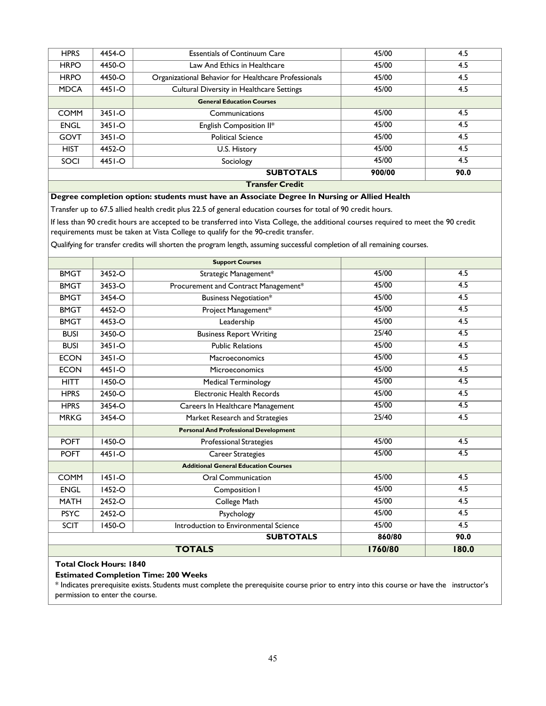| <b>Transfer Credit</b> |            |                                                      |        |      |  |  |
|------------------------|------------|------------------------------------------------------|--------|------|--|--|
|                        |            | <b>SUBTOTALS</b>                                     | 900/00 | 90.0 |  |  |
| SOCI                   | 4451-O     | Sociology                                            | 45/00  | 4.5  |  |  |
| <b>HIST</b>            | 4452-O     | U.S. History                                         | 45/00  | 4.5  |  |  |
| <b>GOVT</b>            | $3451 - O$ | <b>Political Science</b>                             | 45/00  | 4.5  |  |  |
| <b>ENGL</b>            | $3451 - O$ | English Composition II*                              | 45/00  | 4.5  |  |  |
| <b>COMM</b>            | $3451 - O$ | Communications                                       | 45/00  | 4.5  |  |  |
|                        |            | <b>General Education Courses</b>                     |        |      |  |  |
| <b>MDCA</b>            | 4451-O     | Cultural Diversity in Healthcare Settings            | 45/00  | 4.5  |  |  |
| <b>HRPO</b>            | 4450-Q     | Organizational Behavior for Healthcare Professionals | 45/00  | 4.5  |  |  |
| <b>HRPO</b>            | 4450-Q     | Law And Ethics in Healthcare                         | 45/00  | 4.5  |  |  |
| <b>HPRS</b>            | 4454-O     | <b>Essentials of Continuum Care</b>                  | 45/00  | 4.5  |  |  |
|                        |            |                                                      |        |      |  |  |

#### **Degree completion option: students must have an Associate Degree In Nursing or Allied Health**

Transfer up to 67.5 allied health credit plus 22.5 of general education courses for total of 90 credit hours.

If less than 90 credit hours are accepted to be transferred into Vista College, the additional courses required to meet the 90 credit requirements must be taken at Vista College to qualify for the 90-credit transfer.

Qualifying for transfer credits will shorten the program length, assuming successful completion of all remaining courses.

|               |            | <b>Support Courses</b>                       |         |                  |
|---------------|------------|----------------------------------------------|---------|------------------|
| <b>BMGT</b>   | 3452-O     | Strategic Management*                        | 45/00   | 4.5              |
| <b>BMGT</b>   | 3453-O     | Procurement and Contract Management*         | 45/00   | 4.5              |
| <b>BMGT</b>   | 3454-O     | Business Negotiation*                        | 45/00   | $\overline{4.5}$ |
| <b>BMGT</b>   | 4452-O     | Project Management*                          | 45/00   | 4.5              |
| <b>BMGT</b>   | 4453-O     | Leadership                                   | 45/00   | 4.5              |
| <b>BUSI</b>   | 3450-O     | <b>Business Report Writing</b>               | 25/40   | 4.5              |
| <b>BUSI</b>   | $3451 - O$ | <b>Public Relations</b>                      | 45/00   | 4.5              |
| <b>ECON</b>   | 3451-O     | Macroeconomics                               | 45/00   | 4.5              |
| <b>ECON</b>   | $4451-o$   | Microeconomics                               | 45/00   | 4.5              |
| <b>HITT</b>   | $1450 - O$ | <b>Medical Terminology</b>                   | 45/00   | 4.5              |
| <b>HPRS</b>   | 2450-O     | Electronic Health Records                    | 45/00   | $\overline{4.5}$ |
| <b>HPRS</b>   | 3454-O     | Careers In Healthcare Management             | 45/00   | 4.5              |
| <b>MRKG</b>   | 3454-O     | Market Research and Strategies               | 25/40   | 4.5              |
|               |            | <b>Personal And Professional Development</b> |         |                  |
| <b>POFT</b>   | $1450 - O$ | <b>Professional Strategies</b>               | 45/00   | 4.5              |
| <b>POFT</b>   | 4451-O     | Career Strategies                            | 45/00   | 4.5              |
|               |            | <b>Additional General Education Courses</b>  |         |                  |
| <b>COMM</b>   | $ 45 -O$   | Oral Communication                           | 45/00   | 4.5              |
| <b>ENGL</b>   | $1452 - O$ | Composition I                                | 45/00   | 4.5              |
| <b>MATH</b>   | 2452-O     | College Math                                 | 45/00   | 4.5              |
| <b>PSYC</b>   | 2452-O     | Psychology                                   | 45/00   | 4.5              |
| <b>SCIT</b>   | 1450-O     | Introduction to Environmental Science        | 45/00   | 4.5              |
|               |            | <b>SUBTOTALS</b>                             | 860/80  | 90.0             |
| <b>TOTALS</b> |            |                                              | 1760/80 | 180.0            |

## **Total Clock Hours: 1840**

#### **Estimated Completion Time: 200 Weeks**

\* Indicates prerequisite exists. Students must complete the prerequisite course prior to entry into this course or have the instructor's permission to enter the course.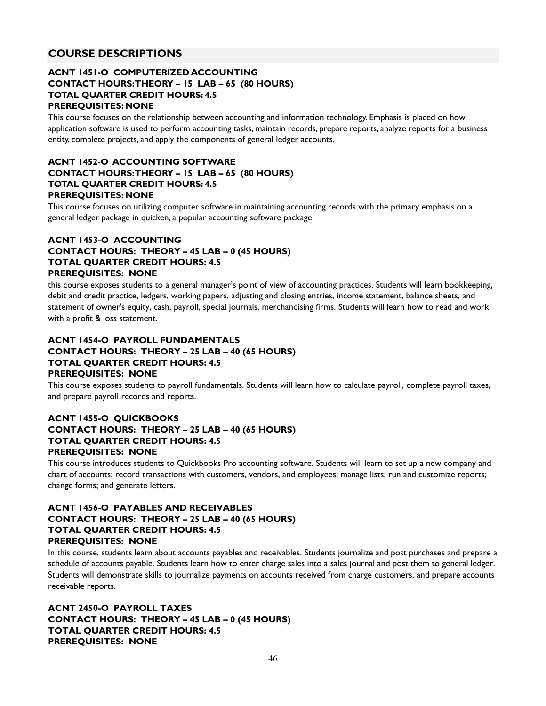## **COURSE DESCRIPTIONS**

## **ACNT 1451-O COMPUTERIZED ACCOUNTING CONTACT HOURS: THEORY – 15 LAB – 65 (80 HOURS) TOTAL QUARTER CREDIT HOURS: 4.5 PREREQUISITES: NONE**

This course focuses on the relationship between accounting and information technology. Emphasis is placed on how application software is used to perform accounting tasks, maintain records, prepare reports, analyze reports for a business entity, complete projects, and apply the components of general ledger accounts.

#### **ACNT 1452-O ACCOUNTING SOFTWARE CONTACT HOURS: THEORY – 15 LAB – 65 (80 HOURS) TOTAL QUARTER CREDIT HOURS: 4.5 PREREQUISITES: NONE**

This course focuses on utilizing computer software in maintaining accounting records with the primary emphasis on a general ledger package in quicken, a popular accounting software package.

## **ACNT 1453-O ACCOUNTING CONTACT HOURS: THEORY – 45 LAB – 0 (45 HOURS) TOTAL QUARTER CREDIT HOURS: 4.5 PREREQUISITES: NONE**

this course exposes students to a general manager's point of view of accounting practices. Students will learn bookkeeping, debit and credit practice, ledgers, working papers, adjusting and closing entries, income statement, balance sheets, and statement of owner's equity, cash, payroll, special journals, merchandising firms. Students will learn how to read and work with a profit & loss statement.

## **ACNT 1454-O PAYROLL FUNDAMENTALS CONTACT HOURS: THEORY – 25 LAB – 40 (65 HOURS) TOTAL QUARTER CREDIT HOURS: 4.5 PREREQUISITES: NONE**

This course exposes students to payroll fundamentals. Students will learn how to calculate payroll, complete payroll taxes, and prepare payroll records and reports.

## **ACNT 1455-O QUICKBOOKS CONTACT HOURS: THEORY – 25 LAB – 40 (65 HOURS) TOTAL QUARTER CREDIT HOURS: 4.5 PREREQUISITES: NONE**

This course introduces students to Quickbooks Pro accounting software. Students will learn to set up a new company and chart of accounts; record transactions with customers, vendors, and employees; manage lists; run and customize reports; change forms; and generate letters.

## **ACNT 1456-O PAYABLES AND RECEIVABLES CONTACT HOURS: THEORY – 25 LAB – 40 (65 HOURS) TOTAL QUARTER CREDIT HOURS: 4.5 PREREQUISITES: NONE**

In this course, students learn about accounts payables and receivables. Students journalize and post purchases and prepare a schedule of accounts payable. Students learn how to enter charge sales into a sales journal and post them to general ledger. Students will demonstrate skills to journalize payments on accounts received from charge customers, and prepare accounts receivable reports.

**ACNT 2450-O PAYROLL TAXES CONTACT HOURS: THEORY – 45 LAB – 0 (45 HOURS) TOTAL QUARTER CREDIT HOURS: 4.5 PREREQUISITES: NONE**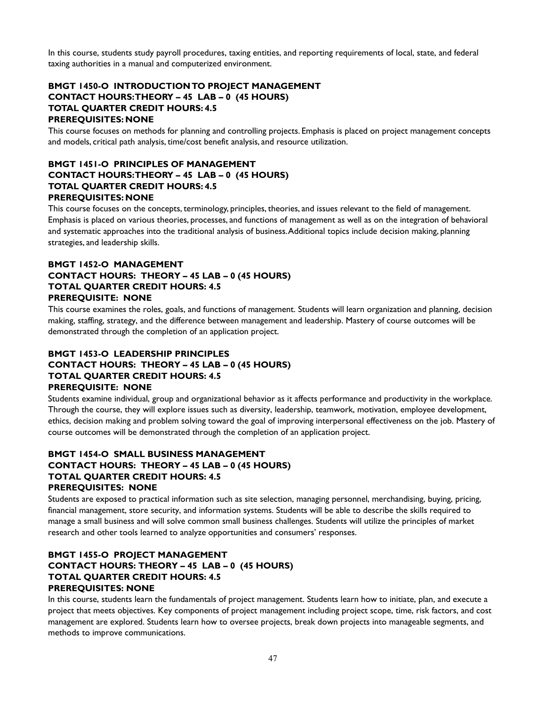In this course, students study payroll procedures, taxing entities, and reporting requirements of local, state, and federal taxing authorities in a manual and computerized environment.

## **BMGT 1450-O INTRODUCTION TO PROJECT MANAGEMENT CONTACT HOURS: THEORY – 45 LAB – 0 (45 HOURS) TOTAL QUARTER CREDIT HOURS: 4.5 PREREQUISITES: NONE**

This course focuses on methods for planning and controlling projects. Emphasis is placed on project management concepts and models, critical path analysis, time/cost benefit analysis, and resource utilization.

## **BMGT 1451-O PRINCIPLES OF MANAGEMENT CONTACT HOURS: THEORY – 45 LAB – 0 (45 HOURS) TOTAL QUARTER CREDIT HOURS: 4.5 PREREQUISITES: NONE**

This course focuses on the concepts, terminology, principles, theories, and issues relevant to the field of management. Emphasis is placed on various theories, processes, and functions of management as well as on the integration of behavioral and systematic approaches into the traditional analysis of business. Additional topics include decision making, planning strategies, and leadership skills.

## **BMGT 1452-O MANAGEMENT CONTACT HOURS: THEORY – 45 LAB – 0 (45 HOURS) TOTAL QUARTER CREDIT HOURS: 4.5 PREREQUISITE: NONE**

This course examines the roles, goals, and functions of management. Students will learn organization and planning, decision making, staffing, strategy, and the difference between management and leadership. Mastery of course outcomes will be demonstrated through the completion of an application project.

## **BMGT 1453-O LEADERSHIP PRINCIPLES CONTACT HOURS: THEORY – 45 LAB – 0 (45 HOURS) TOTAL QUARTER CREDIT HOURS: 4.5 PREREQUISITE: NONE**

Students examine individual, group and organizational behavior as it affects performance and productivity in the workplace. Through the course, they will explore issues such as diversity, leadership, teamwork, motivation, employee development, ethics, decision making and problem solving toward the goal of improving interpersonal effectiveness on the job. Mastery of course outcomes will be demonstrated through the completion of an application project.

#### **BMGT 1454-O SMALL BUSINESS MANAGEMENT CONTACT HOURS: THEORY – 45 LAB – 0 (45 HOURS) TOTAL QUARTER CREDIT HOURS: 4.5 PREREQUISITES: NONE**

Students are exposed to practical information such as site selection, managing personnel, merchandising, buying, pricing, financial management, store security, and information systems. Students will be able to describe the skills required to manage a small business and will solve common small business challenges. Students will utilize the principles of market research and other tools learned to analyze opportunities and consumers' responses.

## **BMGT 1455-O PROJECT MANAGEMENT CONTACT HOURS: THEORY – 45 LAB – 0 (45 HOURS) TOTAL QUARTER CREDIT HOURS: 4.5 PREREQUISITES: NONE**

In this course, students learn the fundamentals of project management. Students learn how to initiate, plan, and execute a project that meets objectives. Key components of project management including project scope, time, risk factors, and cost management are explored. Students learn how to oversee projects, break down projects into manageable segments, and methods to improve communications.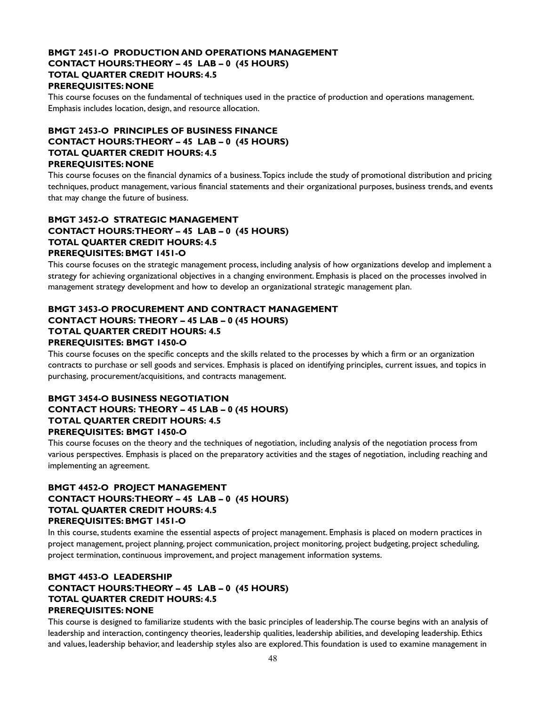## **BMGT 2451-O PRODUCTION AND OPERATIONS MANAGEMENT CONTACT HOURS: THEORY – 45 LAB – 0 (45 HOURS) TOTAL QUARTER CREDIT HOURS: 4.5 PREREQUISITES: NONE**

This course focuses on the fundamental of techniques used in the practice of production and operations management. Emphasis includes location, design, and resource allocation.

## **BMGT 2453-O PRINCIPLES OF BUSINESS FINANCE CONTACT HOURS: THEORY – 45 LAB – 0 (45 HOURS) TOTAL QUARTER CREDIT HOURS: 4.5 PREREQUISITES: NONE**

This course focuses on the financial dynamics of a business. Topics include the study of promotional distribution and pricing techniques, product management, various financial statements and their organizational purposes, business trends, and events that may change the future of business.

#### **BMGT 3452-O STRATEGIC MANAGEMENT CONTACT HOURS: THEORY – 45 LAB – 0 (45 HOURS) TOTAL QUARTER CREDIT HOURS: 4.5 PREREQUISITES: BMGT 1451-O**

This course focuses on the strategic management process, including analysis of how organizations develop and implement a strategy for achieving organizational objectives in a changing environment. Emphasis is placed on the processes involved in management strategy development and how to develop an organizational strategic management plan.

## **BMGT 3453-O PROCUREMENT AND CONTRACT MANAGEMENT CONTACT HOURS: THEORY – 45 LAB – 0 (45 HOURS) TOTAL QUARTER CREDIT HOURS: 4.5 PREREQUISITES: BMGT 1450-O**

This course focuses on the specific concepts and the skills related to the processes by which a firm or an organization contracts to purchase or sell goods and services. Emphasis is placed on identifying principles, current issues, and topics in purchasing, procurement/acquisitions, and contracts management.

#### **BMGT 3454-O BUSINESS NEGOTIATION CONTACT HOURS: THEORY – 45 LAB – 0 (45 HOURS) TOTAL QUARTER CREDIT HOURS: 4.5 PREREQUISITES: BMGT 1450-O**

This course focuses on the theory and the techniques of negotiation, including analysis of the negotiation process from various perspectives. Emphasis is placed on the preparatory activities and the stages of negotiation, including reaching and implementing an agreement.

## **BMGT 4452-O PROJECT MANAGEMENT CONTACT HOURS: THEORY – 45 LAB – 0 (45 HOURS) TOTAL QUARTER CREDIT HOURS: 4.5 PREREQUISITES: BMGT 1451-O**

In this course, students examine the essential aspects of project management. Emphasis is placed on modern practices in project management, project planning, project communication, project monitoring, project budgeting, project scheduling, project termination, continuous improvement, and project management information systems.

## **BMGT 4453-O LEADERSHIP CONTACT HOURS: THEORY – 45 LAB – 0 (45 HOURS) TOTAL QUARTER CREDIT HOURS: 4.5 PREREQUISITES: NONE**

This course is designed to familiarize students with the basic principles of leadership. The course begins with an analysis of leadership and interaction, contingency theories, leadership qualities, leadership abilities, and developing leadership. Ethics and values, leadership behavior, and leadership styles also are explored. This foundation is used to examine management in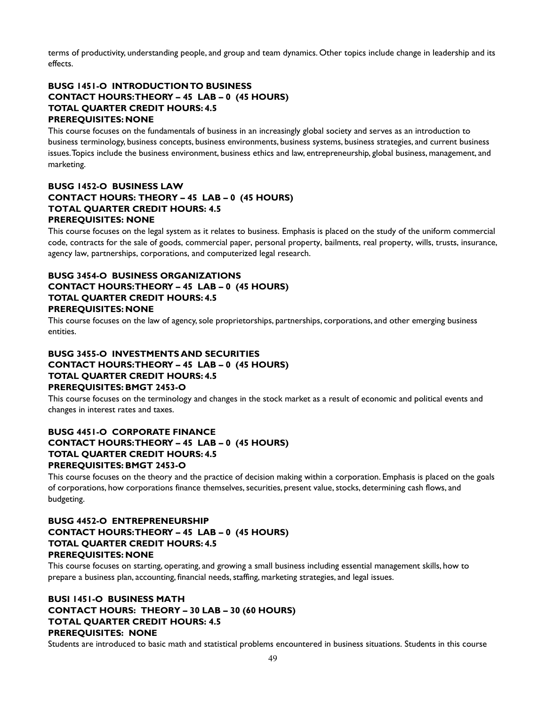terms of productivity, understanding people, and group and team dynamics. Other topics include change in leadership and its effects.

## **BUSG 1451-O INTRODUCTION TO BUSINESS CONTACT HOURS: THEORY – 45 LAB – 0 (45 HOURS) TOTAL QUARTER CREDIT HOURS: 4.5 PREREQUISITES: NONE**

This course focuses on the fundamentals of business in an increasingly global society and serves as an introduction to business terminology, business concepts, business environments, business systems, business strategies, and current business issues. Topics include the business environment, business ethics and law, entrepreneurship, global business, management, and marketing.

## **BUSG 1452-O BUSINESS LAW CONTACT HOURS: THEORY – 45 LAB – 0 (45 HOURS) TOTAL QUARTER CREDIT HOURS: 4.5 PREREQUISITES: NONE**

This course focuses on the legal system as it relates to business. Emphasis is placed on the study of the uniform commercial code, contracts for the sale of goods, commercial paper, personal property, bailments, real property, wills, trusts, insurance, agency law, partnerships, corporations, and computerized legal research.

#### **BUSG 3454-O BUSINESS ORGANIZATIONS CONTACT HOURS: THEORY – 45 LAB – 0 (45 HOURS) TOTAL QUARTER CREDIT HOURS: 4.5 PREREQUISITES: NONE**

This course focuses on the law of agency, sole proprietorships, partnerships, corporations, and other emerging business entities.

## **BUSG 3455-O INVESTMENTS AND SECURITIES CONTACT HOURS: THEORY – 45 LAB – 0 (45 HOURS) TOTAL QUARTER CREDIT HOURS: 4.5 PREREQUISITES: BMGT 2453-O**

This course focuses on the terminology and changes in the stock market as a result of economic and political events and changes in interest rates and taxes.

## **BUSG 4451-O CORPORATE FINANCE CONTACT HOURS: THEORY – 45 LAB – 0 (45 HOURS) TOTAL QUARTER CREDIT HOURS: 4.5 PREREQUISITES: BMGT 2453-O**

This course focuses on the theory and the practice of decision making within a corporation. Emphasis is placed on the goals of corporations, how corporations finance themselves, securities, present value, stocks, determining cash flows, and budgeting.

## **BUSG 4452-O ENTREPRENEURSHIP CONTACT HOURS: THEORY – 45 LAB – 0 (45 HOURS) TOTAL QUARTER CREDIT HOURS: 4.5 PREREQUISITES: NONE**

This course focuses on starting, operating, and growing a small business including essential management skills, how to prepare a business plan, accounting, financial needs, staffing, marketing strategies, and legal issues.

## **BUSI 1451-O BUSINESS MATH CONTACT HOURS: THEORY – 30 LAB – 30 (60 HOURS) TOTAL QUARTER CREDIT HOURS: 4.5 PREREQUISITES: NONE**

Students are introduced to basic math and statistical problems encountered in business situations. Students in this course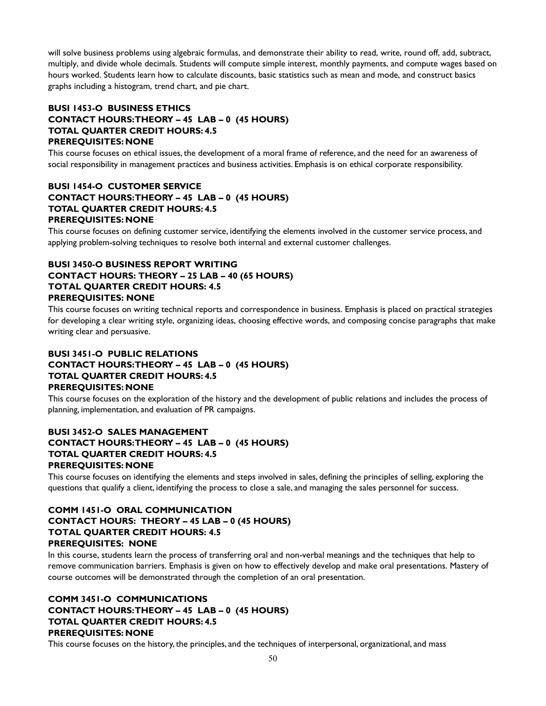will solve business problems using algebraic formulas, and demonstrate their ability to read, write, round off, add, subtract, multiply, and divide whole decimals. Students will compute simple interest, monthly payments, and compute wages based on hours worked. Students learn how to calculate discounts, basic statistics such as mean and mode, and construct basics graphs including a histogram, trend chart, and pie chart.

## **BUSI 1453-O BUSINESS ETHICS CONTACT HOURS: THEORY – 45 LAB – 0 (45 HOURS) TOTAL QUARTER CREDIT HOURS: 4.5 PREREQUISITES: NONE**

This course focuses on ethical issues, the development of a moral frame of reference, and the need for an awareness of social responsibility in management practices and business activities. Emphasis is on ethical corporate responsibility.

## **BUSI 1454-O CUSTOMER SERVICE CONTACT HOURS: THEORY – 45 LAB – 0 (45 HOURS) TOTAL QUARTER CREDIT HOURS: 4.5 PREREQUISITES: NONE**

This course focuses on defining customer service, identifying the elements involved in the customer service process, and applying problem-solving techniques to resolve both internal and external customer challenges.

## **BUSI 3450-O BUSINESS REPORT WRITING CONTACT HOURS: THEORY – 25 LAB – 40 (65 HOURS) TOTAL QUARTER CREDIT HOURS: 4.5 PREREQUISITES: NONE**

This course focuses on writing technical reports and correspondence in business. Emphasis is placed on practical strategies for developing a clear writing style, organizing ideas, choosing effective words, and composing concise paragraphs that make writing clear and persuasive.

## **BUSI 3451-O PUBLIC RELATIONS CONTACT HOURS: THEORY – 45 LAB – 0 (45 HOURS) TOTAL QUARTER CREDIT HOURS: 4.5 PREREQUISITES: NONE**

This course focuses on the exploration of the history and the development of public relations and includes the process of planning, implementation, and evaluation of PR campaigns.

## **BUSI 3452-O SALES MANAGEMENT CONTACT HOURS: THEORY – 45 LAB – 0 (45 HOURS) TOTAL QUARTER CREDIT HOURS: 4.5 PREREQUISITES: NONE**

This course focuses on identifying the elements and steps involved in sales, defining the principles of selling, exploring the questions that qualify a client, identifying the process to close a sale, and managing the sales personnel for success.

## **COMM 1451-O ORAL COMMUNICATION CONTACT HOURS: THEORY – 45 LAB – 0 (45 HOURS) TOTAL QUARTER CREDIT HOURS: 4.5 PREREQUISITES: NONE**

In this course, students learn the process of transferring oral and non-verbal meanings and the techniques that help to remove communication barriers. Emphasis is given on how to effectively develop and make oral presentations. Mastery of course outcomes will be demonstrated through the completion of an oral presentation.

## **COMM 3451-O COMMUNICATIONS CONTACT HOURS: THEORY – 45 LAB – 0 (45 HOURS) TOTAL QUARTER CREDIT HOURS: 4.5 PREREQUISITES: NONE**

This course focuses on the history, the principles, and the techniques of interpersonal, organizational, and mass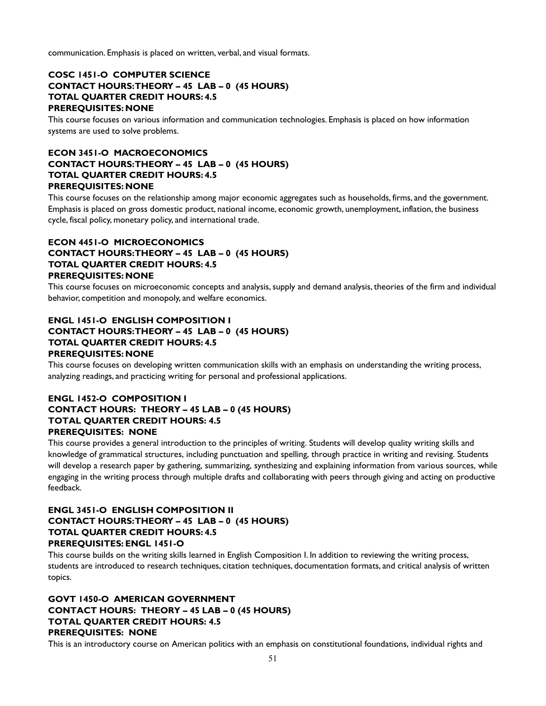communication. Emphasis is placed on written, verbal, and visual formats.

## **COSC 1451-O COMPUTER SCIENCE CONTACT HOURS: THEORY – 45 LAB – 0 (45 HOURS) TOTAL QUARTER CREDIT HOURS: 4.5 PREREQUISITES: NONE**

This course focuses on various information and communication technologies. Emphasis is placed on how information systems are used to solve problems.

## **ECON 3451-O MACROECONOMICS CONTACT HOURS: THEORY – 45 LAB – 0 (45 HOURS) TOTAL QUARTER CREDIT HOURS: 4.5 PREREQUISITES: NONE**

This course focuses on the relationship among major economic aggregates such as households, firms, and the government. Emphasis is placed on gross domestic product, national income, economic growth, unemployment, inflation, the business cycle, fiscal policy, monetary policy, and international trade.

## **ECON 4451-O MICROECONOMICS CONTACT HOURS: THEORY – 45 LAB – 0 (45 HOURS) TOTAL QUARTER CREDIT HOURS: 4.5 PREREQUISITES: NONE**

This course focuses on microeconomic concepts and analysis, supply and demand analysis, theories of the firm and individual behavior, competition and monopoly, and welfare economics.

## **ENGL 1451-O ENGLISH COMPOSITION I CONTACT HOURS: THEORY – 45 LAB – 0 (45 HOURS) TOTAL QUARTER CREDIT HOURS: 4.5 PREREQUISITES: NONE**

This course focuses on developing written communication skills with an emphasis on understanding the writing process, analyzing readings, and practicing writing for personal and professional applications.

#### **ENGL 1452-O COMPOSITION I CONTACT HOURS: THEORY – 45 LAB – 0 (45 HOURS) TOTAL QUARTER CREDIT HOURS: 4.5 PREREQUISITES: NONE**

This course provides a general introduction to the principles of writing. Students will develop quality writing skills and knowledge of grammatical structures, including punctuation and spelling, through practice in writing and revising. Students will develop a research paper by gathering, summarizing, synthesizing and explaining information from various sources, while engaging in the writing process through multiple drafts and collaborating with peers through giving and acting on productive feedback.

## **ENGL 3451-O ENGLISH COMPOSITION II CONTACT HOURS: THEORY – 45 LAB – 0 (45 HOURS) TOTAL QUARTER CREDIT HOURS: 4.5 PREREQUISITES: ENGL 1451-O**

This course builds on the writing skills learned in English Composition I. In addition to reviewing the writing process, students are introduced to research techniques, citation techniques, documentation formats, and critical analysis of written topics.

## **GOVT 1450-O AMERICAN GOVERNMENT CONTACT HOURS: THEORY – 45 LAB – 0 (45 HOURS) TOTAL QUARTER CREDIT HOURS: 4.5 PREREQUISITES: NONE**

This is an introductory course on American politics with an emphasis on constitutional foundations, individual rights and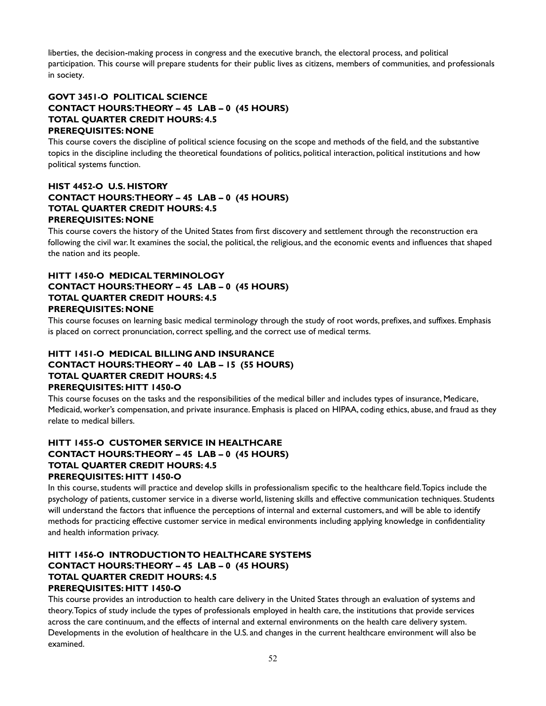liberties, the decision-making process in congress and the executive branch, the electoral process, and political participation. This course will prepare students for their public lives as citizens, members of communities, and professionals in society.

## **GOVT 3451-O POLITICAL SCIENCE CONTACT HOURS: THEORY – 45 LAB – 0 (45 HOURS) TOTAL QUARTER CREDIT HOURS: 4.5 PREREQUISITES: NONE**

This course covers the discipline of political science focusing on the scope and methods of the field, and the substantive topics in the discipline including the theoretical foundations of politics, political interaction, political institutions and how political systems function.

## **HIST 4452-O U.S. HISTORY CONTACT HOURS: THEORY – 45 LAB – 0 (45 HOURS) TOTAL QUARTER CREDIT HOURS: 4.5 PREREQUISITES: NONE**

This course covers the history of the United States from first discovery and settlement through the reconstruction era following the civil war. It examines the social, the political, the religious, and the economic events and influences that shaped the nation and its people.

## **HITT 1450-O MEDICAL TERMINOLOGY CONTACT HOURS: THEORY – 45 LAB – 0 (45 HOURS) TOTAL QUARTER CREDIT HOURS: 4.5 PREREQUISITES: NONE**

This course focuses on learning basic medical terminology through the study of root words, prefixes, and suffixes. Emphasis is placed on correct pronunciation, correct spelling, and the correct use of medical terms.

## **HITT 1451-O MEDICAL BILLING AND INSURANCE CONTACT HOURS: THEORY – 40 LAB – 15 (55 HOURS) TOTAL QUARTER CREDIT HOURS: 4.5 PREREQUISITES: HITT 1450-O**

This course focuses on the tasks and the responsibilities of the medical biller and includes types of insurance, Medicare, Medicaid, worker's compensation, and private insurance. Emphasis is placed on HIPAA, coding ethics, abuse, and fraud as they relate to medical billers.

## **HITT 1455-O CUSTOMER SERVICE IN HEALTHCARE CONTACT HOURS: THEORY – 45 LAB – 0 (45 HOURS) TOTAL QUARTER CREDIT HOURS: 4.5 PREREQUISITES: HITT 1450-O**

In this course, students will practice and develop skills in professionalism specific to the healthcare field. Topics include the psychology of patients, customer service in a diverse world, listening skills and effective communication techniques. Students will understand the factors that influence the perceptions of internal and external customers, and will be able to identify methods for practicing effective customer service in medical environments including applying knowledge in confidentiality and health information privacy.

## **HITT 1456-O INTRODUCTION TO HEALTHCARE SYSTEMS CONTACT HOURS: THEORY – 45 LAB – 0 (45 HOURS) TOTAL QUARTER CREDIT HOURS: 4.5 PREREQUISITES: HITT 1450-O**

This course provides an introduction to health care delivery in the United States through an evaluation of systems and theory. Topics of study include the types of professionals employed in health care, the institutions that provide services across the care continuum, and the effects of internal and external environments on the health care delivery system. Developments in the evolution of healthcare in the U.S. and changes in the current healthcare environment will also be examined.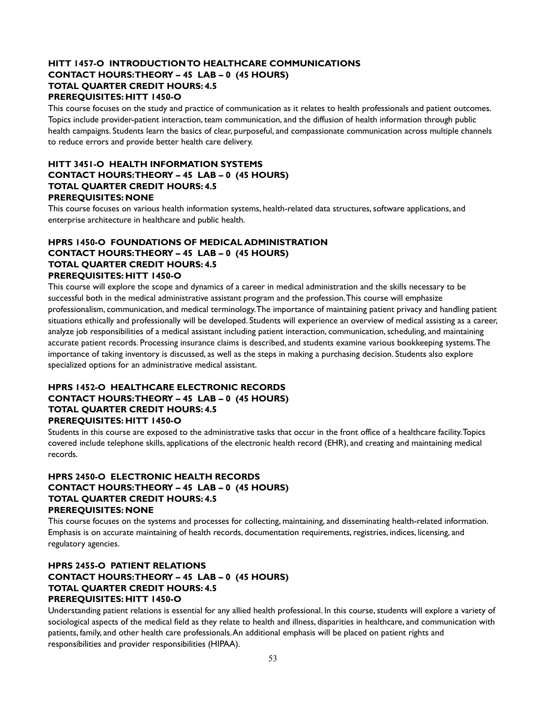## **HITT 1457-O INTRODUCTION TO HEALTHCARE COMMUNICATIONS CONTACT HOURS: THEORY – 45 LAB – 0 (45 HOURS) TOTAL QUARTER CREDIT HOURS: 4.5 PREREQUISITES: HITT 1450-O**

This course focuses on the study and practice of communication as it relates to health professionals and patient outcomes. Topics include provider-patient interaction, team communication, and the diffusion of health information through public health campaigns. Students learn the basics of clear, purposeful, and compassionate communication across multiple channels to reduce errors and provide better health care delivery.

## **HITT 3451-O HEALTH INFORMATION SYSTEMS CONTACT HOURS: THEORY – 45 LAB – 0 (45 HOURS) TOTAL QUARTER CREDIT HOURS: 4.5 PREREQUISITES: NONE**

This course focuses on various health information systems, health-related data structures, software applications, and enterprise architecture in healthcare and public health.

## **HPRS 1450-O FOUNDATIONS OF MEDICAL ADMINISTRATION CONTACT HOURS: THEORY – 45 LAB – 0 (45 HOURS) TOTAL QUARTER CREDIT HOURS: 4.5 PREREQUISITES: HITT 1450-O**

This course will explore the scope and dynamics of a career in medical administration and the skills necessary to be successful both in the medical administrative assistant program and the profession. This course will emphasize professionalism, communication, and medical terminology. The importance of maintaining patient privacy and handling patient situations ethically and professionally will be developed. Students will experience an overview of medical assisting as a career, analyze job responsibilities of a medical assistant including patient interaction, communication, scheduling, and maintaining accurate patient records. Processing insurance claims is described, and students examine various bookkeeping systems. The importance of taking inventory is discussed, as well as the steps in making a purchasing decision. Students also explore specialized options for an administrative medical assistant.

#### **HPRS 1452-O HEALTHCARE ELECTRONIC RECORDS CONTACT HOURS: THEORY – 45 LAB – 0 (45 HOURS) TOTAL QUARTER CREDIT HOURS: 4.5 PREREQUISITES: HITT 1450-O**

Students in this course are exposed to the administrative tasks that occur in the front office of a healthcare facility. Topics covered include telephone skills, applications of the electronic health record (EHR), and creating and maintaining medical records.

## **HPRS 2450-O ELECTRONIC HEALTH RECORDS CONTACT HOURS: THEORY – 45 LAB – 0 (45 HOURS) TOTAL QUARTER CREDIT HOURS: 4.5 PREREQUISITES: NONE**

This course focuses on the systems and processes for collecting, maintaining, and disseminating health-related information. Emphasis is on accurate maintaining of health records, documentation requirements, registries, indices, licensing, and regulatory agencies.

## **HPRS 2455-O PATIENT RELATIONS CONTACT HOURS: THEORY – 45 LAB – 0 (45 HOURS) TOTAL QUARTER CREDIT HOURS: 4.5 PREREQUISITES: HITT 1450-O**

Understanding patient relations is essential for any allied health professional. In this course, students will explore a variety of sociological aspects of the medical field as they relate to health and illness, disparities in healthcare, and communication with patients, family, and other health care professionals. An additional emphasis will be placed on patient rights and responsibilities and provider responsibilities (HIPAA).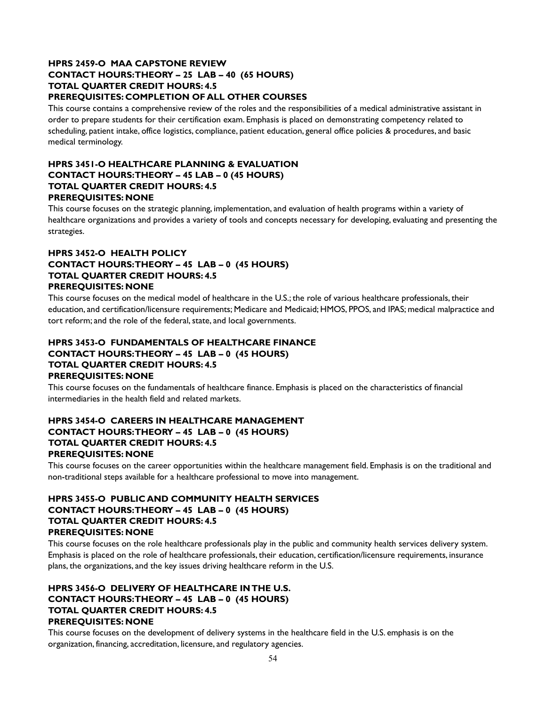#### **HPRS 2459-O MAA CAPSTONE REVIEW CONTACT HOURS: THEORY – 25 LAB – 40 (65 HOURS) TOTAL QUARTER CREDIT HOURS: 4.5 PREREQUISITES: COMPLETION OF ALL OTHER COURSES**

This course contains a comprehensive review of the roles and the responsibilities of a medical administrative assistant in order to prepare students for their certification exam. Emphasis is placed on demonstrating competency related to scheduling, patient intake, office logistics, compliance, patient education, general office policies & procedures, and basic medical terminology.

## **HPRS 3451-O HEALTHCARE PLANNING & EVALUATION CONTACT HOURS: THEORY – 45 LAB – 0 (45 HOURS) TOTAL QUARTER CREDIT HOURS: 4.5 PREREQUISITES: NONE**

This course focuses on the strategic planning, implementation, and evaluation of health programs within a variety of healthcare organizations and provides a variety of tools and concepts necessary for developing, evaluating and presenting the strategies.

## **HPRS 3452-O HEALTH POLICY CONTACT HOURS: THEORY – 45 LAB – 0 (45 HOURS) TOTAL QUARTER CREDIT HOURS: 4.5 PREREQUISITES: NONE**

This course focuses on the medical model of healthcare in the U.S.; the role of various healthcare professionals, their education, and certification/licensure requirements; Medicare and Medicaid; HMOS, PPOS, and IPAS; medical malpractice and tort reform; and the role of the federal, state, and local governments.

## **HPRS 3453-O FUNDAMENTALS OF HEALTHCARE FINANCE CONTACT HOURS: THEORY – 45 LAB – 0 (45 HOURS) TOTAL QUARTER CREDIT HOURS: 4.5 PREREQUISITES: NONE**

This course focuses on the fundamentals of healthcare finance. Emphasis is placed on the characteristics of financial intermediaries in the health field and related markets.

## **HPRS 3454-O CAREERS IN HEALTHCARE MANAGEMENT CONTACT HOURS: THEORY – 45 LAB – 0 (45 HOURS) TOTAL QUARTER CREDIT HOURS: 4.5 PREREQUISITES: NONE**

This course focuses on the career opportunities within the healthcare management field. Emphasis is on the traditional and non-traditional steps available for a healthcare professional to move into management.

## **HPRS 3455-O PUBLIC AND COMMUNITY HEALTH SERVICES CONTACT HOURS: THEORY – 45 LAB – 0 (45 HOURS) TOTAL QUARTER CREDIT HOURS: 4.5 PREREQUISITES: NONE**

This course focuses on the role healthcare professionals play in the public and community health services delivery system. Emphasis is placed on the role of healthcare professionals, their education, certification/licensure requirements, insurance plans, the organizations, and the key issues driving healthcare reform in the U.S.

## **HPRS 3456-O DELIVERY OF HEALTHCARE IN THE U.S. CONTACT HOURS: THEORY – 45 LAB – 0 (45 HOURS) TOTAL QUARTER CREDIT HOURS: 4.5 PREREQUISITES: NONE**

This course focuses on the development of delivery systems in the healthcare field in the U.S. emphasis is on the organization, financing, accreditation, licensure, and regulatory agencies.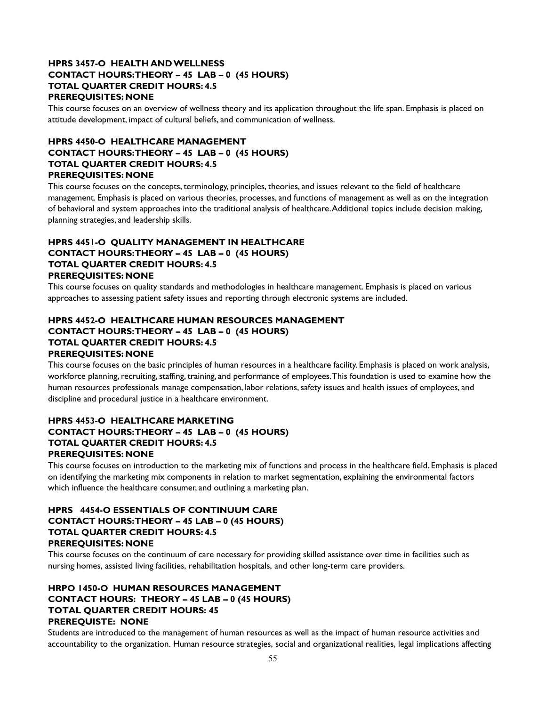## **HPRS 3457-O HEALTH AND WELLNESS CONTACT HOURS: THEORY – 45 LAB – 0 (45 HOURS) TOTAL QUARTER CREDIT HOURS: 4.5 PREREQUISITES: NONE**

This course focuses on an overview of wellness theory and its application throughout the life span. Emphasis is placed on attitude development, impact of cultural beliefs, and communication of wellness.

## **HPRS 4450-O HEALTHCARE MANAGEMENT CONTACT HOURS: THEORY – 45 LAB – 0 (45 HOURS) TOTAL QUARTER CREDIT HOURS: 4.5 PREREQUISITES: NONE**

This course focuses on the concepts, terminology, principles, theories, and issues relevant to the field of healthcare management. Emphasis is placed on various theories, processes, and functions of management as well as on the integration of behavioral and system approaches into the traditional analysis of healthcare. Additional topics include decision making, planning strategies, and leadership skills.

## **HPRS 4451-O QUALITY MANAGEMENT IN HEALTHCARE CONTACT HOURS: THEORY – 45 LAB – 0 (45 HOURS) TOTAL QUARTER CREDIT HOURS: 4.5 PREREQUISITES: NONE**

This course focuses on quality standards and methodologies in healthcare management. Emphasis is placed on various approaches to assessing patient safety issues and reporting through electronic systems are included.

#### **HPRS 4452-O HEALTHCARE HUMAN RESOURCES MANAGEMENT CONTACT HOURS: THEORY – 45 LAB – 0 (45 HOURS) TOTAL QUARTER CREDIT HOURS: 4.5 PREREQUISITES: NONE**

This course focuses on the basic principles of human resources in a healthcare facility. Emphasis is placed on work analysis, workforce planning, recruiting, staffing, training, and performance of employees. This foundation is used to examine how the human resources professionals manage compensation, labor relations, safety issues and health issues of employees, and discipline and procedural justice in a healthcare environment.

## **HPRS 4453-O HEALTHCARE MARKETING CONTACT HOURS: THEORY – 45 LAB – 0 (45 HOURS) TOTAL QUARTER CREDIT HOURS: 4.5 PREREQUISITES: NONE**

This course focuses on introduction to the marketing mix of functions and process in the healthcare field. Emphasis is placed on identifying the marketing mix components in relation to market segmentation, explaining the environmental factors which influence the healthcare consumer, and outlining a marketing plan.

#### **HPRS 4454-O ESSENTIALS OF CONTINUUM CARE CONTACT HOURS: THEORY – 45 LAB – 0 (45 HOURS) TOTAL QUARTER CREDIT HOURS: 4.5 PREREQUISITES: NONE**

This course focuses on the continuum of care necessary for providing skilled assistance over time in facilities such as nursing homes, assisted living facilities, rehabilitation hospitals, and other long-term care providers.

## **HRPO 1450-O HUMAN RESOURCES MANAGEMENT CONTACT HOURS: THEORY – 45 LAB – 0 (45 HOURS) TOTAL QUARTER CREDIT HOURS: 45 PREREQUISTE: NONE**

Students are introduced to the management of human resources as well as the impact of human resource activities and accountability to the organization. Human resource strategies, social and organizational realities, legal implications affecting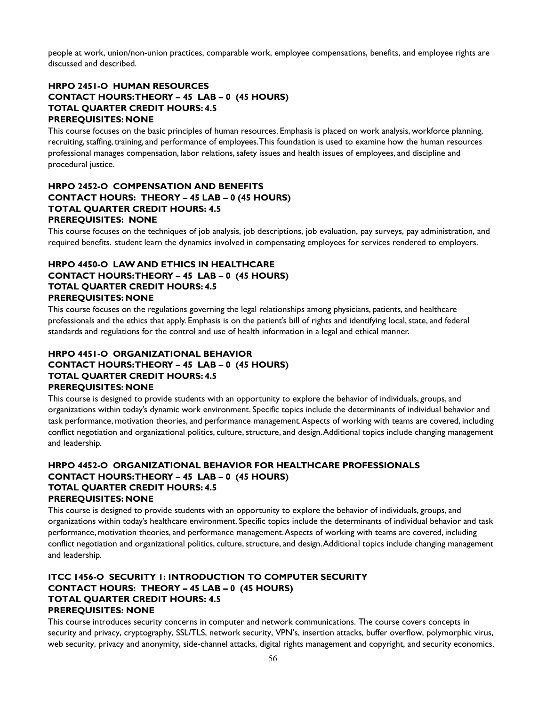people at work, union/non-union practices, comparable work, employee compensations, benefits, and employee rights are discussed and described.

## **HRPO 2451-O HUMAN RESOURCES CONTACT HOURS: THEORY – 45 LAB – 0 (45 HOURS) TOTAL QUARTER CREDIT HOURS: 4.5 PREREQUISITES: NONE**

This course focuses on the basic principles of human resources. Emphasis is placed on work analysis, workforce planning, recruiting, staffing, training, and performance of employees. This foundation is used to examine how the human resources professional manages compensation, labor relations, safety issues and health issues of employees, and discipline and procedural justice.

## **HRPO 2452-O COMPENSATION AND BENEFITS CONTACT HOURS: THEORY – 45 LAB – 0 (45 HOURS) TOTAL QUARTER CREDIT HOURS: 4.5 PREREQUISITES: NONE**

This course focuses on the techniques of job analysis, job descriptions, job evaluation, pay surveys, pay administration, and required benefits. student learn the dynamics involved in compensating employees for services rendered to employers.

## **HRPO 4450-O LAW AND ETHICS IN HEALTHCARE CONTACT HOURS: THEORY – 45 LAB – 0 (45 HOURS) TOTAL QUARTER CREDIT HOURS: 4.5 PREREQUISITES: NONE**

This course focuses on the regulations governing the legal relationships among physicians, patients, and healthcare professionals and the ethics that apply. Emphasis is on the patient's bill of rights and identifying local, state, and federal standards and regulations for the control and use of health information in a legal and ethical manner.

## **HRPO 4451-O ORGANIZATIONAL BEHAVIOR CONTACT HOURS: THEORY – 45 LAB – 0 (45 HOURS) TOTAL QUARTER CREDIT HOURS: 4.5 PREREQUISITES: NONE**

This course is designed to provide students with an opportunity to explore the behavior of individuals, groups, and organizations within today's dynamic work environment. Specific topics include the determinants of individual behavior and task performance, motivation theories, and performance management. Aspects of working with teams are covered, including conflict negotiation and organizational politics, culture, structure, and design. Additional topics include changing management and leadership.

## **HRPO 4452-O ORGANIZATIONAL BEHAVIOR FOR HEALTHCARE PROFESSIONALS CONTACT HOURS: THEORY – 45 LAB – 0 (45 HOURS) TOTAL QUARTER CREDIT HOURS: 4.5 PREREQUISITES: NONE**

This course is designed to provide students with an opportunity to explore the behavior of individuals, groups, and organizations within today's healthcare environment. Specific topics include the determinants of individual behavior and task performance, motivation theories, and performance management. Aspects of working with teams are covered, including conflict negotiation and organizational politics, culture, structure, and design. Additional topics include changing management and leadership.

## **ITCC 1456-O SECURITY 1: INTRODUCTION TO COMPUTER SECURITY CONTACT HOURS: THEORY – 45 LAB – 0 (45 HOURS) TOTAL QUARTER CREDIT HOURS: 4.5 PREREQUISITES: NONE**

This course introduces security concerns in computer and network communications. The course covers concepts in security and privacy, cryptography, SSL/TLS, network security, VPN's, insertion attacks, buffer overflow, polymorphic virus, web security, privacy and anonymity, side-channel attacks, digital rights management and copyright, and security economics.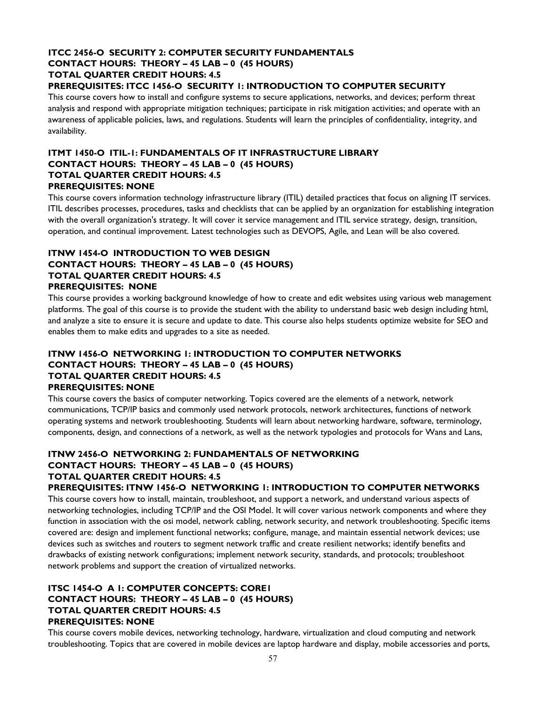## **ITCC 2456-O SECURITY 2: COMPUTER SECURITY FUNDAMENTALS CONTACT HOURS: THEORY – 45 LAB – 0 (45 HOURS) TOTAL QUARTER CREDIT HOURS: 4.5**

## **PREREQUISITES: ITCC 1456-O SECURITY 1: INTRODUCTION TO COMPUTER SECURITY**

This course covers how to install and configure systems to secure applications, networks, and devices; perform threat analysis and respond with appropriate mitigation techniques; participate in risk mitigation activities; and operate with an awareness of applicable policies, laws, and regulations. Students will learn the principles of confidentiality, integrity, and availability.

## **ITMT 1450-O ITIL-1: FUNDAMENTALS OF IT INFRASTRUCTURE LIBRARY CONTACT HOURS: THEORY – 45 LAB – 0 (45 HOURS) TOTAL QUARTER CREDIT HOURS: 4.5 PREREQUISITES: NONE**

This course covers information technology infrastructure library (ITIL) detailed practices that focus on aligning IT services. ITIL describes processes, procedures, tasks and checklists that can be applied by an organization for establishing integration with the overall organization's strategy. It will cover it service management and ITIL service strategy, design, transition, operation, and continual improvement. Latest technologies such as DEVOPS, Agile, and Lean will be also covered.

## **ITNW 1454-O INTRODUCTION TO WEB DESIGN CONTACT HOURS: THEORY – 45 LAB – 0 (45 HOURS) TOTAL QUARTER CREDIT HOURS: 4.5 PREREQUISITES: NONE**

This course provides a working background knowledge of how to create and edit websites using various web management platforms. The goal of this course is to provide the student with the ability to understand basic web design including html, and analyze a site to ensure it is secure and update to date. This course also helps students optimize website for SEO and enables them to make edits and upgrades to a site as needed.

#### **ITNW 1456-O NETWORKING 1: INTRODUCTION TO COMPUTER NETWORKS CONTACT HOURS: THEORY – 45 LAB – 0 (45 HOURS) TOTAL QUARTER CREDIT HOURS: 4.5 PREREQUISITES: NONE**

This course covers the basics of computer networking. Topics covered are the elements of a network, network communications, TCP/IP basics and commonly used network protocols, network architectures, functions of network operating systems and network troubleshooting. Students will learn about networking hardware, software, terminology, components, design, and connections of a network, as well as the network typologies and protocols for Wans and Lans,

## **ITNW 2456-O NETWORKING 2: FUNDAMENTALS OF NETWORKING CONTACT HOURS: THEORY – 45 LAB – 0 (45 HOURS) TOTAL QUARTER CREDIT HOURS: 4.5**

## **PREREQUISITES: ITNW 1456-O NETWORKING 1: INTRODUCTION TO COMPUTER NETWORKS**

This course covers how to install, maintain, troubleshoot, and support a network, and understand various aspects of networking technologies, including TCP/IP and the OSI Model. It will cover various network components and where they function in association with the osi model, network cabling, network security, and network troubleshooting. Specific items covered are: design and implement functional networks; configure, manage, and maintain essential network devices; use devices such as switches and routers to segment network traffic and create resilient networks; identify benefits and drawbacks of existing network configurations; implement network security, standards, and protocols; troubleshoot network problems and support the creation of virtualized networks.

## **ITSC 1454-O A 1: COMPUTER CONCEPTS: CORE1 CONTACT HOURS: THEORY – 45 LAB – 0 (45 HOURS) TOTAL QUARTER CREDIT HOURS: 4.5 PREREQUISITES: NONE**

This course covers mobile devices, networking technology, hardware, virtualization and cloud computing and network troubleshooting. Topics that are covered in mobile devices are laptop hardware and display, mobile accessories and ports,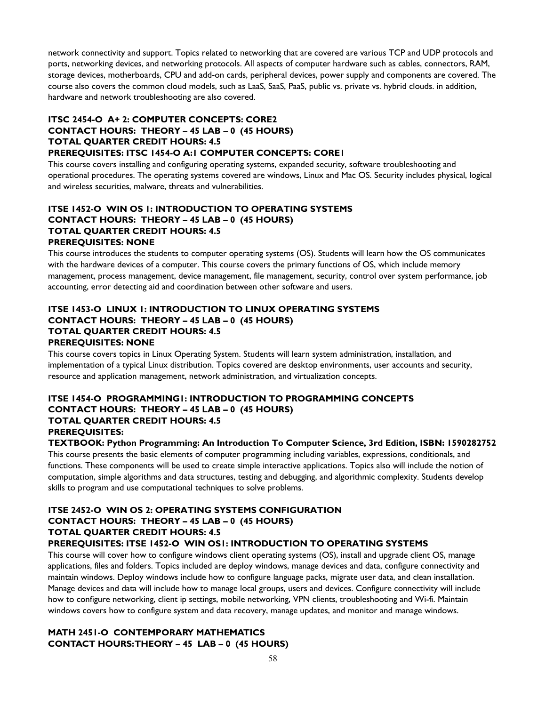network connectivity and support. Topics related to networking that are covered are various TCP and UDP protocols and ports, networking devices, and networking protocols. All aspects of computer hardware such as cables, connectors, RAM, storage devices, motherboards, CPU and add-on cards, peripheral devices, power supply and components are covered. The course also covers the common cloud models, such as LaaS, SaaS, PaaS, public vs. private vs. hybrid clouds. in addition, hardware and network troubleshooting are also covered.

## **ITSC 2454-O A+ 2: COMPUTER CONCEPTS: CORE2 CONTACT HOURS: THEORY – 45 LAB – 0 (45 HOURS) TOTAL QUARTER CREDIT HOURS: 4.5 PREREQUISITES: ITSC 1454-O A:1 COMPUTER CONCEPTS: CORE1**

This course covers installing and configuring operating systems, expanded security, software troubleshooting and operational procedures. The operating systems covered are windows, Linux and Mac OS. Security includes physical, logical and wireless securities, malware, threats and vulnerabilities.

## **ITSE 1452-O WIN OS 1: INTRODUCTION TO OPERATING SYSTEMS CONTACT HOURS: THEORY – 45 LAB – 0 (45 HOURS) TOTAL QUARTER CREDIT HOURS: 4.5 PREREQUISITES: NONE**

This course introduces the students to computer operating systems (OS). Students will learn how the OS communicates with the hardware devices of a computer. This course covers the primary functions of OS, which include memory management, process management, device management, file management, security, control over system performance, job accounting, error detecting aid and coordination between other software and users.

## **ITSE 1453-O LINUX 1: INTRODUCTION TO LINUX OPERATING SYSTEMS CONTACT HOURS: THEORY – 45 LAB – 0 (45 HOURS) TOTAL QUARTER CREDIT HOURS: 4.5 PREREQUISITES: NONE**

This course covers topics in Linux Operating System. Students will learn system administration, installation, and implementation of a typical Linux distribution. Topics covered are desktop environments, user accounts and security, resource and application management, network administration, and virtualization concepts.

## **ITSE 1454-O PROGRAMMING1: INTRODUCTION TO PROGRAMMING CONCEPTS CONTACT HOURS: THEORY – 45 LAB – 0 (45 HOURS) TOTAL QUARTER CREDIT HOURS: 4.5 PREREQUISITES:**

**TEXTBOOK: Python Programming: An Introduction To Computer Science, 3rd Edition, ISBN: 1590282752**

This course presents the basic elements of computer programming including variables, expressions, conditionals, and functions. These components will be used to create simple interactive applications. Topics also will include the notion of computation, simple algorithms and data structures, testing and debugging, and algorithmic complexity. Students develop skills to program and use computational techniques to solve problems.

## **ITSE 2452-O WIN OS 2: OPERATING SYSTEMS CONFIGURATION CONTACT HOURS: THEORY – 45 LAB – 0 (45 HOURS) TOTAL QUARTER CREDIT HOURS: 4.5**

**PREREQUISITES: ITSE 1452-O WIN OS1: INTRODUCTION TO OPERATING SYSTEMS**

This course will cover how to configure windows client operating systems (OS), install and upgrade client OS, manage applications, files and folders. Topics included are deploy windows, manage devices and data, configure connectivity and maintain windows. Deploy windows include how to configure language packs, migrate user data, and clean installation. Manage devices and data will include how to manage local groups, users and devices. Configure connectivity will include how to configure networking, client ip settings, mobile networking, VPN clients, troubleshooting and Wi-fi. Maintain windows covers how to configure system and data recovery, manage updates, and monitor and manage windows.

## **MATH 2451-O CONTEMPORARY MATHEMATICS CONTACT HOURS: THEORY – 45 LAB – 0 (45 HOURS)**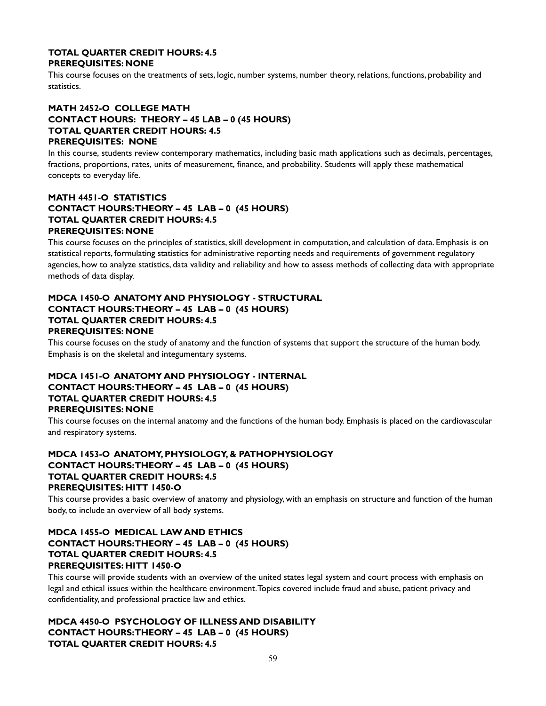#### **TOTAL QUARTER CREDIT HOURS: 4.5 PREREQUISITES: NONE**

This course focuses on the treatments of sets, logic, number systems, number theory, relations, functions, probability and statistics.

## **MATH 2452-O COLLEGE MATH CONTACT HOURS: THEORY – 45 LAB – 0 (45 HOURS) TOTAL QUARTER CREDIT HOURS: 4.5 PREREQUISITES: NONE**

In this course, students review contemporary mathematics, including basic math applications such as decimals, percentages, fractions, proportions, rates, units of measurement, finance, and probability. Students will apply these mathematical concepts to everyday life.

## **MATH 4451-O STATISTICS CONTACT HOURS: THEORY – 45 LAB – 0 (45 HOURS) TOTAL QUARTER CREDIT HOURS: 4.5 PREREQUISITES: NONE**

This course focuses on the principles of statistics, skill development in computation, and calculation of data. Emphasis is on statistical reports, formulating statistics for administrative reporting needs and requirements of government regulatory agencies, how to analyze statistics, data validity and reliability and how to assess methods of collecting data with appropriate methods of data display.

## **MDCA 1450-O ANATOMY AND PHYSIOLOGY - STRUCTURAL CONTACT HOURS: THEORY – 45 LAB – 0 (45 HOURS) TOTAL QUARTER CREDIT HOURS: 4.5 PREREQUISITES: NONE**

This course focuses on the study of anatomy and the function of systems that support the structure of the human body. Emphasis is on the skeletal and integumentary systems.

## **MDCA 1451-O ANATOMY AND PHYSIOLOGY - INTERNAL CONTACT HOURS: THEORY – 45 LAB – 0 (45 HOURS) TOTAL QUARTER CREDIT HOURS: 4.5 PREREQUISITES: NONE**

This course focuses on the internal anatomy and the functions of the human body. Emphasis is placed on the cardiovascular and respiratory systems.

## **MDCA 1453-O ANATOMY, PHYSIOLOGY, & PATHOPHYSIOLOGY CONTACT HOURS: THEORY – 45 LAB – 0 (45 HOURS) TOTAL QUARTER CREDIT HOURS: 4.5 PREREQUISITES: HITT 1450-O**

This course provides a basic overview of anatomy and physiology, with an emphasis on structure and function of the human body, to include an overview of all body systems.

## **MDCA 1455-O MEDICAL LAW AND ETHICS CONTACT HOURS: THEORY – 45 LAB – 0 (45 HOURS) TOTAL QUARTER CREDIT HOURS: 4.5 PREREQUISITES: HITT 1450-O**

This course will provide students with an overview of the united states legal system and court process with emphasis on legal and ethical issues within the healthcare environment. Topics covered include fraud and abuse, patient privacy and confidentiality, and professional practice law and ethics.

## **MDCA 4450-O PSYCHOLOGY OF ILLNESS AND DISABILITY CONTACT HOURS: THEORY – 45 LAB – 0 (45 HOURS) TOTAL QUARTER CREDIT HOURS: 4.5**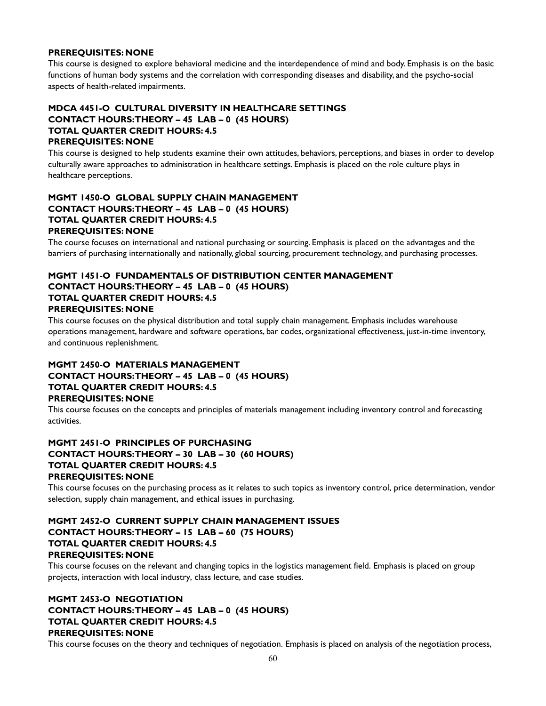#### **PREREQUISITES: NONE**

This course is designed to explore behavioral medicine and the interdependence of mind and body. Emphasis is on the basic functions of human body systems and the correlation with corresponding diseases and disability, and the psycho-social aspects of health-related impairments.

## **MDCA 4451-O CULTURAL DIVERSITY IN HEALTHCARE SETTINGS CONTACT HOURS: THEORY – 45 LAB – 0 (45 HOURS) TOTAL QUARTER CREDIT HOURS: 4.5 PREREQUISITES: NONE**

This course is designed to help students examine their own attitudes, behaviors, perceptions, and biases in order to develop culturally aware approaches to administration in healthcare settings. Emphasis is placed on the role culture plays in healthcare perceptions.

## **MGMT 1450-O GLOBAL SUPPLY CHAIN MANAGEMENT CONTACT HOURS: THEORY – 45 LAB – 0 (45 HOURS) TOTAL QUARTER CREDIT HOURS: 4.5 PREREQUISITES: NONE**

The course focuses on international and national purchasing or sourcing. Emphasis is placed on the advantages and the barriers of purchasing internationally and nationally, global sourcing, procurement technology, and purchasing processes.

#### **MGMT 1451-O FUNDAMENTALS OF DISTRIBUTION CENTER MANAGEMENT CONTACT HOURS: THEORY – 45 LAB – 0 (45 HOURS) TOTAL QUARTER CREDIT HOURS: 4.5 PREREQUISITES: NONE**

This course focuses on the physical distribution and total supply chain management. Emphasis includes warehouse operations management, hardware and software operations, bar codes, organizational effectiveness, just-in-time inventory, and continuous replenishment.

## **MGMT 2450-O MATERIALS MANAGEMENT CONTACT HOURS: THEORY – 45 LAB – 0 (45 HOURS) TOTAL QUARTER CREDIT HOURS: 4.5 PREREQUISITES: NONE**

This course focuses on the concepts and principles of materials management including inventory control and forecasting activities.

## **MGMT 2451-O PRINCIPLES OF PURCHASING CONTACT HOURS: THEORY – 30 LAB – 30 (60 HOURS) TOTAL QUARTER CREDIT HOURS: 4.5 PREREQUISITES: NONE**

This course focuses on the purchasing process as it relates to such topics as inventory control, price determination, vendor selection, supply chain management, and ethical issues in purchasing.

## **MGMT 2452-O CURRENT SUPPLY CHAIN MANAGEMENT ISSUES CONTACT HOURS: THEORY – 15 LAB – 60 (75 HOURS) TOTAL QUARTER CREDIT HOURS: 4.5 PREREQUISITES: NONE**

This course focuses on the relevant and changing topics in the logistics management field. Emphasis is placed on group projects, interaction with local industry, class lecture, and case studies.

## **MGMT 2453-O NEGOTIATION CONTACT HOURS: THEORY – 45 LAB – 0 (45 HOURS) TOTAL QUARTER CREDIT HOURS: 4.5 PREREQUISITES: NONE**

This course focuses on the theory and techniques of negotiation. Emphasis is placed on analysis of the negotiation process,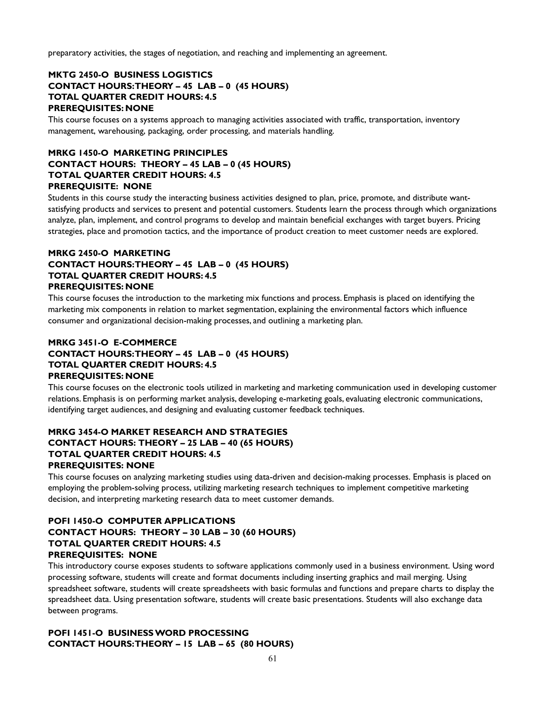preparatory activities, the stages of negotiation, and reaching and implementing an agreement.

## **MKTG 2450-O BUSINESS LOGISTICS CONTACT HOURS: THEORY – 45 LAB – 0 (45 HOURS) TOTAL QUARTER CREDIT HOURS: 4.5 PREREQUISITES: NONE**

This course focuses on a systems approach to managing activities associated with traffic, transportation, inventory management, warehousing, packaging, order processing, and materials handling.

## **MRKG 1450-O MARKETING PRINCIPLES CONTACT HOURS: THEORY – 45 LAB – 0 (45 HOURS) TOTAL QUARTER CREDIT HOURS: 4.5 PREREQUISITE: NONE**

Students in this course study the interacting business activities designed to plan, price, promote, and distribute wantsatisfying products and services to present and potential customers. Students learn the process through which organizations analyze, plan, implement, and control programs to develop and maintain beneficial exchanges with target buyers. Pricing strategies, place and promotion tactics, and the importance of product creation to meet customer needs are explored.

## **MRKG 2450-O MARKETING CONTACT HOURS: THEORY – 45 LAB – 0 (45 HOURS) TOTAL QUARTER CREDIT HOURS: 4.5 PREREQUISITES: NONE**

This course focuses the introduction to the marketing mix functions and process. Emphasis is placed on identifying the marketing mix components in relation to market segmentation, explaining the environmental factors which influence consumer and organizational decision-making processes, and outlining a marketing plan.

## **MRKG 3451-O E-COMMERCE CONTACT HOURS: THEORY – 45 LAB – 0 (45 HOURS) TOTAL QUARTER CREDIT HOURS: 4.5 PREREQUISITES: NONE**

This course focuses on the electronic tools utilized in marketing and marketing communication used in developing customer relations. Emphasis is on performing market analysis, developing e-marketing goals, evaluating electronic communications, identifying target audiences, and designing and evaluating customer feedback techniques.

## **MRKG 3454-O MARKET RESEARCH AND STRATEGIES CONTACT HOURS: THEORY – 25 LAB – 40 (65 HOURS) TOTAL QUARTER CREDIT HOURS: 4.5 PREREQUISITES: NONE**

This course focuses on analyzing marketing studies using data-driven and decision-making processes. Emphasis is placed on employing the problem-solving process, utilizing marketing research techniques to implement competitive marketing decision, and interpreting marketing research data to meet customer demands.

## **POFI 1450-O COMPUTER APPLICATIONS CONTACT HOURS: THEORY – 30 LAB – 30 (60 HOURS) TOTAL QUARTER CREDIT HOURS: 4.5 PREREQUISITES: NONE**

This introductory course exposes students to software applications commonly used in a business environment. Using word processing software, students will create and format documents including inserting graphics and mail merging. Using spreadsheet software, students will create spreadsheets with basic formulas and functions and prepare charts to display the spreadsheet data. Using presentation software, students will create basic presentations. Students will also exchange data between programs.

## **POFI 1451-O BUSINESS WORD PROCESSING CONTACT HOURS: THEORY – 15 LAB – 65 (80 HOURS)**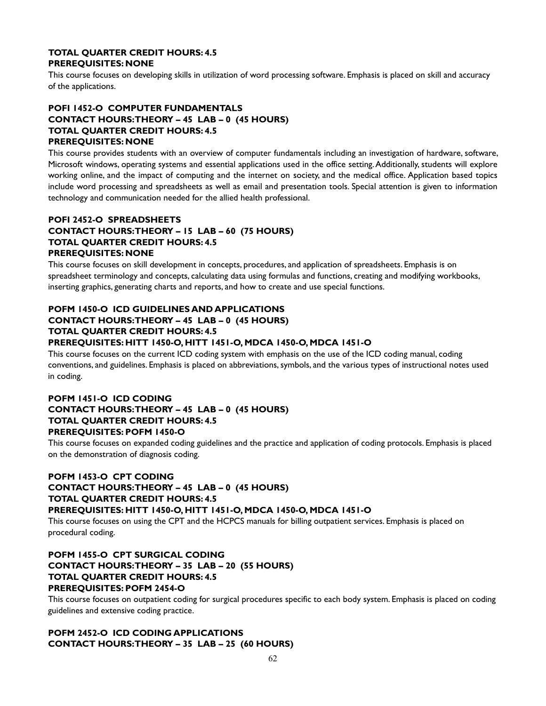#### **TOTAL QUARTER CREDIT HOURS: 4.5 PREREQUISITES: NONE**

This course focuses on developing skills in utilization of word processing software. Emphasis is placed on skill and accuracy of the applications.

## **POFI 1452-O COMPUTER FUNDAMENTALS CONTACT HOURS: THEORY – 45 LAB – 0 (45 HOURS) TOTAL QUARTER CREDIT HOURS: 4.5 PREREQUISITES: NONE**

This course provides students with an overview of computer fundamentals including an investigation of hardware, software, Microsoft windows, operating systems and essential applications used in the office setting. Additionally, students will explore working online, and the impact of computing and the internet on society, and the medical office. Application based topics include word processing and spreadsheets as well as email and presentation tools. Special attention is given to information technology and communication needed for the allied health professional.

#### **POFI 2452-O SPREADSHEETS CONTACT HOURS: THEORY – 15 LAB – 60 (75 HOURS) TOTAL QUARTER CREDIT HOURS: 4.5 PREREQUISITES: NONE**

This course focuses on skill development in concepts, procedures, and application of spreadsheets. Emphasis is on spreadsheet terminology and concepts, calculating data using formulas and functions, creating and modifying workbooks, inserting graphics, generating charts and reports, and how to create and use special functions.

## **POFM 1450-O ICD GUIDELINES AND APPLICATIONS CONTACT HOURS: THEORY – 45 LAB – 0 (45 HOURS) TOTAL QUARTER CREDIT HOURS: 4.5**

## **PREREQUISITES: HITT 1450-O, HITT 1451-O, MDCA 1450-O, MDCA 1451-O**

This course focuses on the current ICD coding system with emphasis on the use of the ICD coding manual, coding conventions, and guidelines. Emphasis is placed on abbreviations, symbols, and the various types of instructional notes used in coding.

#### **POFM 1451-O ICD CODING CONTACT HOURS: THEORY – 45 LAB – 0 (45 HOURS) TOTAL QUARTER CREDIT HOURS: 4.5 PREREQUISITES: POFM 1450-O**

This course focuses on expanded coding guidelines and the practice and application of coding protocols. Emphasis is placed on the demonstration of diagnosis coding.

## **POFM 1453-O CPT CODING**

## **CONTACT HOURS: THEORY – 45 LAB – 0 (45 HOURS) TOTAL QUARTER CREDIT HOURS: 4.5**

## **PREREQUISITES: HITT 1450-O, HITT 1451-O, MDCA 1450-O, MDCA 1451-O**

This course focuses on using the CPT and the HCPCS manuals for billing outpatient services. Emphasis is placed on procedural coding.

## **POFM 1455-O CPT SURGICAL CODING CONTACT HOURS: THEORY – 35 LAB – 20 (55 HOURS) TOTAL QUARTER CREDIT HOURS: 4.5 PREREQUISITES: POFM 2454-O**

This course focuses on outpatient coding for surgical procedures specific to each body system. Emphasis is placed on coding guidelines and extensive coding practice.

## **POFM 2452-O ICD CODING APPLICATIONS CONTACT HOURS: THEORY – 35 LAB – 25 (60 HOURS)**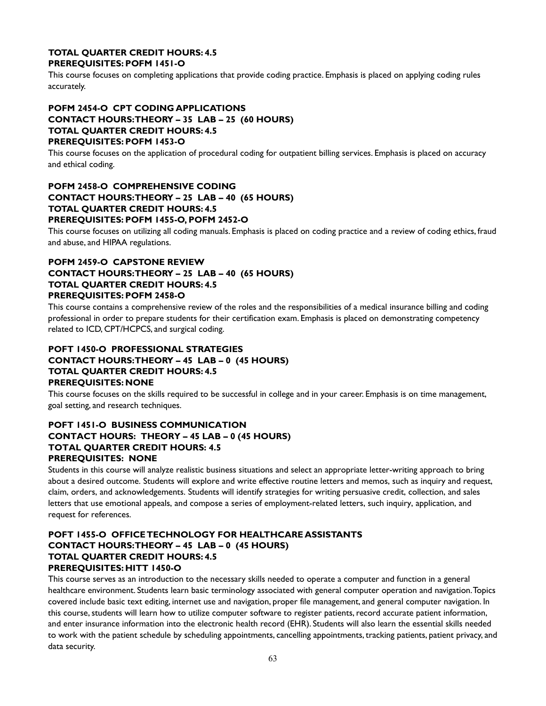#### **TOTAL QUARTER CREDIT HOURS: 4.5 PREREQUISITES: POFM 1451-O**

This course focuses on completing applications that provide coding practice. Emphasis is placed on applying coding rules accurately.

## **POFM 2454-O CPT CODING APPLICATIONS CONTACT HOURS: THEORY – 35 LAB – 25 (60 HOURS) TOTAL QUARTER CREDIT HOURS: 4.5 PREREQUISITES: POFM 1453-O**

This course focuses on the application of procedural coding for outpatient billing services. Emphasis is placed on accuracy and ethical coding.

## **POFM 2458-O COMPREHENSIVE CODING CONTACT HOURS: THEORY – 25 LAB – 40 (65 HOURS) TOTAL QUARTER CREDIT HOURS: 4.5 PREREQUISITES: POFM 1455-O, POFM 2452-O**

This course focuses on utilizing all coding manuals. Emphasis is placed on coding practice and a review of coding ethics, fraud and abuse, and HIPAA regulations.

## **POFM 2459-O CAPSTONE REVIEW CONTACT HOURS: THEORY – 25 LAB – 40 (65 HOURS) TOTAL QUARTER CREDIT HOURS: 4.5 PREREQUISITES: POFM 2458-O**

This course contains a comprehensive review of the roles and the responsibilities of a medical insurance billing and coding professional in order to prepare students for their certification exam. Emphasis is placed on demonstrating competency related to ICD, CPT/HCPCS, and surgical coding.

## **POFT 1450-O PROFESSIONAL STRATEGIES CONTACT HOURS: THEORY – 45 LAB – 0 (45 HOURS) TOTAL QUARTER CREDIT HOURS: 4.5 PREREQUISITES: NONE**

This course focuses on the skills required to be successful in college and in your career. Emphasis is on time management, goal setting, and research techniques.

## **POFT 1451-O BUSINESS COMMUNICATION CONTACT HOURS: THEORY – 45 LAB – 0 (45 HOURS) TOTAL QUARTER CREDIT HOURS: 4.5 PREREQUISITES: NONE**

Students in this course will analyze realistic business situations and select an appropriate letter-writing approach to bring about a desired outcome. Students will explore and write effective routine letters and memos, such as inquiry and request, claim, orders, and acknowledgements. Students will identify strategies for writing persuasive credit, collection, and sales letters that use emotional appeals, and compose a series of employment-related letters, such inquiry, application, and request for references.

## **POFT 1455-O OFFICE TECHNOLOGY FOR HEALTHCARE ASSISTANTS CONTACT HOURS: THEORY – 45 LAB – 0 (45 HOURS) TOTAL QUARTER CREDIT HOURS: 4.5 PREREQUISITES: HITT 1450-O**

This course serves as an introduction to the necessary skills needed to operate a computer and function in a general healthcare environment. Students learn basic terminology associated with general computer operation and navigation. Topics covered include basic text editing, internet use and navigation, proper file management, and general computer navigation. In this course, students will learn how to utilize computer software to register patients, record accurate patient information, and enter insurance information into the electronic health record (EHR). Students will also learn the essential skills needed to work with the patient schedule by scheduling appointments, cancelling appointments, tracking patients, patient privacy, and data security.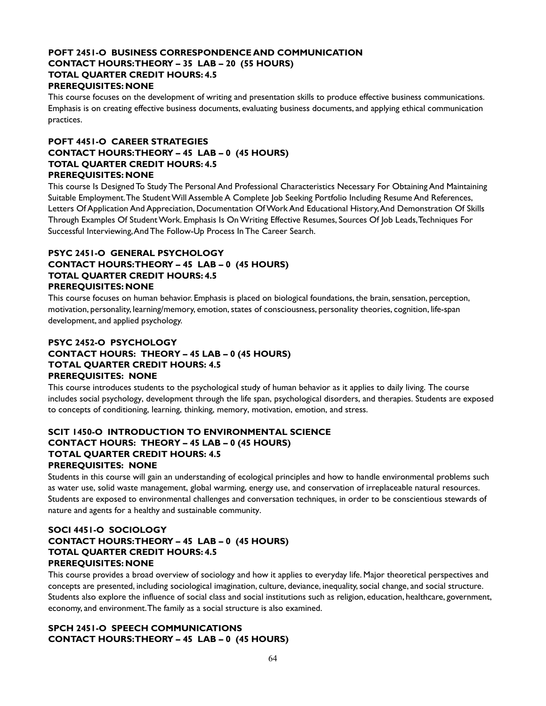## **POFT 2451-O BUSINESS CORRESPONDENCE AND COMMUNICATION CONTACT HOURS: THEORY – 35 LAB – 20 (55 HOURS) TOTAL QUARTER CREDIT HOURS: 4.5 PREREQUISITES: NONE**

This course focuses on the development of writing and presentation skills to produce effective business communications. Emphasis is on creating effective business documents, evaluating business documents, and applying ethical communication practices.

## **POFT 4451-O CAREER STRATEGIES CONTACT HOURS: THEORY – 45 LAB – 0 (45 HOURS) TOTAL QUARTER CREDIT HOURS: 4.5 PREREQUISITES: NONE**

This course Is Designed To Study The Personal And Professional Characteristics Necessary For Obtaining And Maintaining Suitable Employment. The Student Will Assemble A Complete Job Seeking Portfolio Including Resume And References, Letters Of Application And Appreciation, Documentation Of Work And Educational History, And Demonstration Of Skills Through Examples Of Student Work. Emphasis Is On Writing Effective Resumes, Sources Of Job Leads, Techniques For Successful Interviewing, And The Follow-Up Process In The Career Search.

## **PSYC 2451-O GENERAL PSYCHOLOGY CONTACT HOURS: THEORY – 45 LAB – 0 (45 HOURS) TOTAL QUARTER CREDIT HOURS: 4.5 PREREQUISITES: NONE**

This course focuses on human behavior. Emphasis is placed on biological foundations, the brain, sensation, perception, motivation, personality, learning/memory, emotion, states of consciousness, personality theories, cognition, life-span development, and applied psychology.

## **PSYC 2452-O PSYCHOLOGY CONTACT HOURS: THEORY – 45 LAB – 0 (45 HOURS) TOTAL QUARTER CREDIT HOURS: 4.5 PREREQUISITES: NONE**

This course introduces students to the psychological study of human behavior as it applies to daily living. The course includes social psychology, development through the life span, psychological disorders, and therapies. Students are exposed to concepts of conditioning, learning, thinking, memory, motivation, emotion, and stress.

## **SCIT 1450-O INTRODUCTION TO ENVIRONMENTAL SCIENCE CONTACT HOURS: THEORY – 45 LAB – 0 (45 HOURS) TOTAL QUARTER CREDIT HOURS: 4.5 PREREQUISITES: NONE**

Students in this course will gain an understanding of ecological principles and how to handle environmental problems such as water use, solid waste management, global warming, energy use, and conservation of irreplaceable natural resources. Students are exposed to environmental challenges and conversation techniques, in order to be conscientious stewards of nature and agents for a healthy and sustainable community.

## **SOCI 4451-O SOCIOLOGY CONTACT HOURS: THEORY – 45 LAB – 0 (45 HOURS) TOTAL QUARTER CREDIT HOURS: 4.5 PREREQUISITES: NONE**

This course provides a broad overview of sociology and how it applies to everyday life. Major theoretical perspectives and concepts are presented, including sociological imagination, culture, deviance, inequality, social change, and social structure. Students also explore the influence of social class and social institutions such as religion, education, healthcare, government, economy, and environment. The family as a social structure is also examined.

## **SPCH 2451-O SPEECH COMMUNICATIONS CONTACT HOURS: THEORY – 45 LAB – 0 (45 HOURS)**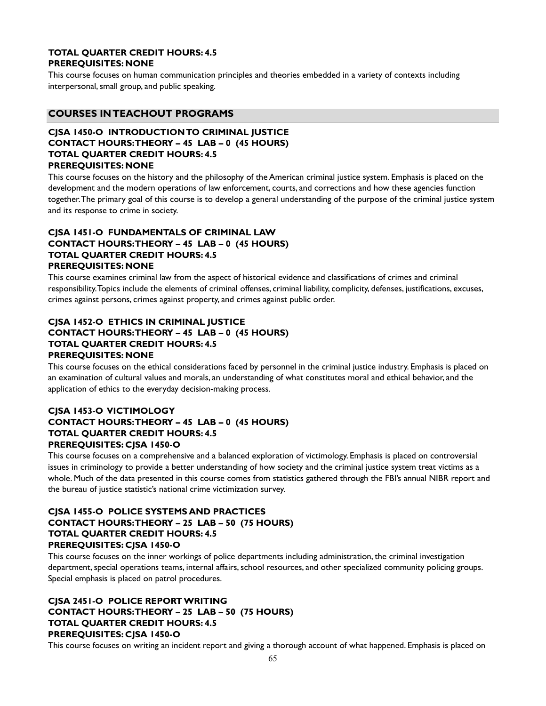## **TOTAL QUARTER CREDIT HOURS: 4.5 PREREQUISITES: NONE**

This course focuses on human communication principles and theories embedded in a variety of contexts including interpersonal, small group, and public speaking.

## **COURSES IN TEACHOUT PROGRAMS**

#### **CJSA 1450-O INTRODUCTION TO CRIMINAL JUSTICE CONTACT HOURS: THEORY – 45 LAB – 0 (45 HOURS) TOTAL QUARTER CREDIT HOURS: 4.5 PREREQUISITES: NONE**

This course focuses on the history and the philosophy of the American criminal justice system. Emphasis is placed on the development and the modern operations of law enforcement, courts, and corrections and how these agencies function together. The primary goal of this course is to develop a general understanding of the purpose of the criminal justice system and its response to crime in society.

## **CJSA 1451-O FUNDAMENTALS OF CRIMINAL LAW CONTACT HOURS: THEORY – 45 LAB – 0 (45 HOURS) TOTAL QUARTER CREDIT HOURS: 4.5 PREREQUISITES: NONE**

This course examines criminal law from the aspect of historical evidence and classifications of crimes and criminal responsibility. Topics include the elements of criminal offenses, criminal liability, complicity, defenses, justifications, excuses, crimes against persons, crimes against property, and crimes against public order.

## **CJSA 1452-O ETHICS IN CRIMINAL JUSTICE CONTACT HOURS: THEORY – 45 LAB – 0 (45 HOURS) TOTAL QUARTER CREDIT HOURS: 4.5 PREREQUISITES: NONE**

This course focuses on the ethical considerations faced by personnel in the criminal justice industry. Emphasis is placed on an examination of cultural values and morals, an understanding of what constitutes moral and ethical behavior, and the application of ethics to the everyday decision-making process.

## **CJSA 1453-O VICTIMOLOGY CONTACT HOURS: THEORY – 45 LAB – 0 (45 HOURS) TOTAL QUARTER CREDIT HOURS: 4.5 PREREQUISITES: CJSA 1450-O**

This course focuses on a comprehensive and a balanced exploration of victimology. Emphasis is placed on controversial issues in criminology to provide a better understanding of how society and the criminal justice system treat victims as a whole. Much of the data presented in this course comes from statistics gathered through the FBI's annual NIBR report and the bureau of justice statistic's national crime victimization survey.

## **CJSA 1455-O POLICE SYSTEMS AND PRACTICES CONTACT HOURS: THEORY – 25 LAB – 50 (75 HOURS) TOTAL QUARTER CREDIT HOURS: 4.5 PREREQUISITES: CJSA 1450-O**

This course focuses on the inner workings of police departments including administration, the criminal investigation department, special operations teams, internal affairs, school resources, and other specialized community policing groups. Special emphasis is placed on patrol procedures.

## **CJSA 2451-O POLICE REPORT WRITING CONTACT HOURS: THEORY – 25 LAB – 50 (75 HOURS) TOTAL QUARTER CREDIT HOURS: 4.5 PREREQUISITES: CJSA 1450-O**

This course focuses on writing an incident report and giving a thorough account of what happened. Emphasis is placed on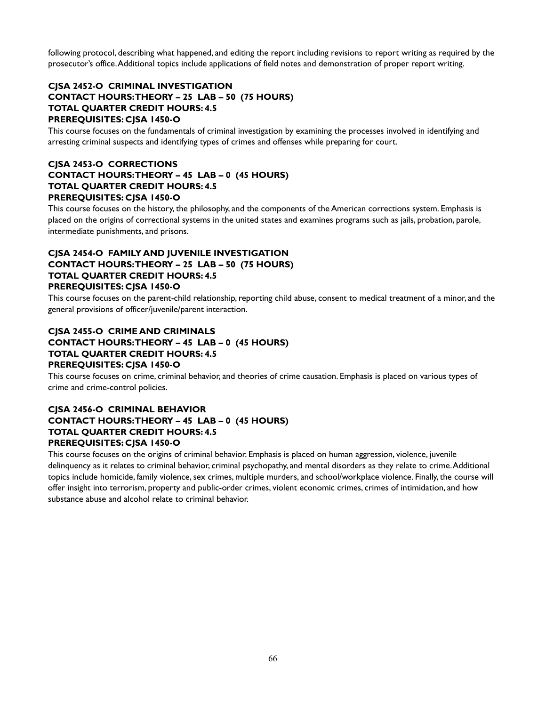following protocol, describing what happened, and editing the report including revisions to report writing as required by the prosecutor's office. Additional topics include applications of field notes and demonstration of proper report writing.

## **CJSA 2452-O CRIMINAL INVESTIGATION CONTACT HOURS: THEORY – 25 LAB – 50 (75 HOURS) TOTAL QUARTER CREDIT HOURS: 4.5 PREREQUISITES: CJSA 1450-O**

This course focuses on the fundamentals of criminal investigation by examining the processes involved in identifying and arresting criminal suspects and identifying types of crimes and offenses while preparing for court.

## **CJSA 2453-O CORRECTIONS CONTACT HOURS: THEORY – 45 LAB – 0 (45 HOURS) TOTAL QUARTER CREDIT HOURS: 4.5 PREREQUISITES: CJSA 1450-O**

This course focuses on the history, the philosophy, and the components of the American corrections system. Emphasis is placed on the origins of correctional systems in the united states and examines programs such as jails, probation, parole, intermediate punishments, and prisons.

## **CJSA 2454-O FAMILY AND JUVENILE INVESTIGATION CONTACT HOURS: THEORY – 25 LAB – 50 (75 HOURS) TOTAL QUARTER CREDIT HOURS: 4.5 PREREQUISITES: CJSA 1450-O**

This course focuses on the parent-child relationship, reporting child abuse, consent to medical treatment of a minor, and the general provisions of officer/juvenile/parent interaction.

## **CJSA 2455-O CRIME AND CRIMINALS CONTACT HOURS: THEORY – 45 LAB – 0 (45 HOURS) TOTAL QUARTER CREDIT HOURS: 4.5 PREREQUISITES: CJSA 1450-O**

This course focuses on crime, criminal behavior, and theories of crime causation. Emphasis is placed on various types of crime and crime-control policies.

## **CJSA 2456-O CRIMINAL BEHAVIOR CONTACT HOURS: THEORY – 45 LAB – 0 (45 HOURS) TOTAL QUARTER CREDIT HOURS: 4.5 PREREQUISITES: CJSA 1450-O**

This course focuses on the origins of criminal behavior. Emphasis is placed on human aggression, violence, juvenile delinquency as it relates to criminal behavior, criminal psychopathy, and mental disorders as they relate to crime. Additional topics include homicide, family violence, sex crimes, multiple murders, and school/workplace violence. Finally, the course will offer insight into terrorism, property and public-order crimes, violent economic crimes, crimes of intimidation, and how substance abuse and alcohol relate to criminal behavior.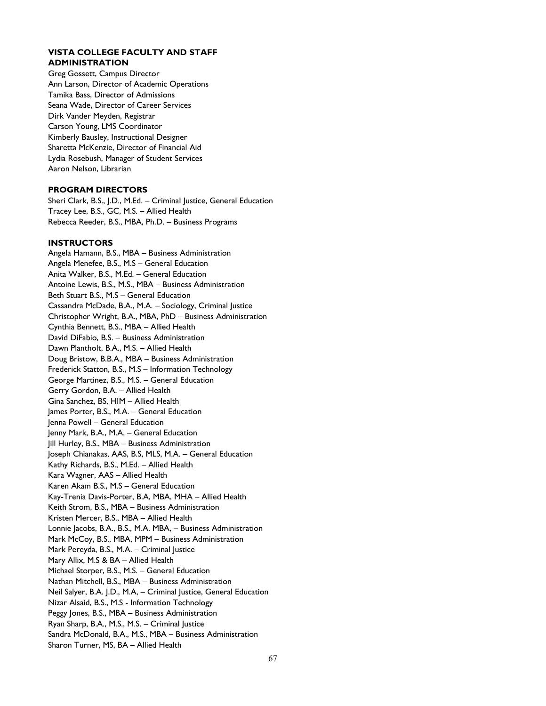#### **VISTA COLLEGE FACULTY AND STAFF ADMINISTRATION**

Greg Gossett, Campus Director Ann Larson, Director of Academic Operations Tamika Bass, Director of Admissions Seana Wade, Director of Career Services Dirk Vander Meyden, Registrar Carson Young, LMS Coordinator Kimberly Bausley, Instructional Designer Sharetta McKenzie, Director of Financial Aid Lydia Rosebush, Manager of Student Services Aaron Nelson, Librarian

#### **PROGRAM DIRECTORS**

Sheri Clark, B.S., J.D., M.Ed. – Criminal Justice, General Education Tracey Lee, B.S., GC, M.S. – Allied Health Rebecca Reeder, B.S., MBA, Ph.D. – Business Programs

#### **INSTRUCTORS**

Angela Hamann, B.S., MBA – Business Administration Angela Menefee, B.S., M.S – General Education Anita Walker, B.S., M.Ed. – General Education Antoine Lewis, B.S., M.S., MBA – Business Administration Beth Stuart B.S., M.S – General Education Cassandra McDade, B.A., M.A. – Sociology, Criminal Justice Christopher Wright, B.A., MBA, PhD – Business Administration Cynthia Bennett, B.S., MBA – Allied Health David DiFabio, B.S. – Business Administration Dawn Plantholt, B.A., M.S. – Allied Health Doug Bristow, B.B.A., MBA – Business Administration Frederick Statton, B.S., M.S – Information Technology George Martinez, B.S., M.S. – General Education Gerry Gordon, B.A. – Allied Health Gina Sanchez, BS, HIM – Allied Health James Porter, B.S., M.A. – General Education Jenna Powell – General Education Jenny Mark, B.A., M.A. – General Education Jill Hurley, B.S., MBA – Business Administration Joseph Chianakas, AAS, B.S, MLS, M.A. – General Education Kathy Richards, B.S., M.Ed. – Allied Health Kara Wagner, AAS – Allied Health Karen Akam B.S., M.S – General Education Kay-Trenia Davis-Porter, B.A, MBA, MHA – Allied Health Keith Strom, B.S., MBA – Business Administration Kristen Mercer, B.S., MBA – Allied Health Lonnie Jacobs, B.A., B.S., M.A. MBA, – Business Administration Mark McCoy, B.S., MBA, MPM – Business Administration Mark Pereyda, B.S., M.A. – Criminal Justice Mary Allix, M.S & BA – Allied Health Michael Storper, B.S., M.S. – General Education Nathan Mitchell, B.S., MBA – Business Administration Neil Salyer, B.A. J.D., M.A, – Criminal Justice, General Education Nizar Alsaid, B.S., M.S - Information Technology Peggy Jones, B.S., MBA – Business Administration Ryan Sharp, B.A., M.S., M.S. – Criminal Justice Sandra McDonald, B.A., M.S., MBA – Business Administration Sharon Turner, MS, BA – Allied Health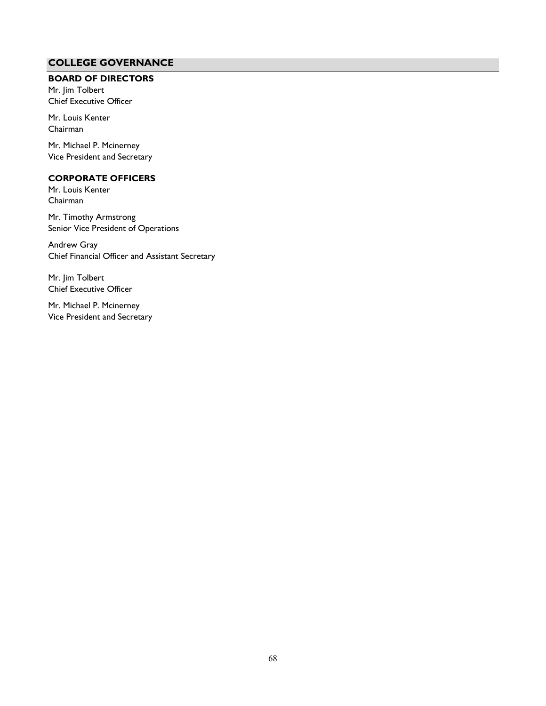## **COLLEGE GOVERNANCE**

## <span id="page-67-0"></span>**BOARD OF DIRECTORS**

Mr. Jim Tolbert Chief Executive Officer

Mr. Louis Kenter Chairman

Mr. Michael P. Mcinerney Vice President and Secretary

## **CORPORATE OFFICERS**

Mr. Louis Kenter Chairman

Mr. Timothy Armstrong Senior Vice President of Operations

Andrew Gray Chief Financial Officer and Assistant Secretary

Mr. Jim Tolbert Chief Executive Officer

Mr. Michael P. Mcinerney Vice President and Secretary